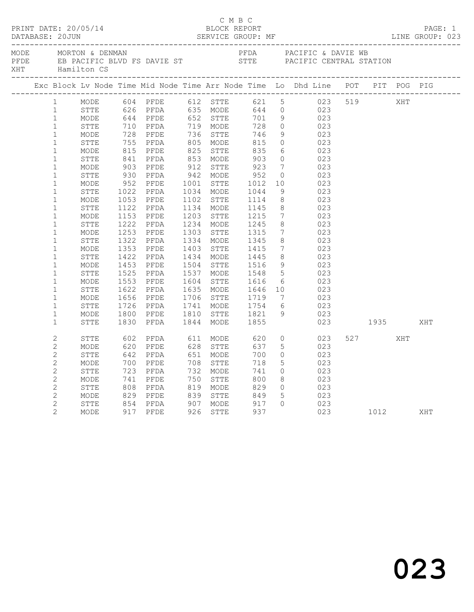|  |                        |                                                      |      |                                                                                                                               | C M B C                |                                                                                                                            |                 | PRINT DATE: 20/05/14<br>BLOCK REPORT<br>DATABASE: 20JUN SERVICE GROUP: MF SERVICE GROUP: 1.1NE GROUP:                                                                                                                                                                                                                                                         |                |     | PAGE: 1<br>LINE GROUP: 023 |
|--|------------------------|------------------------------------------------------|------|-------------------------------------------------------------------------------------------------------------------------------|------------------------|----------------------------------------------------------------------------------------------------------------------------|-----------------|---------------------------------------------------------------------------------------------------------------------------------------------------------------------------------------------------------------------------------------------------------------------------------------------------------------------------------------------------------------|----------------|-----|----------------------------|
|  |                        | MODE MORTON & DENMAN<br>---------------------------- |      |                                                                                                                               |                        |                                                                                                                            |                 | PFDA PACIFIC & DAVIE WB<br>PFDE EB PACIFIC BLVD FS DAVIE ST STTE PACIFIC CENTRAL STATION XHT Hamilton CS                                                                                                                                                                                                                                                      |                |     |                            |
|  |                        |                                                      |      |                                                                                                                               |                        |                                                                                                                            |                 | Exc Block Lv Node Time Mid Node Time Arr Node Time Lo Dhd Line POT PIT POG PIG                                                                                                                                                                                                                                                                                |                |     |                            |
|  | $1 \quad \blacksquare$ |                                                      |      |                                                                                                                               |                        |                                                                                                                            |                 | $\begin{tabular}{cccccccc} \texttt{MODE} & 604 & PFDE & 612 & STTE & 626 & PFDE & 612 & S19 & S19 \\ \texttt{MODE} & 644 & PFDE & 635 & MODE & 644 & 0 & 023 & S19 & SHT \\ 626 & PFDA & 635 & MODE & 644 & 0 & 023 & S19 & SHT \\ 644 & PFDE & 652 & STTTE & 701 & 9 & 023 & STTE & 710 & PFDA & 719 & MODE & 728 & 0 & 023 \\ \texttt{MODE} & 728 & PFDE &$ |                |     |                            |
|  | 1                      |                                                      |      |                                                                                                                               |                        |                                                                                                                            |                 |                                                                                                                                                                                                                                                                                                                                                               |                |     |                            |
|  | $\mathbf{1}$           | MODE                                                 |      |                                                                                                                               |                        |                                                                                                                            |                 |                                                                                                                                                                                                                                                                                                                                                               |                |     |                            |
|  | $\mathbf{1}$           |                                                      |      |                                                                                                                               |                        |                                                                                                                            |                 |                                                                                                                                                                                                                                                                                                                                                               |                |     |                            |
|  | $\mathbf{1}$           |                                                      |      |                                                                                                                               |                        |                                                                                                                            |                 |                                                                                                                                                                                                                                                                                                                                                               |                |     |                            |
|  | $\mathbf{1}$           |                                                      |      |                                                                                                                               |                        |                                                                                                                            |                 |                                                                                                                                                                                                                                                                                                                                                               |                |     |                            |
|  | $\mathbf{1}$           |                                                      |      |                                                                                                                               |                        |                                                                                                                            |                 |                                                                                                                                                                                                                                                                                                                                                               |                |     |                            |
|  | $1\,$                  |                                                      |      |                                                                                                                               |                        |                                                                                                                            |                 |                                                                                                                                                                                                                                                                                                                                                               |                |     |                            |
|  | $\mathbf{1}$           |                                                      |      |                                                                                                                               |                        |                                                                                                                            |                 |                                                                                                                                                                                                                                                                                                                                                               |                |     |                            |
|  | $\mathbf{1}$           |                                                      |      |                                                                                                                               |                        |                                                                                                                            |                 |                                                                                                                                                                                                                                                                                                                                                               |                |     |                            |
|  | $1\,$                  |                                                      |      |                                                                                                                               |                        |                                                                                                                            |                 |                                                                                                                                                                                                                                                                                                                                                               |                |     |                            |
|  | $\mathbf{1}$           |                                                      |      |                                                                                                                               |                        |                                                                                                                            |                 |                                                                                                                                                                                                                                                                                                                                                               |                |     |                            |
|  | $\mathbf{1}$           |                                                      |      |                                                                                                                               |                        |                                                                                                                            |                 |                                                                                                                                                                                                                                                                                                                                                               |                |     |                            |
|  | $\mathbf{1}$           |                                                      |      |                                                                                                                               |                        |                                                                                                                            |                 |                                                                                                                                                                                                                                                                                                                                                               |                |     |                            |
|  | $\mathbf{1}$           | MODE                                                 |      |                                                                                                                               |                        |                                                                                                                            | $7\overline{ }$ | 023                                                                                                                                                                                                                                                                                                                                                           |                |     |                            |
|  | $\mathbf{1}$           | STTE                                                 |      | 1153 PFDE<br>1222 PFDA                                                                                                        |                        | 1203 STTE 1215<br>1234 MODE 1245                                                                                           | 8               | $\frac{1}{023}$                                                                                                                                                                                                                                                                                                                                               |                |     |                            |
|  | $\mathbf{1}$           | MODE                                                 |      |                                                                                                                               | 1303 STTE<br>1334 MODE | 1315<br>1345                                                                                                               |                 | $\begin{array}{ccc} 7 & 023 \\ 8 & 023 \end{array}$                                                                                                                                                                                                                                                                                                           |                |     |                            |
|  | $\mathbf{1}$           | STTE                                                 |      | 1253 PFDE<br>1322 PFDA                                                                                                        |                        |                                                                                                                            |                 |                                                                                                                                                                                                                                                                                                                                                               |                |     |                            |
|  | $\mathbf{1}$           | MODE                                                 | 1353 |                                                                                                                               |                        | 1403 STTE 1415<br>1434 MODE 1445                                                                                           |                 | $\frac{7}{8}$ $\frac{023}{023}$                                                                                                                                                                                                                                                                                                                               |                |     |                            |
|  | $1\,$                  | STTE                                                 |      | 1353 Prid<br>1422 PFDA                                                                                                        |                        |                                                                                                                            |                 |                                                                                                                                                                                                                                                                                                                                                               |                |     |                            |
|  | $\mathbf{1}$           | MODE                                                 |      | 1453 PFDE                                                                                                                     |                        | 1504 STTE 1516<br>1537 MODE 1548<br>1604 STTE 1616<br>1635 MODE 1646<br>1706 STTE 1719<br>1741 MODE 1754<br>1810 MODE 1754 |                 | $\begin{array}{ccc} 9 & & 023 \\ 5 & & 023 \end{array}$                                                                                                                                                                                                                                                                                                       |                |     |                            |
|  | $\mathbf{1}$           | ${\tt STTE}$                                         |      | 1525 PFDA                                                                                                                     |                        |                                                                                                                            |                 |                                                                                                                                                                                                                                                                                                                                                               |                |     |                            |
|  | $\mathbf{1}$           | MODE                                                 | 1553 | PFDE                                                                                                                          |                        |                                                                                                                            |                 | $\begin{array}{ccc} 6 & 023 \\ 10 & 023 \end{array}$                                                                                                                                                                                                                                                                                                          |                |     |                            |
|  | $\mathbf{1}$           | STTE                                                 |      | 1622 PFDA                                                                                                                     |                        |                                                                                                                            |                 |                                                                                                                                                                                                                                                                                                                                                               |                |     |                            |
|  | $\mathbf{1}$           | MODE                                                 |      |                                                                                                                               |                        |                                                                                                                            |                 |                                                                                                                                                                                                                                                                                                                                                               |                |     |                            |
|  | $\mathbf{1}$           | STTE                                                 |      | 1656 PFDE<br>1726 PFDA                                                                                                        |                        |                                                                                                                            |                 | $\frac{10}{7}$ $\frac{02}{23}$<br>$\frac{023}{23}$                                                                                                                                                                                                                                                                                                            |                |     |                            |
|  | $\mathbf{1}$           | MODE                                                 |      |                                                                                                                               |                        |                                                                                                                            | 9               | 023                                                                                                                                                                                                                                                                                                                                                           |                |     |                            |
|  | $\mathbf{1}$           | STTE                                                 |      | 1800 PFDE 1810 STTE 1821<br>1830 PFDA 1844 MODE 1855                                                                          |                        |                                                                                                                            |                 | 023 1935                                                                                                                                                                                                                                                                                                                                                      |                |     | XHT                        |
|  | $\overline{c}$         | STTE                                                 |      | 602 PFDA 611 MODE 620                                                                                                         |                        |                                                                                                                            |                 | $0$ 023                                                                                                                                                                                                                                                                                                                                                       | 527 and $\sim$ | XHT |                            |
|  | $\overline{c}$         | MODE                                                 |      | 620 PFDE<br>642 PFDA                                                                                                          |                        | 637                                                                                                                        |                 | 5 <sub>5</sub><br>023                                                                                                                                                                                                                                                                                                                                         |                |     |                            |
|  | $\mathbf{2}$           | STTE                                                 |      |                                                                                                                               |                        | 700                                                                                                                        | $\circ$         | 023                                                                                                                                                                                                                                                                                                                                                           |                |     |                            |
|  | $\mathbf{2}$           | MODE                                                 |      |                                                                                                                               |                        | 718                                                                                                                        | $5\overline{)}$ | 023                                                                                                                                                                                                                                                                                                                                                           |                |     |                            |
|  | $\mathbf{2}$           | ${\tt STTE}$                                         |      |                                                                                                                               |                        | 741                                                                                                                        | $\overline{0}$  | 023                                                                                                                                                                                                                                                                                                                                                           |                |     |                            |
|  | $\mathbf{2}$           | MODE                                                 |      | 700 PFDE 708 STTE<br>723 PFDA 732 MODE<br>741 PFDE 750 STTE<br>808 PFDA 819 MODE<br>Frida :<br>PFDE 750 STTE<br>PFDA 819 MODE |                        | 800                                                                                                                        | 8               | 023                                                                                                                                                                                                                                                                                                                                                           |                |     |                            |
|  | $\mathbf{2}$           | STTE                                                 |      |                                                                                                                               |                        | 829                                                                                                                        | $\overline{0}$  | 023                                                                                                                                                                                                                                                                                                                                                           |                |     |                            |
|  | $\mathbf{2}$           | MODE                                                 |      |                                                                                                                               |                        |                                                                                                                            | $5\overline{)}$ | 023                                                                                                                                                                                                                                                                                                                                                           |                |     |                            |
|  | $\overline{c}$         | STTE                                                 |      | 829 PFDE 839 STTE 849<br>854 PFDA 907 MODE 917<br>917 PFDE 926 STTE 937                                                       |                        |                                                                                                                            |                 |                                                                                                                                                                                                                                                                                                                                                               |                |     |                            |
|  | $\overline{2}$         | MODE                                                 |      |                                                                                                                               |                        |                                                                                                                            |                 |                                                                                                                                                                                                                                                                                                                                                               |                |     |                            |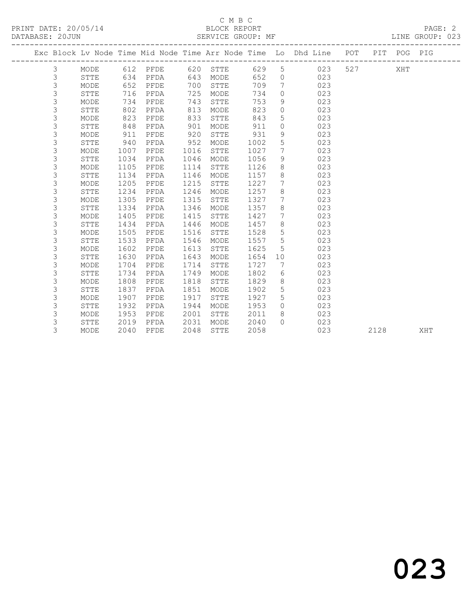#### C M B C<br>BLOCK REPORT SERVICE GROUP: MF

|  |   |             |      |      |      |             |      |                | Exc Block Lv Node Time Mid Node Time Arr Node Time Lo Dhd Line POT |     |      | PIT POG PIG |     |
|--|---|-------------|------|------|------|-------------|------|----------------|--------------------------------------------------------------------|-----|------|-------------|-----|
|  | 3 | MODE        | 612  | PFDE | 620  | STTE        | 629  | 5              | 023                                                                | 527 |      | XHT         |     |
|  | 3 | STTE        | 634  | PFDA | 643  | MODE        | 652  | $\circ$        | 023                                                                |     |      |             |     |
|  | 3 | MODE        | 652  | PFDE | 700  | STTE        | 709  | 7              | 023                                                                |     |      |             |     |
|  | 3 | STTE        | 716  | PFDA | 725  | MODE        | 734  | $\Omega$       | 023                                                                |     |      |             |     |
|  | 3 | MODE        | 734  | PFDE | 743  | STTE        | 753  | 9              | 023                                                                |     |      |             |     |
|  | 3 | STTE        | 802  | PFDA | 813  | MODE        | 823  | $\circ$        | 023                                                                |     |      |             |     |
|  | 3 | MODE        | 823  | PFDE | 833  | STTE        | 843  | 5              | 023                                                                |     |      |             |     |
|  | 3 | STTE        | 848  | PFDA | 901  | MODE        | 911  | $\circ$        | 023                                                                |     |      |             |     |
|  | 3 | MODE        | 911  | PFDE | 920  | <b>STTE</b> | 931  | 9              | 023                                                                |     |      |             |     |
|  | 3 | <b>STTE</b> | 940  | PFDA | 952  | MODE        | 1002 | 5              | 023                                                                |     |      |             |     |
|  | 3 | MODE        | 1007 | PFDE | 1016 | STTE        | 1027 | 7              | 023                                                                |     |      |             |     |
|  | 3 | STTE        | 1034 | PFDA | 1046 | MODE        | 1056 | 9              | 023                                                                |     |      |             |     |
|  | 3 | MODE        | 1105 | PFDE | 1114 | STTE        | 1126 | 8              | 023                                                                |     |      |             |     |
|  | 3 | <b>STTE</b> | 1134 | PFDA | 1146 | MODE        | 1157 | 8              | 023                                                                |     |      |             |     |
|  | 3 | MODE        | 1205 | PFDE | 1215 | STTE        | 1227 | 7              | 023                                                                |     |      |             |     |
|  | 3 | STTE        | 1234 | PFDA | 1246 | MODE        | 1257 | 8              | 023                                                                |     |      |             |     |
|  | 3 | MODE        | 1305 | PFDE | 1315 | STTE        | 1327 | 7              | 023                                                                |     |      |             |     |
|  | 3 | <b>STTE</b> | 1334 | PFDA | 1346 | MODE        | 1357 | 8              | 023                                                                |     |      |             |     |
|  | 3 | MODE        | 1405 | PFDE | 1415 | STTE        | 1427 | 7              | 023                                                                |     |      |             |     |
|  | 3 | STTE        | 1434 | PFDA | 1446 | MODE        | 1457 | $8\,$          | 023                                                                |     |      |             |     |
|  | 3 | MODE        | 1505 | PFDE | 1516 | STTE        | 1528 | $\mathsf S$    | 023                                                                |     |      |             |     |
|  | 3 | <b>STTE</b> | 1533 | PFDA | 1546 | MODE        | 1557 | $\mathsf 5$    | 023                                                                |     |      |             |     |
|  | 3 | MODE        | 1602 | PFDE | 1613 | STTE        | 1625 | $\overline{5}$ | 023                                                                |     |      |             |     |
|  | 3 | <b>STTE</b> | 1630 | PFDA | 1643 | MODE        | 1654 | 10             | 023                                                                |     |      |             |     |
|  | 3 | MODE        | 1704 | PFDE | 1714 | STTE        | 1727 | 7              | 023                                                                |     |      |             |     |
|  | 3 | STTE        | 1734 | PFDA | 1749 | MODE        | 1802 | 6              | 023                                                                |     |      |             |     |
|  | 3 | MODE        | 1808 | PFDE | 1818 | STTE        | 1829 | $\,8\,$        | 023                                                                |     |      |             |     |
|  | 3 | <b>STTE</b> | 1837 | PFDA | 1851 | MODE        | 1902 | 5              | 023                                                                |     |      |             |     |
|  | 3 | MODE        | 1907 | PFDE | 1917 | STTE        | 1927 | 5              | 023                                                                |     |      |             |     |
|  | 3 | STTE        | 1932 | PFDA | 1944 | MODE        | 1953 | $\circ$        | 023                                                                |     |      |             |     |
|  | 3 | MODE        | 1953 | PFDE | 2001 | STTE        | 2011 | 8              | 023                                                                |     |      |             |     |
|  | 3 | <b>STTE</b> | 2019 | PFDA | 2031 | MODE        | 2040 | $\Omega$       | 023                                                                |     |      |             |     |
|  | 3 | MODE        | 2040 | PFDE | 2048 | <b>STTE</b> | 2058 |                | 023                                                                |     | 2128 |             | XHT |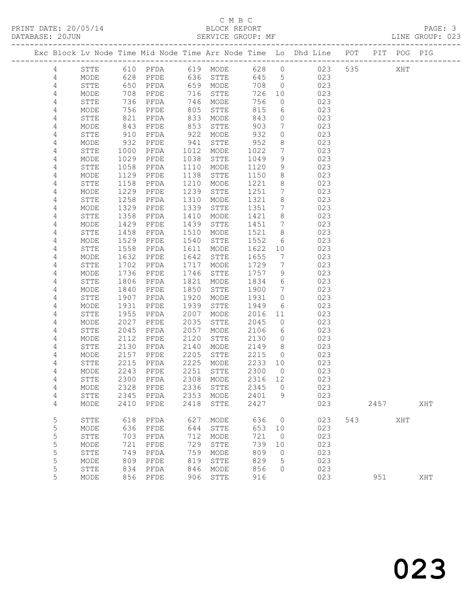### C M B C<br>BLOCK REPORT

LINE GROUP: 023

|            |              |              |                     |              |              |              |                 | Exc Block Lv Node Time Mid Node Time Arr Node Time Lo Dhd Line POT |     |      | PIT POG PIG |     |
|------------|--------------|--------------|---------------------|--------------|--------------|--------------|-----------------|--------------------------------------------------------------------|-----|------|-------------|-----|
| 4          | STTE         | 610          | PFDA                | 619          | MODE         | 628          | $\circ$         | 023                                                                | 535 |      | XHT         |     |
| 4          | MODE         | 628          | PFDE                | 636          | STTE         | 645          | 5               | 023                                                                |     |      |             |     |
| $\sqrt{4}$ | STTE         | 650          | PFDA                | 659          | MODE         | 708          | $\circ$         | 023                                                                |     |      |             |     |
| 4          | MODE         | 708          | PFDE                | 716          | STTE         | 726          | 10              | 023                                                                |     |      |             |     |
| 4          | STTE         | 736          | PFDA                | 746          | MODE         | 756          | $\circ$         | 023                                                                |     |      |             |     |
| 4          | MODE         | 756          | PFDE                | 805          | STTE         | 815          | 6               | 023                                                                |     |      |             |     |
| 4          | STTE         | 821          | PFDA                | 833          | MODE         | 843          | $\circ$         | 023                                                                |     |      |             |     |
| 4          | MODE         | 843          | PFDE                | 853          | STTE         | 903          | $7\phantom{.0}$ | 023                                                                |     |      |             |     |
| 4          | STTE         | 910          | PFDA                | 922          | MODE         | 932          | $\circ$         | 023                                                                |     |      |             |     |
| 4          | MODE         | 932          | PFDE                | 941          | STTE         | 952          | 8               | 023                                                                |     |      |             |     |
| 4          | STTE         | 1000         | PFDA                | 1012         | MODE         | 1022         | $7\phantom{.0}$ | 023                                                                |     |      |             |     |
| 4          | MODE         | 1029         | PFDE                | 1038         | STTE         | 1049         | 9               | 023                                                                |     |      |             |     |
| 4          | STTE         | 1058         | PFDA                | 1110         | MODE         | 1120         | 9               | 023                                                                |     |      |             |     |
| 4          | MODE         | 1129         | PFDE                | 1138         | STTE         | 1150         | 8               | 023                                                                |     |      |             |     |
| 4          | STTE         | 1158         | PFDA                | 1210         | MODE         | 1221         | 8               | 023                                                                |     |      |             |     |
| 4          | MODE         | 1229         | PFDE                | 1239         | STTE         | 1251         | $7\phantom{.}$  | 023                                                                |     |      |             |     |
| 4          | STTE         | 1258         | PFDA                | 1310         | MODE         | 1321         | 8               | 023                                                                |     |      |             |     |
| 4          | MODE         | 1329         | PFDE                | 1339         | STTE         | 1351         | 7               | 023                                                                |     |      |             |     |
| 4          | STTE         | 1358         | PFDA                | 1410         | MODE         | 1421         | 8               | 023                                                                |     |      |             |     |
| 4          | MODE         | 1429         | PFDE                | 1439         | ${\tt STTE}$ | 1451         | $7\phantom{.0}$ | 023                                                                |     |      |             |     |
| 4          | STTE         | 1458         | PFDA                | 1510         | MODE         | 1521         | 8               | 023                                                                |     |      |             |     |
| 4          | MODE         | 1529         | PFDE                | 1540         | STTE         | 1552         | 6               | 023                                                                |     |      |             |     |
| 4          | STTE         | 1558         | PFDA                | 1611         | MODE         | 1622         | 10              | 023                                                                |     |      |             |     |
| 4          | MODE         | 1632         | PFDE                | 1642         | STTE         | 1655         | $7\phantom{.0}$ | 023                                                                |     |      |             |     |
| 4          | STTE         | 1702         | PFDA                | 1717         | MODE         | 1729         | 7               | 023                                                                |     |      |             |     |
| 4          | MODE         | 1736         | PFDE                | 1746         | STTE         | 1757         | 9               | 023                                                                |     |      |             |     |
| 4          | STTE         | 1806         | PFDA                | 1821         | MODE         | 1834         | 6               | 023                                                                |     |      |             |     |
| 4          | MODE         | 1840         | PFDE                | 1850         | STTE         | 1900         | $7\phantom{.0}$ | 023                                                                |     |      |             |     |
| 4          | STTE         | 1907<br>1931 | PFDA<br>PFDE        | 1920<br>1939 | MODE         | 1931<br>1949 | $\circ$         | 023<br>023                                                         |     |      |             |     |
| 4<br>4     | MODE<br>STTE | 1955         | PFDA                | 2007         | STTE<br>MODE | 2016         | 6<br>11         | 023                                                                |     |      |             |     |
| 4          | MODE         | 2027         | PFDE                | 2035         | STTE         | 2045         | $\circ$         | 023                                                                |     |      |             |     |
| 4          | STTE         | 2045         | PFDA                | 2057         | MODE         | 2106         | 6               | 023                                                                |     |      |             |     |
| 4          | MODE         | 2112         | PFDE                | 2120         | STTE         | 2130         | $\circ$         | 023                                                                |     |      |             |     |
| 4          | STTE         | 2130         | PFDA                | 2140         | MODE         | 2149         | 8               | 023                                                                |     |      |             |     |
| 4          | MODE         | 2157         | PFDE                | 2205         | STTE         | 2215         | $\circ$         | 023                                                                |     |      |             |     |
| 4          | STTE         | 2215         | PFDA                | 2225         | MODE         | 2233         | 10              | 023                                                                |     |      |             |     |
| 4          | MODE         | 2243         | PFDE                | 2251         | STTE         | 2300         | $\overline{0}$  | 023                                                                |     |      |             |     |
| 4          | <b>STTE</b>  | 2300         | PFDA                | 2308         | MODE         | 2316         | 12              | 023                                                                |     |      |             |     |
| 4          | MODE         |              | 2328 PFDE 2336 STTE |              |              | 2345 0       |                 | 023                                                                |     |      |             |     |
| 4          | ${\tt STTE}$ | 2345         | PFDA                | 2353         | MODE         | 2401         | 9               | 023                                                                |     |      |             |     |
| 4          | MODE         | 2410         | PFDE                | 2418         | STTE         | 2427         |                 | 023                                                                |     | 2457 |             | XHT |
| 5          | STTE         | 618          | PFDA                | 627          | MODE         | 636          | 0               | 023                                                                | 543 |      | XHT         |     |
| 5          | $\sf{MODE}$  | 636          | PFDE                | 644          | STTE         | 653          | 10              | 023                                                                |     |      |             |     |
| 5          | ${\tt STTE}$ | 703          | PFDA                | 712          | MODE         | 721          | $\overline{0}$  | 023                                                                |     |      |             |     |
| 5          | MODE         | 721          | PFDE                | 729          | STTE         | 739          | 10              | 023                                                                |     |      |             |     |
| 5          | STTE         | 749          | PFDA                | 759          | MODE         | 809          | $\circ$         | 023                                                                |     |      |             |     |
| 5          | MODE         | 809          | PFDE                | 819          | STTE         | 829          | 5               | 023                                                                |     |      |             |     |
| 5          | STTE         | 834          | PFDA                | 846          | $\sf{MODE}$  | 856          | 0               | 023                                                                |     |      |             |     |
| 5          | MODE         | 856          | PFDE                | 906          | ${\tt STTE}$ | 916          |                 | 023                                                                |     | 951  |             | XHT |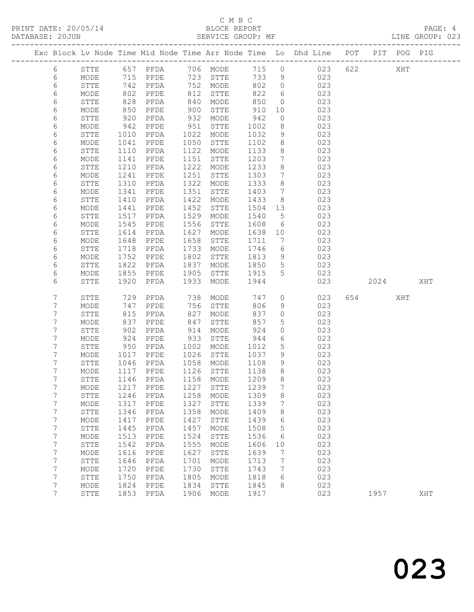### C M B C<br>BLOCK REPORT

LINE GROUP: 023

|                |              |              |                     |              |              |              |                                | Exc Block Lv Node Time Mid Node Time Arr Node Time Lo Dhd Line POT |     |      | PIT POG PIG |     |
|----------------|--------------|--------------|---------------------|--------------|--------------|--------------|--------------------------------|--------------------------------------------------------------------|-----|------|-------------|-----|
| 6              | STTE         |              | 657 PFDA 706 MODE   |              |              |              | 715 0                          | 023                                                                | 622 |      | XHT         |     |
| 6              | MODE         |              | 715 PFDE            |              | 723 STTE     | 733          | 9                              | 023                                                                |     |      |             |     |
| 6              | STTE         | 742          | PFDA                |              | 752 MODE     | 802          | $\overline{0}$                 | 023                                                                |     |      |             |     |
| 6              | MODE         | 802          | PFDE                | 812          | STTE         | 822          | $6\overline{6}$                | 023                                                                |     |      |             |     |
| 6              | STTE         | 828          | PFDA                | 840          | MODE         | 850          | $\overline{0}$                 | 023                                                                |     |      |             |     |
| 6              | MODE         | 850          | PFDE                | 900          | STTE         | 910          | 10                             | 023                                                                |     |      |             |     |
| 6              | STTE         | 920          | PFDA                | 932          | MODE         | 942          | $\overline{0}$                 | 023                                                                |     |      |             |     |
| 6              | MODE         | 942          | PFDE                | 951          | STTE         | 1002         | 8                              | 023                                                                |     |      |             |     |
| 6              | STTE         | 1010         | PFDA                | 1022         | MODE         | 1032         | 9                              | 023                                                                |     |      |             |     |
| 6              | MODE         | 1041         | PFDE                | 1050         | STTE         | 1102         | 8 <sup>8</sup>                 | 023                                                                |     |      |             |     |
| 6              | STTE         | 1110         | PFDA                | 1122         | MODE         | 1133         | 8 <sup>8</sup>                 | 023                                                                |     |      |             |     |
| 6              | MODE         | 1141         | PFDE                | 1151         | STTE         | 1203         | $7\phantom{.0}$                | 023                                                                |     |      |             |     |
| 6              | STTE         | 1210         | PFDA                | 1222         | MODE         | 1233         | 8 <sup>8</sup>                 | 023                                                                |     |      |             |     |
| 6              | MODE         | 1241         | PFDE                | 1251         | STTE         | 1303         | $\overline{7}$                 | 023                                                                |     |      |             |     |
| 6              | STTE         | 1310         | PFDA                | 1322         | MODE         | 1333         | 8 <sup>8</sup>                 | 023                                                                |     |      |             |     |
| 6              | MODE         | 1341         | PFDE                | 1351         | STTE         | 1403         | $7\phantom{.0}\phantom{.0}7$   | 023                                                                |     |      |             |     |
| 6              | STTE         | 1410         | PFDA                | 1422         | MODE         | 1433         | 8 <sup>8</sup>                 | 023                                                                |     |      |             |     |
| 6              | MODE         | 1441         | PFDE                | 1452<br>1529 | STTE         | 1504 13      |                                | 023<br>023                                                         |     |      |             |     |
| 6<br>6         | STTE<br>MODE | 1517<br>1545 | PFDA<br>PFDE        | 1556         | MODE<br>STTE | 1540<br>1608 | $5^{\circ}$<br>$6\overline{6}$ | 023                                                                |     |      |             |     |
| 6              | STTE         | 1614         | PFDA                | 1627         | MODE         | 1638         | 10                             | 023                                                                |     |      |             |     |
| 6              | MODE         | 1648         | PFDE                | 1658         | STTE         | 1711         | $\overline{7}$                 | 023                                                                |     |      |             |     |
| 6              | STTE         | 1718         | PFDA                | 1733         | MODE         | 1746         | 6                              | 023                                                                |     |      |             |     |
| 6              | MODE         | 1752         | PFDE                | 1802         | STTE         | 1813         | 9                              | 023                                                                |     |      |             |     |
| 6              | STTE         | 1822         | PFDA                | 1837         | MODE         | 1850         | $5\overline{)}$                | 023                                                                |     |      |             |     |
| 6              | MODE         | 1855         | PFDE                | 1905         | STTE         | 1915         | 5                              | 023                                                                |     |      |             |     |
| 6              | <b>STTE</b>  | 1920         | PFDA                | 1933         | MODE         | 1944         |                                | 023                                                                |     | 2024 |             | XHT |
|                |              |              |                     |              |              |              |                                |                                                                    |     |      |             |     |
| 7              | STTE         | 729          | PFDA                | 738          | MODE         | 747          | $\circ$                        | 023                                                                |     | 654  | XHT         |     |
| 7              | MODE         | 747          | PFDE                | 756          | STTE         | 806          | 9                              | 023                                                                |     |      |             |     |
| 7              | STTE         | 815          | PFDA                | 827          | MODE         | 837          | $\circ$                        | 023                                                                |     |      |             |     |
| $\overline{7}$ | MODE         | 837          | PFDE                | 847          | STTE         | 857          | $5\phantom{.0}$                | 023                                                                |     |      |             |     |
| 7              | STTE         | 902          | PFDA                | 914          | MODE         | 924          | $\circ$                        | 023                                                                |     |      |             |     |
| 7              | MODE         | 924          | PFDE                | 933          | STTE         | 944          | 6                              | 023                                                                |     |      |             |     |
| 7              | STTE         | 950          | PFDA                | 1002         | MODE         | 1012         | $5\phantom{.}$                 | 023                                                                |     |      |             |     |
| 7<br>7         | MODE         | 1017<br>1046 | PFDE<br>PFDA        | 1026         | STTE         | 1037<br>1108 | 9                              | 023                                                                |     |      |             |     |
| 7              | STTE<br>MODE | 1117         | PFDE                | 1058<br>1126 | MODE<br>STTE | 1138         | 9<br>8 <sup>8</sup>            | 023<br>023                                                         |     |      |             |     |
| 7              | ${\tt STTE}$ |              | 1146 PFDA           |              | 1158 MODE    | 1209         | 8                              | 023                                                                |     |      |             |     |
| 7              | MODE         |              | 1217 PFDE 1227 STTE |              |              | 1239         | $7\overline{ }$                | 023                                                                |     |      |             |     |
| 7              | STTE         | 1246         | PFDA                | 1258         | MODE         | 1309         | 8                              | 023                                                                |     |      |             |     |
| 7              | MODE         | 1317         | PFDE                | 1327         | STTE         | 1339         | 7                              | 023                                                                |     |      |             |     |
| 7              | STTE         | 1346         | PFDA                | 1358         | MODE         | 1409         | 8                              | 023                                                                |     |      |             |     |
| 7              | MODE         | 1417         | PFDE                | 1427         | STTE         | 1439         | 6                              | 023                                                                |     |      |             |     |
| 7              | STTE         | 1445         | PFDA                | 1457         | MODE         | 1508         | 5                              | 023                                                                |     |      |             |     |
| 7              | MODE         | 1513         | PFDE                | 1524         | STTE         | 1536         | 6                              | 023                                                                |     |      |             |     |
| $\overline{7}$ | STTE         | 1542         | PFDA                | 1555         | MODE         | 1606         | 10                             | 023                                                                |     |      |             |     |
| 7              | MODE         | 1616         | PFDE                | 1627         | STTE         | 1639         | 7                              | 023                                                                |     |      |             |     |
| 7              | STTE         | 1646         | PFDA                | 1701         | MODE         | 1713         | 7                              | 023                                                                |     |      |             |     |
| 7              | MODE         | 1720         | PFDE                | 1730         | STTE         | 1743         | 7                              | 023                                                                |     |      |             |     |
| 7              | STTE         | 1750         | PFDA                | 1805         | MODE         | 1818         | 6                              | 023                                                                |     |      |             |     |
| $\overline{7}$ | MODE         | 1824         | PFDE                | 1834         | STTE         | 1845         | 8                              | 023                                                                |     |      |             |     |

7 STTE 1853 PFDA 1906 MODE 1917 023 1957 XHT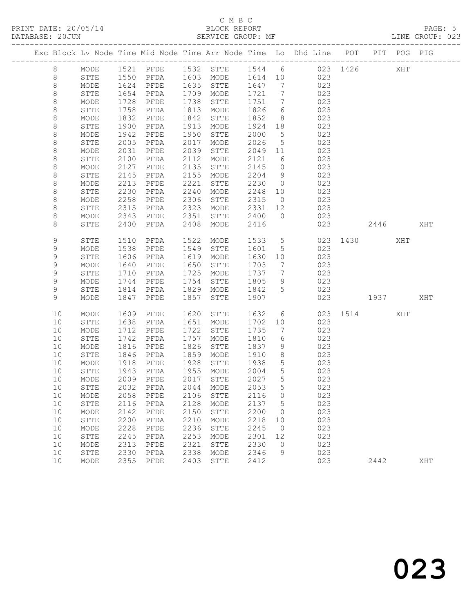#### C M B C<br>BLOCK REPORT SERVICE GROUP: MF

|  |         |              |      |                        |      |                                    |         |                 | Exc Block Lv Node Time Mid Node Time Arr Node Time Lo Dhd Line POT |          |      | PIT POG PIG |     |
|--|---------|--------------|------|------------------------|------|------------------------------------|---------|-----------------|--------------------------------------------------------------------|----------|------|-------------|-----|
|  | 8       | MODE         |      |                        |      |                                    |         |                 | 1521 PFDE 1532 STTE 1544 6 023 1426                                |          |      | XHT         |     |
|  | 8       | STTE         |      |                        |      | 1603 MODE                          | 1614 10 |                 | 023                                                                |          |      |             |     |
|  | $\,8\,$ | MODE         |      | 1550 PFDA<br>1624 PFDE |      | 1635 STTE                          | 1647    | $7\overline{ }$ | 023                                                                |          |      |             |     |
|  | 8       | STTE         | 1654 | PFDA                   | 1709 | MODE                               | 1721    | $\overline{7}$  | 023                                                                |          |      |             |     |
|  | $\,8\,$ | MODE         | 1728 | PFDE                   | 1738 | STTE                               | 1751    | $7\overline{ }$ | 023                                                                |          |      |             |     |
|  | $\,8\,$ | STTE         | 1758 | PFDA                   | 1813 | MODE                               | 1826    | 6               | 023                                                                |          |      |             |     |
|  | $\,8\,$ | MODE         | 1832 | PFDE                   | 1842 | STTE                               | 1852    | 8 <sup>8</sup>  | 023                                                                |          |      |             |     |
|  | 8       | STTE         | 1900 | PFDA                   | 1913 | MODE                               | 1924 18 |                 | 023                                                                |          |      |             |     |
|  | $\,8\,$ | MODE         | 1942 | PFDE                   | 1950 | STTE                               | 2000    | $5^{\circ}$     | 023                                                                |          |      |             |     |
|  | $\,8\,$ | STTE         | 2005 | PFDA                   | 2017 | MODE                               | 2026    | $5\overline{)}$ | 023                                                                |          |      |             |     |
|  | $\,8\,$ | MODE         | 2031 | PFDE                   | 2039 | STTE                               | 2049 11 |                 | 023                                                                |          |      |             |     |
|  | 8       | STTE         | 2100 | PFDA                   | 2112 | MODE                               | 2121    | 6               | 023                                                                |          |      |             |     |
|  | 8       | MODE         | 2127 | PFDE                   | 2135 | STTE                               | 2145    | $\overline{0}$  | 023                                                                |          |      |             |     |
|  | 8       | STTE         | 2145 | PFDA                   | 2155 | MODE                               | 2204    | 9               | 023                                                                |          |      |             |     |
|  | $\,8\,$ | MODE         | 2213 | PFDE                   | 2221 | STTE                               | 2230    | $\overline{0}$  | 023                                                                |          |      |             |     |
|  | 8       | STTE         | 2230 | PFDA                   | 2240 | MODE                               | 2248    | 10              | 023                                                                |          |      |             |     |
|  | 8       | MODE         | 2258 | PFDE                   | 2306 | STTE                               | 2315    | $\overline{0}$  | 023                                                                |          |      |             |     |
|  | 8       | STTE         | 2315 | PFDA                   | 2323 | MODE                               | 2331    | 12              | 023                                                                |          |      |             |     |
|  | 8       | MODE         | 2343 | PFDE                   | 2351 | STTE                               | 2400 0  |                 | 023                                                                |          |      |             |     |
|  | 8       | STTE         | 2400 | PFDA                   | 2408 | MODE                               | 2416    |                 | 023                                                                |          | 2446 |             | XHT |
|  |         |              |      |                        |      |                                    |         |                 |                                                                    |          |      |             |     |
|  | 9       | STTE         | 1510 | PFDA                   | 1522 | MODE                               | 1533    | $5\overline{)}$ |                                                                    | 023 1430 |      | XHT         |     |
|  | 9       | MODE         | 1538 | PFDE                   | 1549 | STTE                               | 1601    | $5\overline{)}$ | 023                                                                |          |      |             |     |
|  | 9       | ${\tt STTE}$ | 1606 | PFDA                   | 1619 | MODE                               | 1630    | 10              | 023                                                                |          |      |             |     |
|  | 9       | MODE         | 1640 | PFDE                   | 1650 | STTE                               | 1703    | $\overline{7}$  | 023                                                                |          |      |             |     |
|  | 9       | STTE         | 1710 | PFDA                   | 1725 | MODE                               | 1737    | $\overline{7}$  | 023                                                                |          |      |             |     |
|  | 9       | MODE         | 1744 | PFDE                   | 1754 | STTE                               | 1805    | 9               | 023                                                                |          |      |             |     |
|  | 9       | STTE         | 1814 | PFDA                   | 1829 | MODE                               | 1842    | $5\overline{)}$ | 023                                                                |          |      |             |     |
|  | 9       | MODE         | 1847 | PFDE                   | 1857 | STTE                               | 1907    |                 | 023                                                                | 1937     |      |             | XHT |
|  |         |              |      |                        |      |                                    |         |                 |                                                                    |          |      |             |     |
|  | 10      | MODE         | 1609 | PFDE                   | 1620 | STTE                               | 1632    | 6               |                                                                    | 023 1514 |      | XHT         |     |
|  | 10      | STTE         | 1638 | PFDA                   | 1651 | MODE                               | 1702    | 10              | 023                                                                |          |      |             |     |
|  | 10      | MODE         | 1712 | PFDE                   | 1722 | STTE                               | 1735    | $\overline{7}$  | 023                                                                |          |      |             |     |
|  | 10      | STTE         | 1742 | PFDA                   | 1757 | MODE                               | 1810    | 6               | 023                                                                |          |      |             |     |
|  | 10      | MODE         | 1816 | PFDE                   | 1826 | STTE                               | 1837    | 9               | 023                                                                |          |      |             |     |
|  | 10      | STTE         | 1846 | PFDA                   | 1859 | MODE                               | 1910    | 8 <sup>8</sup>  | 023                                                                |          |      |             |     |
|  | 10      | MODE         | 1918 | PFDE                   | 1928 | STTE                               | 1938    | $5\overline{)}$ | 023                                                                |          |      |             |     |
|  | 10      | STTE         | 1943 | PFDA                   |      | 1955 MODE                          | 2004    | $5^{\circ}$     | 023                                                                |          |      |             |     |
|  | 10      | MODE         | 2009 | PFDE                   |      | 2017 STTE                          | 2027    | $5\overline{)}$ | 023                                                                |          |      |             |     |
|  |         |              |      |                        |      | 10 STTE 2032 PFDA 2044 MODE 2053 5 |         |                 | 023                                                                |          |      |             |     |
|  | 10      | MODE         | 2058 | PFDE                   | 2106 | STTE                               | 2116    | $\circ$         | 023                                                                |          |      |             |     |
|  | 10      | STTE         | 2116 | PFDA                   | 2128 | MODE                               | 2137    | 5               | 023                                                                |          |      |             |     |
|  | 10      | MODE         | 2142 | PFDE                   | 2150 | STTE                               | 2200    | 0               | 023                                                                |          |      |             |     |
|  | 10      | STTE         | 2200 | PFDA                   | 2210 | MODE                               | 2218    | 10              | 023                                                                |          |      |             |     |
|  | 10      | $\sf{MODE}$  | 2228 | PFDE                   | 2236 | STTE                               | 2245    | $\overline{0}$  | 023                                                                |          |      |             |     |
|  | 10      | STTE         | 2245 | PFDA                   | 2253 | MODE                               | 2301    | 12              | 023                                                                |          |      |             |     |
|  | 10      | MODE         | 2313 | PFDE                   | 2321 | STTE                               | 2330    | 0               | 023                                                                |          |      |             |     |
|  |         |              |      |                        |      |                                    |         |                 |                                                                    |          |      |             |     |

10 STTE 2330 PFDA 2338 MODE 2346 9 023

10 MODE 2355 PFDE 2403 STTE 2412 023 2442 XHT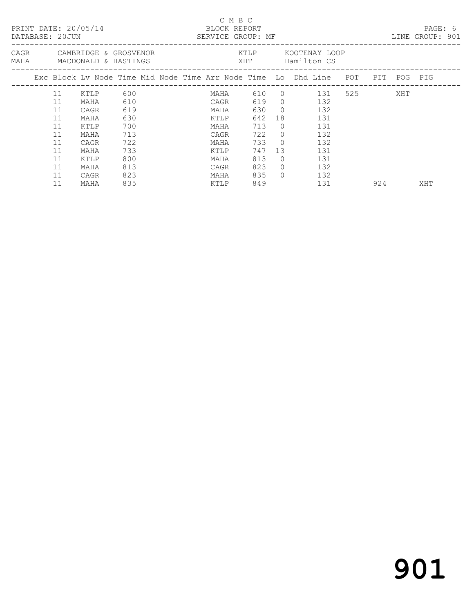|  | DATABASE: 20JUN | PRINT DATE: 20/05/14                                    |     |  | C M B C<br>BLOCK REPORT<br>SERVICE GROUP: MF |       |            |                                                                                                              |  |           | PAGE: 6<br>LINE GROUP: 901 |  |
|--|-----------------|---------------------------------------------------------|-----|--|----------------------------------------------|-------|------------|--------------------------------------------------------------------------------------------------------------|--|-----------|----------------------------|--|
|  |                 | CAGR CAMBRIDGE & GROSVENOR<br>MAHA MACDONALD & HASTINGS |     |  |                                              |       |            | KTLP KOOTENAY LOOP<br>XHT Hamilton CS                                                                        |  |           |                            |  |
|  |                 |                                                         |     |  |                                              |       |            | Exc Block Lv Node Time Mid Node Time Arr Node Time Lo Dhd Line POT PIT POG PIG<br>-------------------------- |  |           |                            |  |
|  | 11              | KTLP                                                    | 600 |  |                                              |       |            | MAHA 610 0 131 525                                                                                           |  | XHT       |                            |  |
|  | 11              | MAHA                                                    | 610 |  | CAGR                                         |       |            | 619 0 132                                                                                                    |  |           |                            |  |
|  | 11              | CAGR                                                    | 619 |  | MAHA                                         | 630 0 |            | 132                                                                                                          |  |           |                            |  |
|  | 11              | MAHA                                                    | 630 |  | KTLP                                         | 642   | 18         | 131                                                                                                          |  |           |                            |  |
|  | 11              | KTLP                                                    | 700 |  | MAHA                                         | 713   | $\bigcirc$ | 131                                                                                                          |  |           |                            |  |
|  | 11              | MAHA                                                    | 713 |  | CAGR                                         | 722 0 |            | 132                                                                                                          |  |           |                            |  |
|  | 11              | CAGR                                                    | 722 |  | MAHA                                         | 733 0 |            | 132                                                                                                          |  |           |                            |  |
|  | 11              | MAHA                                                    | 733 |  | KTLP                                         | 747   | 13         | 131                                                                                                          |  |           |                            |  |
|  | 11              | KTLP                                                    | 800 |  | MAHA                                         | 813   | $\Omega$   | 131                                                                                                          |  |           |                            |  |
|  | 11              | MAHA                                                    | 813 |  | CAGR                                         | 823   | $\bigcirc$ | 132                                                                                                          |  |           |                            |  |
|  | 11              | CAGR                                                    | 823 |  | MAHA                                         | 835   | $\bigcap$  | 132                                                                                                          |  |           |                            |  |
|  | 11              | MAHA                                                    | 835 |  | KTLP                                         | 849   |            | 131                                                                                                          |  | 924 — 100 | XHT                        |  |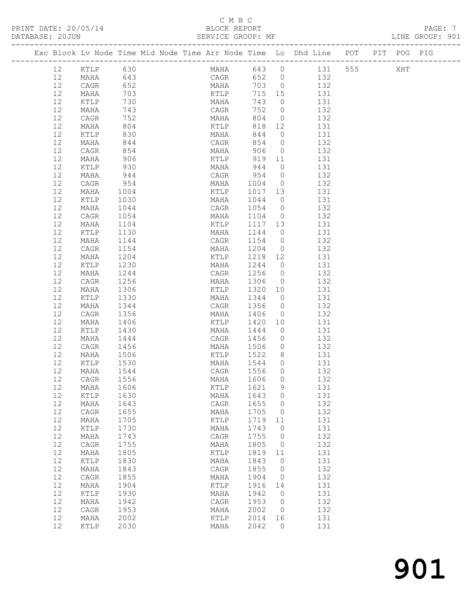#### C M B C

| DATABASE: 20JUN |                   |              |      |  | SERVICE GROUP: MF         |         |                |                                                                                |  |     | LINE GROUP: 901 |  |
|-----------------|-------------------|--------------|------|--|---------------------------|---------|----------------|--------------------------------------------------------------------------------|--|-----|-----------------|--|
|                 |                   |              |      |  |                           |         |                | Exc Block Lv Node Time Mid Node Time Arr Node Time Lo Dhd Line POT PIT POG PIG |  |     |                 |  |
|                 | 12 <sup>°</sup>   | KTLP         | 630  |  | MAHA 643 0                |         |                | 131 555                                                                        |  | XHT |                 |  |
|                 | 12 <sup>°</sup>   | MAHA         | 643  |  | CAGR 652 0                |         |                | 132                                                                            |  |     |                 |  |
|                 | $12 \overline{ }$ | CAGR<br>MAHA | 652  |  | MAHA 703 0<br>KTLP 715 15 |         |                | 132                                                                            |  |     |                 |  |
|                 | 12                | MAHA         | 703  |  |                           |         |                | 131                                                                            |  |     |                 |  |
|                 | 12                | KTLP         | 730  |  | MAHA                      | 743 0   |                | 131                                                                            |  |     |                 |  |
|                 | 12                | MAHA         | 743  |  | CAGR                      | 752 0   |                | 132                                                                            |  |     |                 |  |
|                 | 12                | CAGR         | 752  |  | MAHA 804 0                |         |                | 132                                                                            |  |     |                 |  |
|                 | 12                | MAHA         | 804  |  | KTLP 818 12               |         |                | 131                                                                            |  |     |                 |  |
|                 | 12                | KTLP         | 830  |  | MAHA 844 0                |         |                | 131                                                                            |  |     |                 |  |
|                 | 12                | MAHA         | 844  |  | CAGR                      | 854 0   |                | 132                                                                            |  |     |                 |  |
|                 | 12                | CAGR         | 854  |  | MAHA                      | 906 0   |                | 132                                                                            |  |     |                 |  |
|                 | 12                | MAHA         | 906  |  | KTLP                      | 919 11  |                | 131                                                                            |  |     |                 |  |
|                 | 12                | KTLP         | 930  |  | MAHA                      | $944$ 0 |                | 131                                                                            |  |     |                 |  |
|                 | 12                | MAHA         | 944  |  | CAGR 954 0                |         |                | 132                                                                            |  |     |                 |  |
|                 | 12                | CAGR         | 954  |  | MAHA                      | 1004 0  |                | 132                                                                            |  |     |                 |  |
|                 | 12                | MAHA         | 1004 |  | KTLP                      | 1017 13 |                | 131                                                                            |  |     |                 |  |
|                 | 12                | KTLP         | 1030 |  | MAHA                      | 1044    | $\circ$        | 131                                                                            |  |     |                 |  |
|                 | 12                | MAHA         | 1044 |  | CAGR                      | 1054    | $\circ$        | 132                                                                            |  |     |                 |  |
|                 | 12                | CAGR         | 1054 |  | MAHA                      | 1104    | $\overline{0}$ | 132                                                                            |  |     |                 |  |
|                 | 12                | MAHA         | 1104 |  | KTLP                      | 1117 13 |                | 131                                                                            |  |     |                 |  |
|                 | 12                | KTLP         | 1130 |  | MAHA                      | 1144    | $\overline{0}$ | 131                                                                            |  |     |                 |  |
|                 | 12                | MAHA         | 1144 |  | CAGR                      | 1154 0  |                | 132                                                                            |  |     |                 |  |
|                 | 12                | CAGR         | 1154 |  | MAHA                      | 1204    | $\overline{0}$ | 132                                                                            |  |     |                 |  |
|                 | 12                | MAHA         | 1204 |  | KTLP                      | 1218 12 |                | 131                                                                            |  |     |                 |  |
|                 | 12                | KTLP         | 1230 |  | MAHA                      | 1244 0  |                | 131                                                                            |  |     |                 |  |
|                 | 12                | MAHA         | 1244 |  | CAGR                      | 1256    | $\overline{0}$ | 132                                                                            |  |     |                 |  |
|                 | 12                | CAGR         | 1256 |  | MAHA                      | 1306    | $\overline{0}$ | 132                                                                            |  |     |                 |  |
|                 | 12                | MAHA         | 1306 |  | KTLP                      | 1320    | 10             | 131                                                                            |  |     |                 |  |
|                 | 12                | KTLP         | 1330 |  | MAHA                      | 1344    | $\overline{0}$ | 131                                                                            |  |     |                 |  |
|                 | 12                | MAHA         | 1344 |  | CAGR                      | 1356 0  |                | 132                                                                            |  |     |                 |  |
|                 | 12                | CAGR         | 1356 |  | MAHA                      | 1406    | $\overline{0}$ | 132                                                                            |  |     |                 |  |
|                 | 12                | MAHA         | 1406 |  | KTLP                      | 1420 10 |                | 131                                                                            |  |     |                 |  |
|                 | 12                | KTLP         | 1430 |  | MAHA                      | 1444 0  |                | 131                                                                            |  |     |                 |  |
|                 | 12                | MAHA         | 1444 |  | CAGR                      | 1456    | $\circ$        | 132                                                                            |  |     |                 |  |
|                 | 12                | CAGR         | 1456 |  | MAHA                      | 1506    | $\circ$        | 132                                                                            |  |     |                 |  |
|                 | 12                | MAHA         | 1506 |  | KTLP                      | 1522    | 8              | 131                                                                            |  |     |                 |  |

 12 MAHA 1506 KTLP 1522 8 131 12 KTLP 1530 MAHA 1544 0 131 12 MAHA 1544 CAGR 1556 0 132 12 CAGR 1556 MAHA 1606 0 132 12 MAHA 1606 KTLP 1621 9 131 12 KTLP 1630 MAHA 1643 0 131 12 MAHA 1643 CAGR 1655 0 132 12 CAGR 1655 MAHA 1705 0 132

 12 KTLP 1730 MAHA 1743 0 131 12 MAHA 1743 CAGR 1755 0 132 12 CAGR 1755 MAHA 1805 0 132

 12 KTLP 1830 MAHA 1843 0 131 12 MAHA 1843 CAGR 1855 0 132 12 CAGR 1855 MAHA 1904 0 132

 12 KTLP 1930 MAHA 1942 0 131 12 MAHA 1942 CAGR 1953 0 132 12 CAGR 1953 MAHA 2002 0 132 12 MAHA 2002 KTLP 2014 16 131 12 KTLP 2030 MAHA 2042 0 131

12 MAHA 1705 KTLP 1719 11 131

12 MAHA 1805 KTLP 1819 11 131

12 MAHA 1904 KTLP 1916 14 131

# 901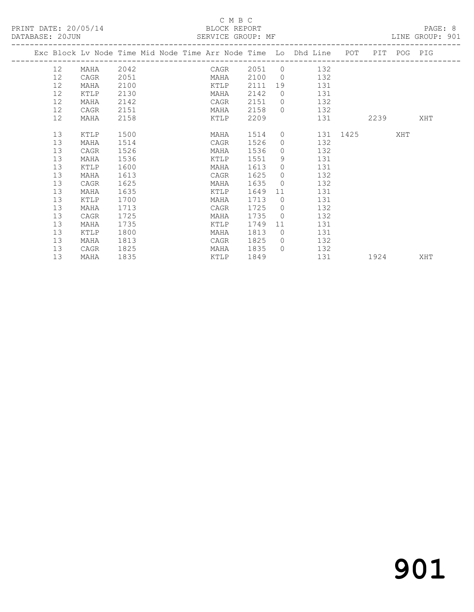#### C M B C<br>BLOCK REPORT

| DATABASE: 20JUN |                 |                                                                                |      |  |      |      |                |                                       |          |      | LINE GROUP: 901 |  |
|-----------------|-----------------|--------------------------------------------------------------------------------|------|--|------|------|----------------|---------------------------------------|----------|------|-----------------|--|
|                 |                 | Exc Block Lv Node Time Mid Node Time Arr Node Time Lo Dhd Line POT PIT POG PIG |      |  |      |      |                |                                       |          |      |                 |  |
|                 |                 | 12 MAHA 2042                                                                   |      |  |      |      |                | CAGR 2051 0 132                       |          |      |                 |  |
|                 | 12              | CAGR                                                                           | 2051 |  |      |      |                | MAHA 2100 0 132                       |          |      |                 |  |
|                 | 12              | MAHA                                                                           | 2100 |  |      |      |                | KTLP 2111 19 131                      |          |      |                 |  |
|                 | 12              | KTLP                                                                           | 2130 |  | MAHA | 2142 |                | 0 131                                 |          |      |                 |  |
|                 | 12              | MAHA                                                                           | 2142 |  | CAGR | 2151 |                | $0$ 132                               |          |      |                 |  |
|                 | 12 <sup>°</sup> | CAGR                                                                           | 2151 |  | MAHA | 2158 |                | $0$ 132                               |          |      |                 |  |
|                 | 12              | MAHA                                                                           | 2158 |  | KTLP | 2209 |                |                                       | 131      | 2239 | XHT             |  |
|                 | 13              | <b>KTLP</b>                                                                    | 1500 |  | MAHA | 1514 |                | 0 131 1425 XHT                        |          |      |                 |  |
|                 | 13              | MAHA                                                                           | 1514 |  | CAGR | 1526 |                | $0$ 132                               |          |      |                 |  |
|                 | 13              | CAGR                                                                           | 1526 |  | MAHA | 1536 |                | 132<br>$\overline{0}$                 |          |      |                 |  |
|                 | 13              | MAHA                                                                           | 1536 |  | KTLP | 1551 |                | $9 \left( \frac{1}{2} \right)$<br>131 |          |      |                 |  |
|                 | 13              | KTLP                                                                           | 1600 |  | MAHA | 1613 | $\circ$        | 131                                   |          |      |                 |  |
|                 | 13              | MAHA                                                                           | 1613 |  | CAGR | 1625 |                | $\Omega$<br>132                       |          |      |                 |  |
|                 | 13              | CAGR                                                                           | 1625 |  | MAHA | 1635 |                | 132<br>$\Omega$                       |          |      |                 |  |
|                 | 13              | MAHA                                                                           | 1635 |  | KTLP | 1649 | 11             | 131                                   |          |      |                 |  |
|                 | 13              | KTLP                                                                           | 1700 |  | MAHA | 1713 |                | 131<br>$\overline{0}$                 |          |      |                 |  |
|                 | 13              | MAHA                                                                           | 1713 |  | CAGR | 1725 |                | 132<br>$\Omega$                       |          |      |                 |  |
|                 | 13              | CAGR                                                                           | 1725 |  | MAHA | 1735 | $\overline{0}$ | 132                                   |          |      |                 |  |
|                 | 13              | MAHA                                                                           | 1735 |  | KTLP | 1749 |                | 131<br>11 —                           |          |      |                 |  |
|                 | 13              | KTLP                                                                           | 1800 |  | MAHA | 1813 |                | $\bigcirc$<br>131                     |          |      |                 |  |
|                 | 13              | MAHA                                                                           | 1813 |  | CAGR | 1825 |                | $0$ 132                               |          |      |                 |  |
|                 | 13              | CAGR                                                                           | 1825 |  | MAHA | 1835 |                | $0$ 132                               |          |      |                 |  |
|                 | 13              | MAHA                                                                           | 1835 |  | KTLP | 1849 |                |                                       | 131 1924 |      | XHT             |  |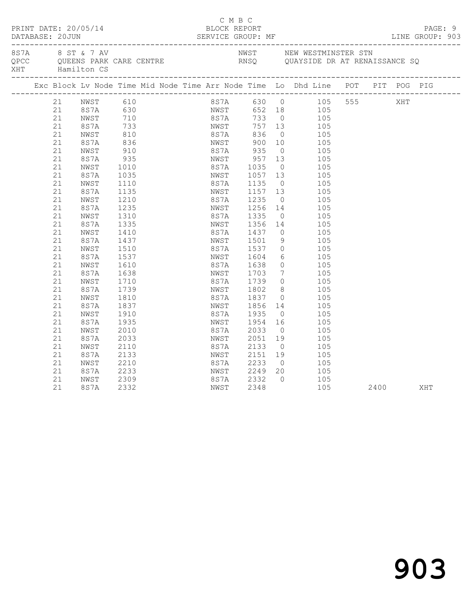|      | PRINT DATE: 20/05/14                                                                                                                                                                         |                                                                                                                                                                                                                                                                                 |                                                                                                                                                                                                                                                          |                              |                                                                                                                                                                                                          | C M B C<br>BLOCK REPORT                                                                                                                                                                                                                              |                                                                                                                                                            | DATABASE: 20JUN SERVICE GROUP: MF LINE GROUP: 903                                                                                                                                                                                                                                                                                                                                                                                                                                         |              |  | PAGE: 9<br>LINE GROUP: 903 |  |
|------|----------------------------------------------------------------------------------------------------------------------------------------------------------------------------------------------|---------------------------------------------------------------------------------------------------------------------------------------------------------------------------------------------------------------------------------------------------------------------------------|----------------------------------------------------------------------------------------------------------------------------------------------------------------------------------------------------------------------------------------------------------|------------------------------|----------------------------------------------------------------------------------------------------------------------------------------------------------------------------------------------------------|------------------------------------------------------------------------------------------------------------------------------------------------------------------------------------------------------------------------------------------------------|------------------------------------------------------------------------------------------------------------------------------------------------------------|-------------------------------------------------------------------------------------------------------------------------------------------------------------------------------------------------------------------------------------------------------------------------------------------------------------------------------------------------------------------------------------------------------------------------------------------------------------------------------------------|--------------|--|----------------------------|--|
| 8S7A | XHT Hamilton CS                                                                                                                                                                              |                                                                                                                                                                                                                                                                                 | 8 ST & 7 AV                                                                                                                                                                                                                                              | QPCC QUEENS PARK CARE CENTRE |                                                                                                                                                                                                          |                                                                                                                                                                                                                                                      |                                                                                                                                                            | NWST        NEW WESTMINSTER STN<br>RNSQ       QUAYSIDE DR AT RENAISSANCE SQ                                                                                                                                                                                                                                                                                                                                                                                                               |              |  |                            |  |
|      |                                                                                                                                                                                              |                                                                                                                                                                                                                                                                                 |                                                                                                                                                                                                                                                          |                              |                                                                                                                                                                                                          |                                                                                                                                                                                                                                                      |                                                                                                                                                            | Exc Block Lv Node Time Mid Node Time Arr Node Time Lo Dhd Line POT PIT POG PIG                                                                                                                                                                                                                                                                                                                                                                                                            |              |  |                            |  |
|      | 21<br>21<br>21<br>21<br>21<br>21<br>21<br>21<br>21<br>21<br>21<br>21<br>21<br>21<br>21<br>21<br>21<br>21<br>21<br>21<br>21<br>21<br>21<br>21<br>21<br>21<br>21<br>21<br>21<br>21<br>21<br>21 | 21 NWST 610<br>8S7A 630<br>NWST<br>8S7A<br>NWST<br>8S7A<br>NWST<br>8S7A<br>NWST<br>8S7A<br>NWST<br>8S7A<br>NWST<br>8S7A<br>NWST<br>8S7A<br>NWST<br>8S7A<br>NWST<br>8S7A<br>NWST<br>8S7A<br>NWST<br>8S7A<br>NWST<br>8S7A<br>NWST<br>8S7A<br>NWST<br>8S7A<br>NWST<br>8S7A<br>NWST | $710$<br>$733$<br>$810$<br>$836$<br>$910$<br>935<br>1010<br>1035<br>1110<br>1135<br>1210<br>1235<br>1310<br>1335<br>1410<br>1437<br>1510<br>1537<br>1610<br>1638<br>1710<br>1739<br>1810<br>1837<br>1910<br>1935<br>2010<br>2033<br>2110<br>2133<br>2210 |                              | 8S7A<br>NWST<br>NWST<br>8 S 7 A<br>NWST<br>8 S 7 A<br>NWST<br>8S7A<br>NWST<br>8S7A<br>NWST<br>8S7A<br>NWST<br>8S7A<br>NWST<br>8 S 7 A<br>NWST<br>8S7A<br>NWST<br>8S7A<br>NWST<br>8 S 7 A<br>NWST<br>8S7A | 836<br>900 10<br>8S7A 935<br>NWST 957<br>8S7A 1035<br>1057 13<br>1235 0<br>1256 14<br>1335<br>1356<br>1437<br>1501<br>1537<br>1604<br>1638<br>1703<br>1739<br>NWST 1802<br>8S7A 1837<br>1856<br>1935<br>1954<br>2033<br>2051<br>2133<br>2151<br>2233 | 13<br>$\overline{0}$<br>$\overline{0}$<br>$\overline{0}$<br>9<br>$7\overline{ }$<br>$\overline{0}$<br>$\overline{0}$<br>$\overline{0}$<br>19<br>$\bigcirc$ | 8S7A 630 0 105 555 XHT<br>NWST 652 18 105<br>8S7A 733 0 105<br>NWST 757 13 105<br>$0$ 105<br>105<br>$0$ 105<br>105<br>105<br>105<br>1135 0 105<br>1157 13 105<br>105<br>105<br>$0$ 105<br>105<br>14<br>105<br>105<br>$\begin{array}{c} 0 \\ 6 \end{array}$<br>105<br>105<br>$0$ 105<br>105<br>$\begin{matrix} 0 & 105 \end{matrix}$<br>8 <sup>1</sup><br>105<br>105<br>14<br>105<br>105<br>$\frac{16}{16}$ $\frac{105}{105}$<br>105<br>105<br>$\overline{O}$<br>105<br>$19 \t 105$<br>105 |              |  |                            |  |
|      | 21<br>21<br>21                                                                                                                                                                               | 8S7A<br>NWST<br>8S7A                                                                                                                                                                                                                                                            | 2233<br>2309<br>2332                                                                                                                                                                                                                                     |                              | NWST<br>8S7A<br>NWST                                                                                                                                                                                     | 2249<br>2332<br>2348                                                                                                                                                                                                                                 | 20<br>$\bigcirc$                                                                                                                                           | 105<br>105                                                                                                                                                                                                                                                                                                                                                                                                                                                                                | 105 2400 XHT |  |                            |  |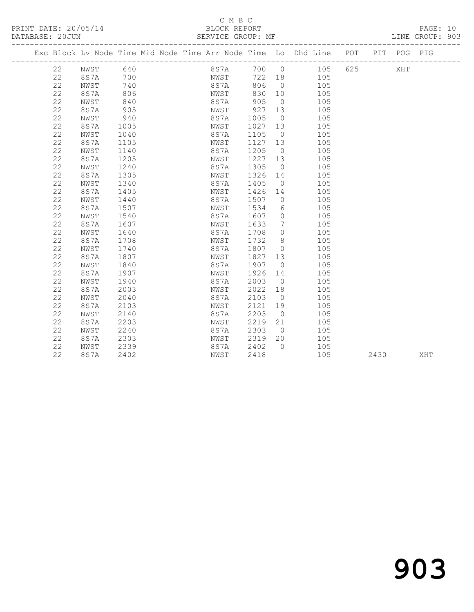#### C M B C

| DATABASE: 20JUN |      |      |  | SERVICE GROUP: MF |      |                |                                                                    |     |             | LINE GROUP: 903 |
|-----------------|------|------|--|-------------------|------|----------------|--------------------------------------------------------------------|-----|-------------|-----------------|
|                 |      |      |  |                   |      |                | Exc Block Lv Node Time Mid Node Time Arr Node Time Lo Dhd Line POT |     | PIT POG PIG |                 |
| 22              | NWST | 640  |  | 8S7A              | 700  | $\overline{0}$ | 105                                                                | 625 | XHT         |                 |
| 22              | 8S7A | 700  |  | NWST              | 722  | 18             | 105                                                                |     |             |                 |
| 22              | NWST | 740  |  | 8S7A              | 806  | $\Omega$       | 105                                                                |     |             |                 |
| 22              | 8S7A | 806  |  | NWST              | 830  | 10             | 105                                                                |     |             |                 |
| 22              | NWST | 840  |  | 8S7A              | 905  | $\Omega$       | 105                                                                |     |             |                 |
| 22              | 8S7A | 905  |  | NWST              | 927  | 13             | 105                                                                |     |             |                 |
| 22              | NWST | 940  |  | 8S7A              | 1005 | $\overline{0}$ | 105                                                                |     |             |                 |
| 22              | 8S7A | 1005 |  | NWST              | 1027 | 13             | 105                                                                |     |             |                 |
| 22              | NWST | 1040 |  | 8S7A              | 1105 | $\overline{0}$ | 105                                                                |     |             |                 |
| 22              | 8S7A | 1105 |  | NWST              | 1127 | 13             | 105                                                                |     |             |                 |
| 22              | NWST | 1140 |  | 8S7A              | 1205 | $\overline{0}$ | 105                                                                |     |             |                 |
| 22              | 8S7A | 1205 |  | NWST              | 1227 | 13             | 105                                                                |     |             |                 |
| 22              | NWST | 1240 |  | 8S7A              | 1305 | $\overline{0}$ | 105                                                                |     |             |                 |
| 22              | 8S7A | 1305 |  | NWST              | 1326 | 14             | 105                                                                |     |             |                 |
| 22              | NWST | 1340 |  | 8S7A              | 1405 | $\circ$        | 105                                                                |     |             |                 |
| 22              | 8S7A | 1405 |  | NWST              | 1426 | 14             | 105                                                                |     |             |                 |
| 22              | NWST | 1440 |  | 8S7A              | 1507 | $\Omega$       | 105                                                                |     |             |                 |
| 22              | 8S7A | 1507 |  | NWST              | 1534 | 6              | 105                                                                |     |             |                 |
| 22              | NWST | 1540 |  | 8S7A              | 1607 | 0              | 105                                                                |     |             |                 |
| 22              | 8S7A | 1607 |  | NWST              | 1633 | 7              | 105                                                                |     |             |                 |
| 22              | NWST | 1640 |  | 8S7A              | 1708 | $\circ$        | 105                                                                |     |             |                 |
| 22              | 8S7A | 1708 |  | NWST              | 1732 | 8              | 105                                                                |     |             |                 |
| 22              | NWST | 1740 |  | 8S7A              | 1807 | $\circ$        | 105                                                                |     |             |                 |
| 22              | 8S7A | 1807 |  | NWST              | 1827 | 13             | 105                                                                |     |             |                 |
| 22              | NWST | 1840 |  | 8S7A              | 1907 | $\Omega$       | 105                                                                |     |             |                 |
| 22              | 8S7A | 1907 |  | NWST              | 1926 | 14             | 105                                                                |     |             |                 |
| 22              | NWST | 1940 |  | 8S7A              | 2003 | $\Omega$       | 105                                                                |     |             |                 |
| 22              | 8S7A | 2003 |  | NWST              | 2022 | 18             | 105                                                                |     |             |                 |
| 22              | NWST | 2040 |  | 8S7A              | 2103 | $\bigcirc$     | 105                                                                |     |             |                 |
| 22              | 8S7A | 2103 |  | NWST              | 2121 | 19             | 105                                                                |     |             |                 |
| 22              | NWST | 2140 |  | 8S7A              | 2203 | $\bigcirc$     | 105                                                                |     |             |                 |
| 22              | 8S7A | 2203 |  | NWST              | 2219 | 21             | 105                                                                |     |             |                 |

 22 NWST 2240 8S7A 2303 0 105 22 8S7A 2303 NWST 2319 20 105 22 NWST 2339 8S7A 2402 0 105

22 8S7A 2402 NWST 2418 105 2430 XHT

## 903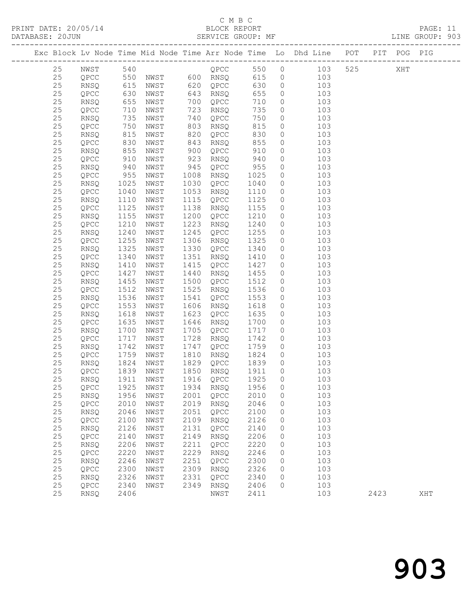#### C M B C<br>BLOCK REPORT

PRINT DATE: 20/05/14 BLOCK REPORT BATABASE: 20JUN

PAGE: 11<br>LINE GROUP: 903

|          |                      |                   |                   |              |                   |                  |                    | Exc Block Lv Node Time Mid Node Time Arr Node Time Lo Dhd Line POT PIT POG PIG |      |     |     |
|----------|----------------------|-------------------|-------------------|--------------|-------------------|------------------|--------------------|--------------------------------------------------------------------------------|------|-----|-----|
| 25       | NWST 540<br>QPCC 550 |                   | <b>QPCC</b> 550 0 |              |                   |                  |                    | 103                                                                            | 525  | XHT |     |
| 25       |                      |                   | NWST 600 RNSQ 615 |              |                   |                  | $\circ$            | 103                                                                            |      |     |     |
| 25       | RNSQ                 | 615               | NWST              |              | 620 QPCC          | 630              | $\circ$            | 103                                                                            |      |     |     |
| $25\,$   | QPCC                 | 630<br>655<br>710 | NWST              |              | 643 RNSQ          | 655              | $\circ$            | 103                                                                            |      |     |     |
| 25       | RNSQ                 |                   | NWST              |              | 700 QPCC          | 710              | $\circ$            | 103                                                                            |      |     |     |
| $2\,5$   | QPCC                 | 710               | NWST              | 723          | RNSQ              | 735              | $\circ$            | 103                                                                            |      |     |     |
| 25       | RNSQ                 | 735               | NWST              |              | 740 QPCC          | 750              | $\circ$            | 103                                                                            |      |     |     |
| $25\,$   | QPCC                 | 750               | NWST              | 803          | RNSQ              | 815              | 0                  | 103                                                                            |      |     |     |
| 25       | <b>RNSQ</b>          | 815<br>830        | NWST              | 820          | QPCC              | 830              | $\circ$            | 103                                                                            |      |     |     |
| 25       | QPCC                 |                   | NWST              | 843          | RNSQ              | 855              | $\circ$            | 103                                                                            |      |     |     |
| 25       | RNSQ                 | 855               | NWST              | 900          | QPCC              | 910              | $\circ$            | 103                                                                            |      |     |     |
| $25\,$   | QPCC                 | 910               | NWST              | 923          | RNSQ              | 940              | $\circ$            | 103                                                                            |      |     |     |
| 25       | RNSQ                 | 940<br>955        | NWST              | 945          | QPCC              | 955              | $\circ$            | 103                                                                            |      |     |     |
| $2\,5$   | QPCC                 |                   | NWST              |              | 1008 RNSQ         | 1025             | $\circ$            | 103                                                                            |      |     |     |
| $25\,$   | RNSQ                 | 1025              | NWST              | 1030         | QPCC              | 1040             | $\circ$            | 103                                                                            |      |     |     |
| $25$     | QPCC                 | 1040              | NWST              | 1053         | RNSQ              | 1110             | $\circ$            | 103                                                                            |      |     |     |
| $25\,$   | RNSQ                 | 1110              | NWST              | 1115         | QPCC              | 1125             | $\circ$            | 103                                                                            |      |     |     |
| $25\,$   | QPCC                 | 1125              | NWST              | 1138         | RNSQ              | 1155             | $\circ$            | 103                                                                            |      |     |     |
| 25       | RNSQ                 | 1155              | NWST              | 1200         | QPCC              | 1210             | $\circ$            | 103                                                                            |      |     |     |
| $25\,$   | QPCC                 | 1210              | NWST              | 1223         | RNSQ              | 1240             | $\circ$            | 103                                                                            |      |     |     |
| $25\,$   | RNSQ                 | 1240              | NWST              | 1245         | QPCC              | 1255             | $\circ$            | 103                                                                            |      |     |     |
| 25       | QPCC                 | 1255              | NWST              |              | 1306 RNSQ         | 1325             | $\circ$            | 103                                                                            |      |     |     |
| $25\,$   | RNSQ                 | 1325              | NWST              | 1330         | QPCC              | 1340             | $\circ$            | 103                                                                            |      |     |     |
| $25\,$   | QPCC                 | 1340              | NWST              | 1351         | RNSQ              | 1410             | $\circ$            | 103                                                                            |      |     |     |
| $25\,$   | RNSQ                 | 1410              | NWST              | 1415         | QPCC              | 1427             | $\circ$            | 103                                                                            |      |     |     |
| 25       | QPCC                 | 1427              | NWST              | 1440         | RNSQ              | 1455             | $\circ$            | 103                                                                            |      |     |     |
| 25       | RNSQ                 | 1455              | NWST              | 1500         | QPCC              | 1512             | $\circ$            | 103                                                                            |      |     |     |
| 25       | QPCC                 | 1512              | NWST              | 1525         | RNSQ              | 1536             | $\circ$            | 103                                                                            |      |     |     |
| $25\,$   | RNSQ                 | 1536              | NWST              | 1541         | QPCC              | 1553             | $\circ$            | 103                                                                            |      |     |     |
| 25       | QPCC                 | 1553              | NWST              |              | 1606 RNSQ         | 1618             | $\circ$            | 103                                                                            |      |     |     |
| 25       | RNSQ                 | 1618              | NWST              |              | 1623 QPCC         | 1635             | $\circ$            | 103                                                                            |      |     |     |
| 25       | QPCC                 | 1635              | NWST              | 1646         | RNSQ              | 1700             | $\circ$            | 103                                                                            |      |     |     |
| $25\,$   | RNSQ                 | 1700              | NWST              | 1705         | QPCC              | 1717             | $\circ$            | 103                                                                            |      |     |     |
| 25       | QPCC                 | 1717              | NWST              | 1728         | RNSQ              | 1742             | $\circ$            | 103                                                                            |      |     |     |
| 25<br>25 | RNSQ                 | 1742<br>1759      | NWST<br>NWST      | 1747<br>1810 | QPCC              | 1759<br>1824     | $\circ$            | 103<br>103                                                                     |      |     |     |
| $25\,$   | QPCC                 | 1824              | NWST              | 1829         | RNSQ              | 1839             | $\circ$<br>$\circ$ | 103                                                                            |      |     |     |
| 25       | RNSQ<br>QPCC         | 1839              | NWST              |              | QPCC<br>1850 RNSQ | 1911             | $\circ$            | 103                                                                            |      |     |     |
| 25       | <b>RNSQ</b>          | 1911              | NWST              |              | 1916 QPCC         | 1925             | $\circ$            | 103                                                                            |      |     |     |
| 25       | QPCC 1925 NWST       |                   |                   |              |                   | 1934 RNSQ 1956 0 |                    | 103                                                                            |      |     |     |
| 25       | <b>RNSQ</b>          | 1956              | NWST              |              | 2001 QPCC         | 2010             | 0                  | 103                                                                            |      |     |     |
| 25       | QPCC                 | 2010              | NWST              |              | 2019 RNSQ         | 2046             | $\circ$            | 103                                                                            |      |     |     |
| 25       | RNSQ                 | 2046              | NWST              | 2051         | QPCC              | 2100             | 0                  | 103                                                                            |      |     |     |
| 25       | QPCC                 | 2100              | NWST              | 2109         | RNSQ              | 2126             | 0                  | 103                                                                            |      |     |     |
| $25\,$   | RNSQ                 | 2126              | NWST              | 2131         | QPCC              | 2140             | 0                  | 103                                                                            |      |     |     |
| 25       | QPCC                 | 2140              | NWST              | 2149         | RNSQ              | 2206             | $\circ$            | 103                                                                            |      |     |     |
| 25       | RNSQ                 | 2206              | NWST              | 2211         | QPCC              | 2220             | $\circ$            | 103                                                                            |      |     |     |
| 25       | QPCC                 | 2220              | NWST              | 2229         | RNSQ              | 2246             | 0                  | 103                                                                            |      |     |     |
| 25       | RNSQ                 | 2246              | NWST              | 2251         | QPCC              | 2300             | $\circ$            | 103                                                                            |      |     |     |
| $25\,$   | QPCC                 | 2300              | NWST              | 2309         | RNSQ              | 2326             | 0                  | 103                                                                            |      |     |     |
| 25       | RNSQ                 | 2326              | NWST              | 2331         | QPCC              | 2340             | $\circ$            | 103                                                                            |      |     |     |
| 25       | QPCC                 | 2340              | NWST              | 2349         | RNSQ              | 2406             | 0                  | 103                                                                            |      |     |     |
| 25       | RNSQ                 | 2406              |                   |              | NWST              | 2411             |                    | 103                                                                            | 2423 |     | XHT |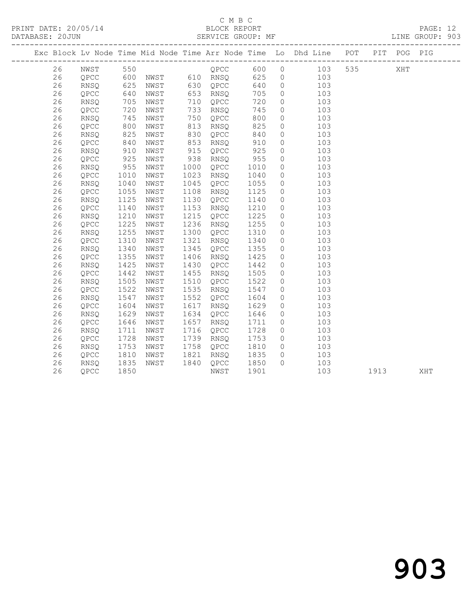PRINT DATE: 20/05/14 BLOCK REPORT BATABASE: 20JUN

#### C M B C<br>BLOCK REPORT

PAGE: 12<br>LINE GROUP: 903

|    |                                              |                   |      |      |          |      |                | Exc Block Lv Node Time Mid Node Time Arr Node Time Lo Dhd Line POT |     |      | PIT POG PIG |     |
|----|----------------------------------------------|-------------------|------|------|----------|------|----------------|--------------------------------------------------------------------|-----|------|-------------|-----|
| 26 | NWST 550<br>QPCC 600<br>RNSQ 625<br>QPCC 640 |                   |      |      |          |      |                |                                                                    | 535 |      | XHT         |     |
| 26 |                                              |                   |      |      |          |      |                |                                                                    |     |      |             |     |
| 26 |                                              |                   |      |      |          |      |                |                                                                    |     |      |             |     |
| 26 |                                              |                   | NWST |      | 653 RNSQ | 705  | $\overline{0}$ | 103                                                                |     |      |             |     |
| 26 | RNSQ                                         | 705               | NWST | 710  | QPCC     | 720  | $\overline{0}$ | 103                                                                |     |      |             |     |
| 26 | QPCC                                         | 720<br>745<br>800 | NWST | 733  | RNSQ     | 745  | $\circ$        | 103                                                                |     |      |             |     |
| 26 | RNSQ                                         |                   | NWST | 750  | QPCC     | 800  | $\circ$        | 103                                                                |     |      |             |     |
| 26 | QPCC                                         |                   | NWST | 813  | RNSQ     | 825  | $\circ$        | 103                                                                |     |      |             |     |
| 26 | RNSQ                                         | 825               | NWST | 830  | QPCC     | 840  | $\circ$        | 103                                                                |     |      |             |     |
| 26 | QPCC                                         | 840               | NWST | 853  | RNSQ     | 910  | $\circ$        | 103                                                                |     |      |             |     |
| 26 | RNSQ                                         | 910               | NWST | 915  | QPCC     | 925  | $\circ$        | 103                                                                |     |      |             |     |
| 26 | QPCC                                         | 925<br>955        | NWST | 938  | RNSQ     | 955  | $\circ$        | 103                                                                |     |      |             |     |
| 26 | RNSQ                                         |                   | NWST | 1000 | QPCC     | 1010 | $\circ$        | 103                                                                |     |      |             |     |
| 26 | QPCC                                         | 1010              | NWST | 1023 | RNSQ     | 1040 | $\circ$        | 103                                                                |     |      |             |     |
| 26 | RNSQ                                         | 1040              | NWST | 1045 | QPCC     | 1055 | $\overline{0}$ | 103                                                                |     |      |             |     |
| 26 | QPCC                                         | 1055              | NWST | 1108 | RNSQ     | 1125 | $\circ$        | 103                                                                |     |      |             |     |
| 26 | RNSQ                                         | 1125<br>1140      | NWST | 1130 | QPCC     | 1140 | $\circ$        | 103                                                                |     |      |             |     |
| 26 | QPCC                                         |                   | NWST | 1153 | RNSQ     | 1210 | $\overline{0}$ | 103                                                                |     |      |             |     |
| 26 | RNSQ                                         | 1210              | NWST | 1215 | QPCC     | 1225 | $\overline{0}$ | 103                                                                |     |      |             |     |
| 26 | QPCC                                         | 1225              | NWST | 1236 | RNSQ     | 1255 | $\overline{0}$ | 103                                                                |     |      |             |     |
| 26 | RNSQ                                         | 1255              | NWST | 1300 | QPCC     | 1310 | $\circ$        | 103                                                                |     |      |             |     |
| 26 | QPCC                                         | 1310              | NWST | 1321 | RNSQ     | 1340 | $\circ$        | 103                                                                |     |      |             |     |
| 26 | RNSQ                                         | 1340              | NWST | 1345 | QPCC     | 1355 | $\overline{0}$ | 103                                                                |     |      |             |     |
| 26 | QPCC                                         | 1355              | NWST | 1406 | RNSQ     | 1425 | $\overline{0}$ | 103                                                                |     |      |             |     |
| 26 | RNSQ                                         | 1425              | NWST | 1430 | QPCC     | 1442 | $\circ$        | 103                                                                |     |      |             |     |
| 26 | QPCC                                         | 1442              | NWST | 1455 | RNSQ     | 1505 | $\circ$        | 103                                                                |     |      |             |     |
| 26 | RNSQ                                         | 1505              | NWST | 1510 | QPCC     | 1522 | $\circ$        | 103                                                                |     |      |             |     |
| 26 | QPCC                                         | 1522              | NWST | 1535 | RNSQ     | 1547 | $\circ$        | 103                                                                |     |      |             |     |
| 26 | RNSQ                                         | 1547              | NWST | 1552 | QPCC     | 1604 | $\circ$        | 103                                                                |     |      |             |     |
| 26 | QPCC                                         | 1604              | NWST | 1617 | RNSQ     | 1629 | $\overline{0}$ | 103                                                                |     |      |             |     |
| 26 | <b>RNSQ</b>                                  | 1629              | NWST | 1634 | QPCC     | 1646 | $\overline{0}$ | 103                                                                |     |      |             |     |
| 26 | QPCC                                         | 1646              | NWST | 1657 | RNSQ     | 1711 | $\circ$        | 103                                                                |     |      |             |     |
| 26 | RNSQ                                         | 1711              | NWST | 1716 | QPCC     | 1728 | $\overline{0}$ | 103                                                                |     |      |             |     |
| 26 | QPCC                                         | $\frac{1}{1728}$  | NWST | 1739 | RNSQ     | 1753 | $\overline{0}$ | 103                                                                |     |      |             |     |
| 26 | RNSQ                                         | 1753              | NWST | 1758 | QPCC     | 1810 | $\overline{0}$ | 103                                                                |     |      |             |     |
| 26 | QPCC                                         | 1810              | NWST | 1821 | RNSQ     | 1835 | $\overline{0}$ | 103                                                                |     |      |             |     |
| 26 | RNSQ                                         | 1835              | NWST | 1840 | QPCC     | 1850 | $\Omega$       | 103                                                                |     |      |             |     |
| 26 | QPCC                                         | 1850              |      |      | NWST     | 1901 |                | 103                                                                |     | 1913 |             | XHT |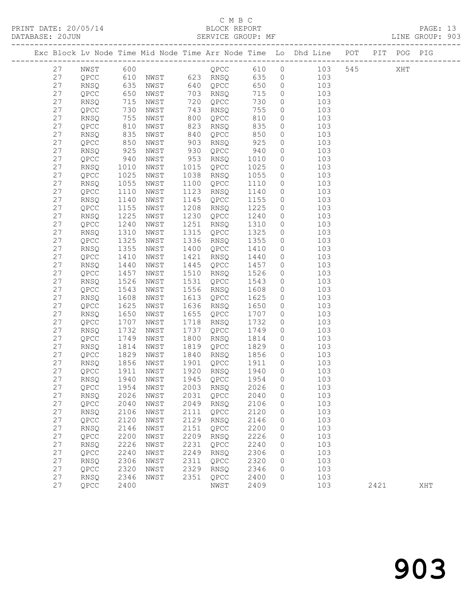PRINT DATE: 20/05/14 BLOCK REPORT BLOCK REPORT

#### C M B C

DATABASE: 20JUN SERVICE GROUP: MF CALLER SERVICE GROUP: 903 ------------------------------------------------------------------------------------------------- Exc Block Lv Node Time Mid Node Time Arr Node Time Lo Dhd Line ------------------------------------------------------------------------------------------------- 27 NWST 600 QPCC 610 0 103 545 XHT 27 QPCC 610 NWST 623 RNSQ 635 0 103 27 RNSQ 635 NWST 640 QPCC 650 0 103 27 QPCC 650 NWST 703 RNSQ 715 0 103 27 RNSQ 715 NWST 720 QPCC 730 0 103 27 QPCC 730 NWST 743 RNSQ 755 0 103

| 27 | RNSQ | 755  | NWST          | 800  | QPCC                                       | 810  | 0                   | 103 |      |     |  |
|----|------|------|---------------|------|--------------------------------------------|------|---------------------|-----|------|-----|--|
| 27 | QPCC | 810  | NWST          | 823  | RNSQ                                       | 835  | 0                   | 103 |      |     |  |
| 27 | RNSQ | 835  | NWST          | 840  | QPCC                                       | 850  | 0                   | 103 |      |     |  |
| 27 | QPCC | 850  | NWST          | 903  | RNSO                                       | 925  | 0                   | 103 |      |     |  |
| 27 | RNSQ | 925  | NWST          | 930  | QPCC                                       | 940  | $\circ$             | 103 |      |     |  |
| 27 | QPCC | 940  | NWST          | 953  | RNSQ                                       | 1010 | 0                   | 103 |      |     |  |
| 27 | RNSQ | 1010 | NWST          | 1015 | QPCC                                       | 1025 | 0                   | 103 |      |     |  |
| 27 | QPCC | 1025 | NWST          | 1038 | RNSQ                                       | 1055 | 0                   | 103 |      |     |  |
| 27 | RNSQ | 1055 | ${\tt NWST}$  | 1100 | QPCC                                       | 1110 | 0                   | 103 |      |     |  |
| 27 | QPCC | 1110 | $_{\rm NWST}$ | 1123 | RNSQ                                       | 1140 | 0                   | 103 |      |     |  |
| 27 | RNSQ | 1140 | $_{\rm NWST}$ | 1145 | QPCC                                       | 1155 | $\mathbb O$         | 103 |      |     |  |
| 27 | QPCC | 1155 | NWST          | 1208 | RNSQ                                       | 1225 | 0                   | 103 |      |     |  |
| 27 | RNSQ | 1225 | $_{\rm NWST}$ | 1230 | QPCC                                       | 1240 | 0                   | 103 |      |     |  |
| 27 | QPCC | 1240 | $_{\rm NWST}$ | 1251 | RNSQ                                       | 1310 | $\circledcirc$      | 103 |      |     |  |
| 27 | RNSQ | 1310 | NWST          | 1315 | QPCC                                       | 1325 | 0                   | 103 |      |     |  |
| 27 | QPCC | 1325 | NWST          | 1336 | RNSQ                                       | 1355 | $\circledcirc$      | 103 |      |     |  |
| 27 | RNSQ | 1355 | NWST          | 1400 | $\mathbb{Q}\mathbb{P}\mathbb{C}\mathbb{C}$ | 1410 | 0                   | 103 |      |     |  |
| 27 | QPCC | 1410 | NWST          | 1421 | RNSQ                                       | 1440 | 0                   | 103 |      |     |  |
| 27 | RNSQ | 1440 | NWST          | 1445 | QPCC                                       | 1457 | $\circledcirc$      | 103 |      |     |  |
| 27 | QPCC | 1457 | NWST          | 1510 | RNSQ                                       | 1526 | 0                   | 103 |      |     |  |
| 27 | RNSQ | 1526 | NWST          | 1531 | QPCC                                       | 1543 | 0                   | 103 |      |     |  |
| 27 | QPCC | 1543 | NWST          | 1556 | RNSQ                                       | 1608 | 0                   | 103 |      |     |  |
| 27 | RNSQ | 1608 | NWST          | 1613 | QPCC                                       | 1625 | 0                   | 103 |      |     |  |
| 27 | QPCC | 1625 | NWST          | 1636 | RNSQ                                       | 1650 | 0                   | 103 |      |     |  |
| 27 | RNSQ | 1650 | NWST          | 1655 | QPCC                                       | 1707 | 0                   | 103 |      |     |  |
| 27 | QPCC | 1707 | NWST          | 1718 | RNSQ                                       | 1732 | 0                   | 103 |      |     |  |
| 27 | RNSQ | 1732 | NWST          | 1737 | QPCC                                       | 1749 | 0                   | 103 |      |     |  |
| 27 | QPCC | 1749 | NWST          | 1800 | RNSQ                                       | 1814 | 0                   | 103 |      |     |  |
| 27 | RNSQ | 1814 | NWST          | 1819 | QPCC                                       | 1829 | 0                   | 103 |      |     |  |
| 27 | QPCC | 1829 | NWST          | 1840 | RNSQ                                       | 1856 | 0                   | 103 |      |     |  |
| 27 | RNSQ | 1856 | NWST          | 1901 | QPCC                                       | 1911 | 0                   | 103 |      |     |  |
| 27 | QPCC | 1911 | $_{\rm NWST}$ | 1920 | RNSQ                                       | 1940 | $\circ$             | 103 |      |     |  |
| 27 | RNSQ | 1940 | $_{\rm NWST}$ | 1945 | QPCC                                       | 1954 | $\circ$             | 103 |      |     |  |
| 27 | QPCC | 1954 | NWST          | 2003 | RNSQ                                       | 2026 | 0                   | 103 |      |     |  |
| 27 | RNSQ | 2026 | NWST          | 2031 | QPCC                                       | 2040 | $\circledcirc$      | 103 |      |     |  |
| 27 | QPCC | 2040 | NWST          | 2049 | RNSQ                                       | 2106 | $\circledcirc$      | 103 |      |     |  |
| 27 | RNSQ | 2106 | NWST          | 2111 | QPCC                                       | 2120 | $\mathsf{O}\xspace$ | 103 |      |     |  |
| 27 | QPCC | 2120 | NWST          | 2129 | RNSQ                                       | 2146 | $\circledcirc$      | 103 |      |     |  |
| 27 | RNSQ | 2146 | NWST          | 2151 | QPCC                                       | 2200 | 0                   | 103 |      |     |  |
| 27 | QPCC | 2200 | NWST          | 2209 | RNSQ                                       | 2226 | 0                   | 103 |      |     |  |
| 27 | RNSQ | 2226 | NWST          | 2231 | QPCC                                       | 2240 | 0                   | 103 |      |     |  |
| 27 | QPCC | 2240 | NWST          | 2249 | RNSQ                                       | 2306 | 0                   | 103 |      |     |  |
| 27 | RNSQ | 2306 | NWST          | 2311 | QPCC                                       | 2320 | 0                   | 103 |      |     |  |
| 27 | QPCC | 2320 | NWST          | 2329 | RNSQ                                       | 2346 | 0                   | 103 |      |     |  |
| 27 | RNSQ | 2346 | NWST          | 2351 | QPCC                                       | 2400 | $\Omega$            | 103 |      |     |  |
| 27 | QPCC | 2400 |               |      | NWST                                       | 2409 |                     | 103 | 2421 | XHT |  |
|    |      |      |               |      |                                            |      |                     |     |      |     |  |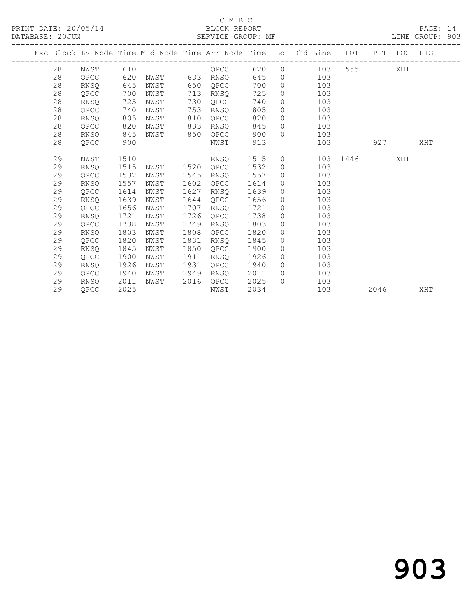PRINT DATE: 20/05/14 BLOCK REPORT BATABASE: 20JUN

#### C M B C<br>BLOCK REPORT

PAGE: 14<br>LINE GROUP: 903

|  |    |             |      |      |      |          |      |                | Exc Block Lv Node Time Mid Node Time Arr Node Time Lo Dhd Line POT |      | PIT  | POG PIG |     |
|--|----|-------------|------|------|------|----------|------|----------------|--------------------------------------------------------------------|------|------|---------|-----|
|  | 28 | NWST        | 610  |      |      | QPCC     | 620  |                | $\overline{0}$<br>103                                              |      |      | XHT     |     |
|  | 28 | QPCC        | 620  | NWST |      | 633 RNSQ | 645  | $\circ$        | 103                                                                |      |      |         |     |
|  | 28 | RNSO        | 645  | NWST | 650  | QPCC     | 700  | $\circ$        | 103                                                                |      |      |         |     |
|  | 28 | QPCC        | 700  | NWST | 713  | RNSQ     | 725  | $\overline{0}$ | 103                                                                |      |      |         |     |
|  | 28 | RNSO        | 725  | NWST | 730  | OPCC     | 740  | $\circ$        | 103                                                                |      |      |         |     |
|  | 28 | QPCC        | 740  | NWST | 753  | RNSO     | 805  | $\circ$        | 103                                                                |      |      |         |     |
|  | 28 | RNSO        | 805  | NWST | 810  | OPCC     | 820  | $\circ$        | 103                                                                |      |      |         |     |
|  | 28 | QPCC        | 820  | NWST | 833  | RNSQ     | 845  | $\overline{0}$ | 103                                                                |      |      |         |     |
|  | 28 | RNSO        | 845  | NWST | 850  | QPCC     | 900  | $\Omega$       | 103                                                                |      |      |         |     |
|  | 28 | QPCC        | 900  |      |      | NWST     | 913  |                | 103                                                                |      | 927  |         | XHT |
|  |    |             |      |      |      |          |      |                |                                                                    |      |      |         |     |
|  | 29 | NWST        | 1510 |      |      | RNSQ     | 1515 | $\circ$        | 103                                                                | 1446 |      | XHT     |     |
|  | 29 | <b>RNSO</b> | 1515 | NWST | 1520 | OPCC     | 1532 | $\circ$        | 103                                                                |      |      |         |     |
|  | 29 | QPCC        | 1532 | NWST | 1545 | RNSQ     | 1557 | $\circ$        | 103                                                                |      |      |         |     |
|  | 29 | RNSQ        | 1557 | NWST | 1602 | QPCC     | 1614 | $\circ$        | 103                                                                |      |      |         |     |
|  | 29 | OPCC        | 1614 | NWST | 1627 | RNSO     | 1639 | $\circ$        | 103                                                                |      |      |         |     |
|  | 29 | RNSQ        | 1639 | NWST | 1644 | QPCC     | 1656 | $\circ$        | 103                                                                |      |      |         |     |
|  | 29 | QPCC        | 1656 | NWST | 1707 | RNSO     | 1721 | $\circ$        | 103                                                                |      |      |         |     |
|  | 29 | RNSQ        | 1721 | NWST | 1726 | OPCC     | 1738 | $\circ$        | 103                                                                |      |      |         |     |
|  | 29 | OPCC        | 1738 | NWST | 1749 | RNSO     | 1803 | $\circ$        | 103                                                                |      |      |         |     |
|  | 29 | RNSQ        | 1803 | NWST | 1808 | QPCC     | 1820 | $\circ$        | 103                                                                |      |      |         |     |
|  | 29 | QPCC        | 1820 | NWST | 1831 | RNSQ     | 1845 | $\circ$        | 103                                                                |      |      |         |     |
|  | 29 | <b>RNSQ</b> | 1845 | NWST | 1850 | QPCC     | 1900 | $\circ$        | 103                                                                |      |      |         |     |
|  | 29 | QPCC        | 1900 | NWST | 1911 | RNSQ     | 1926 | $\circ$        | 103                                                                |      |      |         |     |
|  | 29 | RNSQ        | 1926 | NWST | 1931 | QPCC     | 1940 | $\Omega$       | 103                                                                |      |      |         |     |
|  | 29 | QPCC        | 1940 | NWST | 1949 | RNSQ     | 2011 | $\circ$        | 103                                                                |      |      |         |     |
|  | 29 | <b>RNSO</b> | 2011 | NWST | 2016 | QPCC     | 2025 | $\bigcap$      | 103                                                                |      |      |         |     |
|  | 29 | OPCC        | 2025 |      |      | NWST     | 2034 |                | 103                                                                |      | 2046 |         | XHT |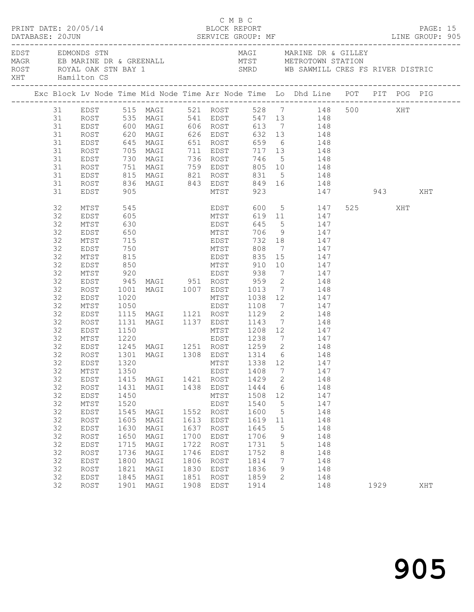|          | PRINT DATE: 20/05/14                                                    |                   |                                                                   |      | C M B C<br>BLOCK REPORT |      |                          |                                                                                                                            |         |      | PAGE: 15 |  |
|----------|-------------------------------------------------------------------------|-------------------|-------------------------------------------------------------------|------|-------------------------|------|--------------------------|----------------------------------------------------------------------------------------------------------------------------|---------|------|----------|--|
|          | EDST EDMONDS STN<br>ROST ROYAL OAK STN BAY 1<br>XHT         Hamilton CS |                   |                                                                   |      |                         |      |                          | MAGI MARINE DR & GILLEY<br>SMRD WB SAWMILL CRES FS RIVER DISTRIC                                                           |         |      |          |  |
|          |                                                                         |                   |                                                                   |      |                         |      |                          | Exc Block Lv Node Time Mid Node Time Arr Node Time Lo Dhd Line POT PIT POG PIG                                             |         |      |          |  |
|          |                                                                         |                   |                                                                   |      |                         |      |                          | 31 EDST 515 MAGI 521 ROST 528 7 148 500 XHT<br>31 ROST 535 MAGI 541 EDST 547 13 148                                        |         |      |          |  |
|          |                                                                         |                   |                                                                   |      |                         |      |                          |                                                                                                                            |         |      |          |  |
| 31       |                                                                         |                   |                                                                   |      |                         |      |                          | EDST 600 MAGI 606 ROST 613 7 148                                                                                           |         |      |          |  |
| 31       | ROST                                                                    |                   |                                                                   |      |                         |      |                          | 620 MAGI 626 EDST 632 13 148<br>645 MAGI 651 ROST 659 6 148<br>705 MAGI 711 EDST 717 13 148<br>730 MAGI 736 ROST 746 5 148 |         |      |          |  |
| 31       | EDST                                                                    |                   |                                                                   |      |                         |      |                          |                                                                                                                            |         |      |          |  |
| 31       | ROST                                                                    |                   |                                                                   |      |                         |      |                          |                                                                                                                            |         |      |          |  |
| 31       | EDST                                                                    |                   |                                                                   |      |                         |      |                          |                                                                                                                            |         |      |          |  |
| 31       | ROST                                                                    |                   |                                                                   |      |                         |      |                          |                                                                                                                            |         |      |          |  |
| 31       | EDST                                                                    |                   |                                                                   |      |                         |      |                          |                                                                                                                            |         |      |          |  |
| 31       | ROST                                                                    |                   |                                                                   |      |                         |      |                          |                                                                                                                            |         |      |          |  |
| 31       | EDST                                                                    |                   |                                                                   |      |                         |      |                          | 751 MAGI 759 EDST 805 10 148<br>815 MAGI 821 ROST 831 5 148<br>836 MAGI 843 EDST 849 16 148<br>905 MTST 923 147 943 XHT    |         |      |          |  |
| 32       | MTST                                                                    | 545<br>605        |                                                                   |      |                         |      |                          | EDST 600 5 147<br>MTST 619 11 147                                                                                          | 525 XHT |      |          |  |
| 32       | EDST                                                                    |                   |                                                                   |      |                         |      |                          |                                                                                                                            |         |      |          |  |
| 32       | MTST                                                                    | 630               |                                                                   |      |                         |      |                          | EDST 645 5 147                                                                                                             |         |      |          |  |
| 32       | EDST                                                                    | 650               |                                                                   |      |                         |      |                          | MTST 706 9 147                                                                                                             |         |      |          |  |
| 32       | MTST                                                                    |                   |                                                                   |      |                         |      |                          |                                                                                                                            |         |      |          |  |
| 32       | EDST                                                                    | 715<br>750<br>815 |                                                                   |      |                         |      |                          | EDST 732 18 147<br>MTST 808 7 147<br>EDST 835 15 147                                                                       |         |      |          |  |
| 32       | MTST                                                                    |                   |                                                                   |      |                         |      |                          |                                                                                                                            |         |      |          |  |
| 32       | EDST                                                                    | 850               |                                                                   |      |                         |      |                          | MTST 910 10 147                                                                                                            |         |      |          |  |
| 32       | MTST                                                                    |                   | 920 EDST 938<br>945 MAGI 951 ROST 959<br>1001 MAGI 1007 EDST 1013 |      |                         |      |                          | 7 147                                                                                                                      |         |      |          |  |
| 32       | EDST                                                                    |                   |                                                                   |      |                         |      | $\overline{2}$           | $\begin{array}{ccc} 2 & \hspace{1.5cm} 148 \\ 7 & \hspace{1.5cm} 148 \end{array}$                                          |         |      |          |  |
| 32       | ROST                                                                    |                   |                                                                   |      |                         |      |                          |                                                                                                                            |         |      |          |  |
| 32       | EDST                                                                    |                   |                                                                   |      |                         |      |                          | 1020 MTST 1038 12<br>1050 EDST 1108 7 147<br>1115 MAGI 1121 ROST 1129 2 148<br>1131 MAGI 1137 EDST 1143 7 148              |         |      |          |  |
| 32<br>32 | MTST                                                                    |                   |                                                                   |      |                         |      |                          |                                                                                                                            |         |      |          |  |
| 32       | EDST                                                                    |                   |                                                                   |      |                         |      |                          |                                                                                                                            |         |      |          |  |
| 32       | ROST<br>EDST                                                            | 1150              |                                                                   |      |                         |      |                          | MTST 1208 12 147                                                                                                           |         |      |          |  |
| 32       | MTST                                                                    | 1220              |                                                                   |      |                         |      |                          |                                                                                                                            |         |      |          |  |
| 32       | EDST                                                                    |                   |                                                                   |      |                         |      |                          | EDST 1238 7 147                                                                                                            |         |      |          |  |
| 32       | ROST                                                                    |                   |                                                                   |      |                         |      |                          | 1245 MAGI 1251 ROST 1259 2 148<br>1301 MAGI 1308 EDST 1314 6 148                                                           |         |      |          |  |
|          |                                                                         |                   |                                                                   |      |                         |      |                          | 32 EDST 1320 MTST 1338 12 147                                                                                              |         |      |          |  |
| 32       | MTST                                                                    | 1350              |                                                                   |      | EDST                    | 1408 | $7\phantom{.0}$          | 147                                                                                                                        |         |      |          |  |
| 32       | EDST                                                                    | 1415              | MAGI                                                              |      | 1421 ROST               | 1429 | $\overline{\phantom{a}}$ | 148                                                                                                                        |         |      |          |  |
| 32       | ROST                                                                    | 1431              | MAGI                                                              |      | 1438 EDST               | 1444 | $6\overline{6}$          | 148                                                                                                                        |         |      |          |  |
| 32       | EDST                                                                    | 1450              |                                                                   |      | MTST                    | 1508 | 12                       | 147                                                                                                                        |         |      |          |  |
| 32       | MTST                                                                    | 1520              |                                                                   |      | EDST                    | 1540 | $5^{\circ}$              | 147                                                                                                                        |         |      |          |  |
| 32       | EDST                                                                    | 1545              | MAGI                                                              | 1552 | ROST                    | 1600 | $5\phantom{.0}$          | 148                                                                                                                        |         |      |          |  |
| 32       | ROST                                                                    | 1605              | MAGI                                                              | 1613 | EDST                    | 1619 | 11                       | 148                                                                                                                        |         |      |          |  |
| 32       | EDST                                                                    | 1630              | MAGI                                                              | 1637 | ROST                    | 1645 | 5                        | 148                                                                                                                        |         |      |          |  |
| 32       | ROST                                                                    | 1650              | MAGI                                                              | 1700 | EDST                    | 1706 | 9                        | 148                                                                                                                        |         |      |          |  |
| 32       | EDST                                                                    | 1715              | MAGI                                                              | 1722 | ROST                    | 1731 | $5\phantom{.0}$          | 148                                                                                                                        |         |      |          |  |
| 32       | ROST                                                                    | 1736              | MAGI                                                              | 1746 | EDST                    | 1752 | 8                        | 148                                                                                                                        |         |      |          |  |
| 32       | EDST                                                                    | 1800              | MAGI                                                              | 1806 | ROST                    | 1814 | $7\phantom{.0}$          | 148                                                                                                                        |         |      |          |  |
| 32       | ROST                                                                    | 1821              | MAGI                                                              | 1830 | EDST                    | 1836 | 9                        | 148                                                                                                                        |         |      |          |  |
| 32       | EDST                                                                    | 1845              | MAGI                                                              | 1851 | ROST                    | 1859 | $\mathbf{2}$             | 148                                                                                                                        |         |      |          |  |
| 32       | ROST                                                                    |                   | 1901 MAGI                                                         | 1908 | EDST                    | 1914 |                          | 148                                                                                                                        |         | 1929 | XHT      |  |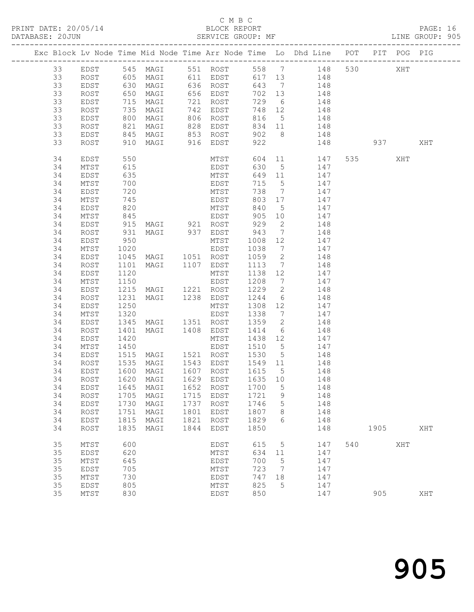PRINT DATE: 20/05/14 BLOCK REPORT BATABASE: 20JUN

#### C M B C<br>BLOCK REPORT

PAGE: 16<br>LINE GROUP: 905

|         |      |            |                                    |      |                        |                                                                        |                                        | Exc Block Lv Node Time Mid Node Time Arr Node Time Lo Dhd Line POT PIT POG PIG |     |         |     |     |
|---------|------|------------|------------------------------------|------|------------------------|------------------------------------------------------------------------|----------------------------------------|--------------------------------------------------------------------------------|-----|---------|-----|-----|
| 33 EDST |      |            |                                    |      |                        |                                                                        |                                        | 545 MAGI 551 ROST 558 7 148 530 XHT                                            |     |         |     |     |
| 33      | ROST |            |                                    |      |                        |                                                                        |                                        | 605 MAGI 611 EDST 617 13 148                                                   |     |         |     |     |
| 33      | EDST |            | 630 MAGI 636 ROST                  |      |                        |                                                                        |                                        | 643 7 148                                                                      |     |         |     |     |
| 33      | ROST |            | 650 MAGI<br>715 MAGI<br>735 MAGI   |      | 656 EDST               | 702 13                                                                 |                                        | 148                                                                            |     |         |     |     |
| 33      | EDST |            |                                    |      | 721 ROST               | 729                                                                    | $6\overline{6}$                        | 148                                                                            |     |         |     |     |
| 33      | ROST |            |                                    |      | 742 EDST               | 748                                                                    | 12                                     | 148                                                                            |     |         |     |     |
| 33      | EDST |            | 800 MAGI                           |      | 806 ROST               | 816                                                                    |                                        | 5 148                                                                          |     |         |     |     |
| 33      | ROST |            | 821 MAGI                           |      | 828 EDST               |                                                                        | 834 11                                 | 148                                                                            |     |         |     |     |
| 33      | EDST |            |                                    |      |                        | 902 8                                                                  |                                        | 148                                                                            |     |         |     |     |
| 33      | ROST |            |                                    |      |                        | 922                                                                    |                                        | 148                                                                            |     |         | 937 | XHT |
|         |      |            |                                    |      |                        |                                                                        |                                        |                                                                                |     |         |     |     |
| 34      | EDST | 550        |                                    |      | MTST                   |                                                                        |                                        | 604 11 147                                                                     |     | 535 XHT |     |     |
| 34      | MTST | 615<br>635 |                                    |      | EDST                   | 630                                                                    | $\begin{array}{c} 5 \\ 11 \end{array}$ | 147                                                                            |     |         |     |     |
| 34      | EDST |            |                                    |      | MTST                   | 649                                                                    |                                        | 147                                                                            |     |         |     |     |
| 34      | MTST | 700        |                                    |      | EDST                   | 715                                                                    | $5\overline{)}$                        | 147                                                                            |     |         |     |     |
| 34      | EDST | 720        |                                    |      | MTST                   | 738                                                                    | $7\overline{ }$                        | 147                                                                            |     |         |     |     |
| 34      | MTST | 745<br>820 |                                    |      | EDST                   | 803                                                                    | 17                                     | 147                                                                            |     |         |     |     |
| 34      | EDST |            |                                    |      | MTST                   | 840                                                                    | $5\overline{)}$                        | 147                                                                            |     |         |     |     |
| 34      | MTST | 845        |                                    |      | EDST                   | 905                                                                    | 10                                     | 147                                                                            |     |         |     |     |
| 34      | EDST |            | 915 MAGI 921 ROST                  |      |                        | 929                                                                    | $\overline{2}$                         | 148                                                                            |     |         |     |     |
| 34      | ROST |            | 931 MAGI 937 EDST                  |      |                        | 943<br>1008                                                            | $7\overline{ }$                        | 148                                                                            |     |         |     |     |
| 34      | EDST | 950        |                                    |      | MTST                   |                                                                        | 12                                     | 147                                                                            |     |         |     |     |
| 34      | MTST | 1020       |                                    |      | EDST                   | 1038                                                                   | $7\overline{ }$                        | 147                                                                            |     |         |     |     |
| 34      | EDST |            | 1045 MAGI 1051 ROST                |      |                        | 1059                                                                   | $\overline{2}$                         | 148                                                                            |     |         |     |     |
| 34      | ROST | 1101       | MAGI 1107 EDST                     |      |                        |                                                                        | $7\overline{ }$                        | 148                                                                            |     |         |     |     |
| 34      | EDST | 1120       |                                    |      | MTST                   | $\begin{array}{cc} 1113 & , & \\ 1138 & 12 & , \\ & , & , \end{array}$ |                                        | 147                                                                            |     |         |     |     |
| 34      | MTST | 1150       |                                    |      | EDST                   | 1208                                                                   |                                        | $7\overline{ }$<br>147                                                         |     |         |     |     |
| 34      | EDST |            | 1215 MAGI 1221 ROST                |      |                        | 1229                                                                   | $\overline{2}$                         | 148                                                                            |     |         |     |     |
| 34      | ROST | 1231       | MAGI                               |      | 1238 EDST              | 1244                                                                   | $6\overline{6}$                        | 148                                                                            |     |         |     |     |
| 34      | EDST | 1250       |                                    |      | MTST                   | 1308                                                                   | 12                                     | 147                                                                            |     |         |     |     |
| 34      | MTST | 1320       |                                    |      | EDST                   | 1338                                                                   | $\overline{7}$                         | 147                                                                            |     |         |     |     |
| 34      | EDST |            | 1345 MAGI 1351 ROST                |      |                        | 1359                                                                   | $\overline{2}$                         | 148                                                                            |     |         |     |     |
| 34      | ROST | 1401       | MAGI                               |      | 1408 EDST              | 1414                                                                   | $6\overline{6}$                        | 148                                                                            |     |         |     |     |
| 34      | EDST | 1420       |                                    |      | MTST                   | 1438                                                                   | 12                                     | 147                                                                            |     |         |     |     |
| 34      | MTST | 1450       |                                    |      | EDST                   | 1510                                                                   | $5\overline{)}$                        | 147                                                                            |     |         |     |     |
| 34      | EDST |            | 1515 MAGI 1521 ROST                |      |                        | 1530                                                                   | $5\overline{)}$                        | 148                                                                            |     |         |     |     |
| 34      | ROST | 1535       | MAGI                               |      | 1543 EDST              | 1549 11                                                                |                                        | 148                                                                            |     |         |     |     |
| 34      | EDST |            | 1600 MAGI<br>1620 MAGI             |      | 1607 ROST<br>1629 EDST | 1615 5<br>1635 10                                                      | $5\overline{)}$                        | 148                                                                            |     |         |     |     |
| 34      | ROST |            |                                    |      |                        |                                                                        |                                        | 148                                                                            |     |         |     |     |
|         |      |            | 34 EDST 1645 MAGI 1652 ROST 1700 5 |      |                        |                                                                        |                                        | 148                                                                            |     |         |     |     |
| 34      | ROST | 1705       | MAGI                               | 1715 | EDST                   | 1721                                                                   | 9                                      | 148                                                                            |     |         |     |     |
| 34      | EDST |            | 1730 MAGI                          | 1737 | ROST                   | 1746                                                                   | 5                                      | 148                                                                            |     |         |     |     |
| 34      | ROST | 1751       | MAGI                               | 1801 | EDST                   | 1807                                                                   | 8                                      | 148                                                                            |     |         |     |     |
| 34      | EDST | 1815       | MAGI                               | 1821 | ROST                   | 1829                                                                   | 6                                      | 148                                                                            |     |         |     |     |
| 34      | ROST | 1835       | MAGI                               | 1844 | EDST                   | 1850                                                                   |                                        | 148                                                                            |     | 1905    |     | XHT |
| 35      |      | 600        |                                    |      |                        |                                                                        |                                        |                                                                                | 540 |         | XHT |     |
| 35      | MTST | 620        |                                    |      | EDST                   | 615<br>634                                                             | $5\overline{)}$                        | 147                                                                            |     |         |     |     |
|         | EDST |            |                                    |      | MTST                   |                                                                        | 11                                     | 147                                                                            |     |         |     |     |
| 35      | MTST | 645        |                                    |      | EDST                   | 700                                                                    | 5                                      | 147                                                                            |     |         |     |     |
| 35      | EDST | 705        |                                    |      | MTST                   | 723                                                                    | $\overline{7}$                         | 147                                                                            |     |         |     |     |
| 35      | MTST | 730        |                                    |      | EDST                   | 747                                                                    | 18                                     | 147                                                                            |     |         |     |     |
| 35      | EDST | 805        |                                    |      | MTST                   | 825                                                                    | 5                                      | 147                                                                            |     |         |     |     |
| 35      | MTST | 830        |                                    |      | EDST                   | 850                                                                    |                                        | 147                                                                            |     | 905     |     | XHT |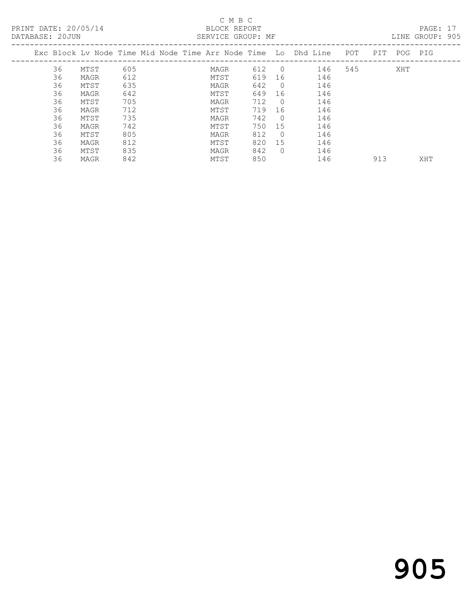PRINT DATE: 20/05/14 BLOCK REPORT<br>DATABASE: 20JUN BATABASE: 20JUN

### C M B C<br>BLOCK REPORT

PAGE: 17<br>LINE GROUP: 905

|    |      |     |  |      |     |            | Exc Block Ly Node Time Mid Node Time Arr Node Time Lo Dhd Line POT |     | PIT | POG | PIG |
|----|------|-----|--|------|-----|------------|--------------------------------------------------------------------|-----|-----|-----|-----|
| 36 | MTST | 605 |  | MAGR | 612 | $\bigcirc$ | 146                                                                | 545 |     | XHT |     |
| 36 | MAGR | 612 |  | MTST | 619 | 16         | 146                                                                |     |     |     |     |
| 36 | MTST | 635 |  | MAGR | 642 | $\bigcirc$ | 146                                                                |     |     |     |     |
| 36 | MAGR | 642 |  | MTST | 649 | 16         | 146                                                                |     |     |     |     |
| 36 | MTST | 705 |  | MAGR | 712 | $\bigcirc$ | 146                                                                |     |     |     |     |
| 36 | MAGR | 712 |  | MTST | 719 | - 16       | 146                                                                |     |     |     |     |
| 36 | MTST | 735 |  | MAGR | 742 | $\bigcap$  | 146                                                                |     |     |     |     |
| 36 | MAGR | 742 |  | MTST | 750 | 15         | 146                                                                |     |     |     |     |
| 36 | MTST | 805 |  | MAGR | 812 | $\bigcirc$ | 146                                                                |     |     |     |     |
| 36 | MAGR | 812 |  | MTST | 820 | 15         | 146                                                                |     |     |     |     |
| 36 | MTST | 835 |  | MAGR | 842 | $\Omega$   | 146                                                                |     |     |     |     |
|    |      |     |  |      |     |            |                                                                    |     |     |     |     |

36 MAGR 842 MTST 850 146 913 XHT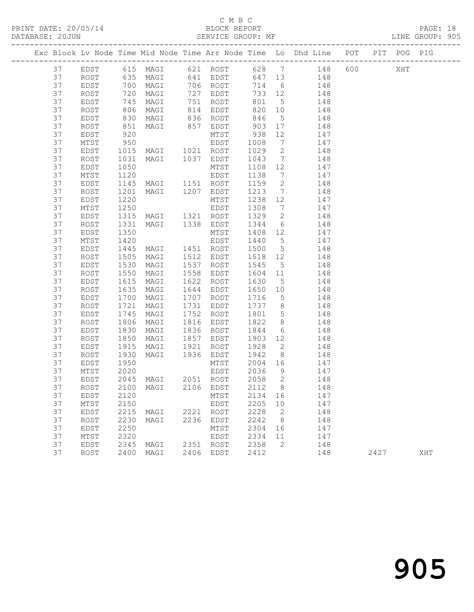PRINT DATE: 20/05/14 BLOCK REPORT BLOCK REPORT

#### C M B C<br>BLOCK REPORT

|  | DATABASE: 20JUN |      |                      |                                                            |                |                                             |                 |                                                                                |  | LINE GROUP: 905 |  |
|--|-----------------|------|----------------------|------------------------------------------------------------|----------------|---------------------------------------------|-----------------|--------------------------------------------------------------------------------|--|-----------------|--|
|  |                 |      |                      |                                                            |                |                                             |                 | Exc Block Lv Node Time Mid Node Time Arr Node Time Lo Dhd Line POT PIT POG PIG |  |                 |  |
|  | 37              |      |                      |                                                            |                |                                             |                 | EDST 615 MAGI 621 ROST 628 7 148 600 XHT                                       |  |                 |  |
|  | 37              |      |                      |                                                            |                |                                             |                 | ROST 635 MAGI 641 EDST 647 13 148                                              |  |                 |  |
|  | 37              | EDST | 700<br>720<br>745    | MAGI 706 ROST<br>MAGI 727 EDST<br>MAGI 751 ROST            |                |                                             |                 | 714 6 148                                                                      |  |                 |  |
|  | 37              | ROST |                      |                                                            |                | 733 12                                      |                 | 148                                                                            |  |                 |  |
|  | 37              | EDST |                      |                                                            |                |                                             |                 | $\begin{array}{cccc} 733 & 12 & 148 \\ 801 & 5 & 148 \end{array}$              |  |                 |  |
|  | 37              | ROST | 806                  |                                                            | MAGI 814 EDST  |                                             |                 | 820 10 148                                                                     |  |                 |  |
|  | 37              | EDST |                      |                                                            |                |                                             |                 | 148                                                                            |  |                 |  |
|  | 37              | ROST |                      |                                                            |                |                                             |                 | 148                                                                            |  |                 |  |
|  | 37              | EDST | 830<br>851<br>920    | MAGI 836 ROST 846 5<br>MAGI 857 EDST 903 17<br>MTST 938 12 |                |                                             |                 | 12<br>147                                                                      |  |                 |  |
|  | 37              | MTST | 950                  |                                                            | EDST 1008      |                                             |                 | 7 147                                                                          |  |                 |  |
|  | 37              | EDST | 1015                 | MAGI 1021 ROST                                             |                | 1029                                        | $\overline{2}$  | 148                                                                            |  |                 |  |
|  | 37              | ROST | 1031                 | MAGI 1037 EDST                                             |                | 1043                                        | $7\overline{ }$ | 148                                                                            |  |                 |  |
|  | 37              | EDST | 1050                 |                                                            | MTST           | $\begin{array}{cc}\n1108 & 12\n\end{array}$ |                 | 147                                                                            |  |                 |  |
|  | 37              | MTST | 1120                 |                                                            | EDST           | 1138                                        |                 | 7 147                                                                          |  |                 |  |
|  | 37              | EDST | 1145                 | MAGI 1151 ROST                                             |                |                                             |                 | 1159 2 148                                                                     |  |                 |  |
|  | 37              | ROST | 1201<br>1220         | MAGI 1207 EDST                                             |                | $\frac{11}{213}$ 7                          |                 | 148                                                                            |  |                 |  |
|  | 37              | EDST |                      |                                                            | MTST           | 1238 12                                     |                 | 147                                                                            |  |                 |  |
|  | 37              | MTST | 1250                 |                                                            | EDST           | 1308                                        |                 | 7 147                                                                          |  |                 |  |
|  | 37              | EDST | 1315                 |                                                            |                |                                             |                 | MAGI 1321 ROST 1329 2 148                                                      |  |                 |  |
|  | 37              | ROST | 1331                 | MAGI 1338 EDST                                             |                |                                             |                 | $1344$ 6 $148$                                                                 |  |                 |  |
|  | 37              | EDST | 1350                 |                                                            | MTST           | 1408 12                                     |                 | 147                                                                            |  |                 |  |
|  | 37              | MTST | 1420                 |                                                            | EDST           |                                             |                 | $1440$ 5 $147$                                                                 |  |                 |  |
|  | 37              | EDST | 1445                 | MAGI 1451 ROST                                             |                |                                             |                 | 1500 5 148                                                                     |  |                 |  |
|  | 37              | ROST | 1505<br>1530         | MAGI                                                       | 1512 EDST      |                                             |                 | 1518 12 148                                                                    |  |                 |  |
|  | 37              | EDST |                      | MAGI                                                       | 1537 ROST      | 1545 5                                      |                 | 148                                                                            |  |                 |  |
|  | 37              | ROST | .<br>1550            | MAGI                                                       | 1558 EDST      | 1604 11                                     |                 | 148                                                                            |  |                 |  |
|  | 37              | EDST | 1615                 | MAGI                                                       | 1622 ROST      | 1630                                        | $5^{\circ}$     | 148                                                                            |  |                 |  |
|  | 37              | ROST | 1635<br>1700<br>1721 | MAGI                                                       | 1644 EDST      | 1650 10                                     |                 | 148                                                                            |  |                 |  |
|  | 37              | EDST |                      | MAGI                                                       | 1707 ROST      | 1716                                        | $5\overline{)}$ | 148                                                                            |  |                 |  |
|  | 37              | ROST |                      | MAGI                                                       | 1731 EDST      |                                             |                 | $1737$ 8 148                                                                   |  |                 |  |
|  | 37              | EDST | 1745                 | MAGI                                                       | 1752 ROST      |                                             |                 | 1801 5 148                                                                     |  |                 |  |
|  | 37              | ROST | 1806                 | MAGI                                                       | 1816 EDST      | 1822                                        | 8               | 148                                                                            |  |                 |  |
|  | 37              | EDST | 1830<br>1850         | MAGI                                                       | 1836 ROST      | 1844                                        | $6\overline{6}$ | 148                                                                            |  |                 |  |
|  | 37              | ROST |                      | MAGI                                                       | 1857 EDST      | 1903 12                                     |                 | 148                                                                            |  |                 |  |
|  | 37              | EDST | 1915                 | MAGI 1921                                                  | ROST           |                                             |                 | 1928 2 148                                                                     |  |                 |  |
|  | 37              | ROST | 1930                 |                                                            | MAGI 1936 EDST | 1942                                        |                 | 8 148                                                                          |  |                 |  |
|  | 37              | EDST | 1950<br>2020         |                                                            | MTST           | 2004 16                                     |                 | 147                                                                            |  |                 |  |
|  | 37              | MTST |                      |                                                            | EDST           | 2036                                        | 9               | 147                                                                            |  |                 |  |
|  | 37              |      |                      | EDST 2045 MAGI 2051 ROST 2058 2                            |                |                                             |                 | 148                                                                            |  |                 |  |
|  | 37              | ROST | 2100                 | MAGI                                                       | 2106 EDST      | 2112                                        | 8               | 148                                                                            |  |                 |  |
|  | 37              | EDST | 2120                 |                                                            | MTST           | 2134 16                                     |                 | 147                                                                            |  |                 |  |
|  | 37              | MTST | 2150                 |                                                            | EDST           | 2205                                        | 10              | 147                                                                            |  |                 |  |
|  | 37              | EDST | 2215                 | MAGI 2221 ROST                                             |                | 2228                                        | $\overline{2}$  | 148                                                                            |  |                 |  |
|  | 37              | ROST | 2230                 | MAGI                                                       | 2236 EDST      | 2242                                        | 8 <sup>8</sup>  | 148                                                                            |  |                 |  |
|  | 37              | EDST | 2250                 |                                                            | MTST           | 2304 16                                     |                 | 147                                                                            |  |                 |  |
|  | 37              | MTST | 2320                 |                                                            | EDST           | 2334 11                                     |                 | 147                                                                            |  |                 |  |
|  | 37              | EDST |                      | 2345 MAGI                                                  | 2351 ROST      | 2358                                        | $\overline{2}$  | 148                                                                            |  |                 |  |
|  |                 |      |                      |                                                            |                |                                             |                 |                                                                                |  |                 |  |

37 EDST 2250 MAGI 2250 EDST 2242 0<br>37 EDST 2320 EDST 2334 16<br>37 EDST 2345 MAGI 2351 ROST 2358 2<br>37 ROST 2400 MAGI 2406 EDST 2412 37 MTST 2320 EDST 2334 11 147 37 EDST 2345 MAGI 2351 ROST 2358 2 148

37 ROST 2400 MAGI 2406 EDST 2412 148 2427 XHT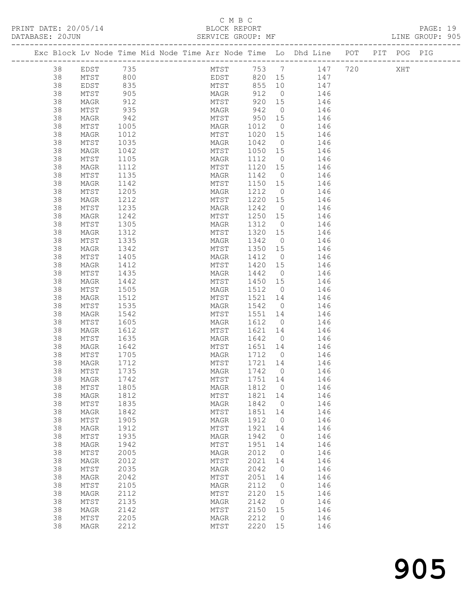#### C M B C BLOCK REPORT<br>SERVICE GROUP: MF

|          | $\begin{array}{rcl} & /05/\,\mathrm{\scriptstyle \perp} \\ \mathrm{JN} & & \\ & - & - & - & - & - \\ \mathrm{cok\;Lv\;Node\;Time\;l\scriptscriptstyle \perp}. \\ & - & - & - & - & - & - \\ \mathrm{38} & \mathrm{EDST} & 735 \\ \mathrm{38} & \mathrm{MTST} & 800 \\ \mathrm{38} & \mathrm{EDST} & 835 \\ \mathrm{MTST} & 905 \\ \mathrm{MTST} & 905 \\ \mathrm{39} & 912 \\ \mathrm{935} \\ \mathrm{942} \end{array} .$ |              |  |              |        |             |                                                                                |  | PAGE: 19<br>LINE GROUP: 905 |  |
|----------|---------------------------------------------------------------------------------------------------------------------------------------------------------------------------------------------------------------------------------------------------------------------------------------------------------------------------------------------------------------------------------------------------------------------------|--------------|--|--------------|--------|-------------|--------------------------------------------------------------------------------|--|-----------------------------|--|
|          |                                                                                                                                                                                                                                                                                                                                                                                                                           |              |  |              |        |             | Exc Block Lv Node Time Mid Node Time Arr Node Time Lo Dhd Line POT PIT POG PIG |  |                             |  |
|          |                                                                                                                                                                                                                                                                                                                                                                                                                           |              |  |              |        |             | MTST 753 7 147 720 XHT<br>EDST 820 15 147                                      |  |                             |  |
|          |                                                                                                                                                                                                                                                                                                                                                                                                                           |              |  |              |        |             |                                                                                |  |                             |  |
|          |                                                                                                                                                                                                                                                                                                                                                                                                                           |              |  |              |        |             | MTST 855 10 147                                                                |  |                             |  |
|          |                                                                                                                                                                                                                                                                                                                                                                                                                           |              |  |              |        |             | MAGR 912 0 146                                                                 |  |                             |  |
|          |                                                                                                                                                                                                                                                                                                                                                                                                                           |              |  |              |        |             |                                                                                |  |                             |  |
|          |                                                                                                                                                                                                                                                                                                                                                                                                                           |              |  |              |        |             | MTST 920 15 146<br>MAGR 942 0 146                                              |  |                             |  |
|          |                                                                                                                                                                                                                                                                                                                                                                                                                           |              |  |              |        |             | MTST 950 15 146                                                                |  |                             |  |
|          |                                                                                                                                                                                                                                                                                                                                                                                                                           |              |  |              |        |             | MAGR 1012 0 146                                                                |  |                             |  |
|          |                                                                                                                                                                                                                                                                                                                                                                                                                           |              |  |              |        |             |                                                                                |  |                             |  |
| 38       | MTST                                                                                                                                                                                                                                                                                                                                                                                                                      | 1035         |  |              |        |             | MTST 1020 15 146<br>MAGR 1042 0 146                                            |  |                             |  |
| 38       | MAGR                                                                                                                                                                                                                                                                                                                                                                                                                      | 1042         |  | MTST 1050 15 |        |             | 146                                                                            |  |                             |  |
| 38       | MTST                                                                                                                                                                                                                                                                                                                                                                                                                      | 1105         |  |              |        |             | MAGR 1112 0 146                                                                |  |                             |  |
| 38       | MAGR                                                                                                                                                                                                                                                                                                                                                                                                                      | 1112         |  |              |        |             | MTST 1120 15 146<br>MAGR 1142 0 146                                            |  |                             |  |
| 38       | MTST                                                                                                                                                                                                                                                                                                                                                                                                                      | 1135         |  |              |        |             |                                                                                |  |                             |  |
| 38       | MAGR                                                                                                                                                                                                                                                                                                                                                                                                                      | 1142         |  |              |        |             | MTST 1150 15 146                                                               |  |                             |  |
| 38       | MTST                                                                                                                                                                                                                                                                                                                                                                                                                      | 1205         |  |              |        |             | MAGR 1212 0 146                                                                |  |                             |  |
| 38       | MAGR                                                                                                                                                                                                                                                                                                                                                                                                                      | 1212         |  | MTST         |        |             | 1220 15 146                                                                    |  |                             |  |
| 38       | MTST                                                                                                                                                                                                                                                                                                                                                                                                                      | 1235         |  | MAGR         | 1242 0 |             | 146                                                                            |  |                             |  |
| 38       | MAGR                                                                                                                                                                                                                                                                                                                                                                                                                      | 1242         |  |              |        |             | MTST 1250 15 146                                                               |  |                             |  |
| 38       | MTST                                                                                                                                                                                                                                                                                                                                                                                                                      | 1305         |  |              |        |             | MAGR 1312 0 146                                                                |  |                             |  |
| 38       | MAGR                                                                                                                                                                                                                                                                                                                                                                                                                      | 1312         |  | MTST 1320 15 |        |             | 146                                                                            |  |                             |  |
| 38       | MTST                                                                                                                                                                                                                                                                                                                                                                                                                      | 1335         |  | MAGR 1342 0  |        |             | 146                                                                            |  |                             |  |
| 38       | MAGR                                                                                                                                                                                                                                                                                                                                                                                                                      | 1342         |  |              |        |             | MTST 1350 15 146                                                               |  |                             |  |
| 38       | MTST                                                                                                                                                                                                                                                                                                                                                                                                                      | 1405         |  | MAGR 1412 0  |        |             | 146                                                                            |  |                             |  |
| 38       | MAGR                                                                                                                                                                                                                                                                                                                                                                                                                      | 1412         |  |              |        |             | MTST 1420 15 146                                                               |  |                             |  |
| 38       | MTST                                                                                                                                                                                                                                                                                                                                                                                                                      | 1435         |  | MAGR         | 1442 0 |             | 146<br>MAGR 1442 0 146<br>MTST 1450 15 146                                     |  |                             |  |
| 38       | MAGR                                                                                                                                                                                                                                                                                                                                                                                                                      | 1442         |  |              |        |             |                                                                                |  |                             |  |
| 38       | MTST                                                                                                                                                                                                                                                                                                                                                                                                                      | 1505         |  |              |        |             | MAGR 1512 0 146                                                                |  |                             |  |
| 38       | MAGR                                                                                                                                                                                                                                                                                                                                                                                                                      | 1512         |  |              |        |             | MTST 1521 14 146                                                               |  |                             |  |
| 38       | MTST                                                                                                                                                                                                                                                                                                                                                                                                                      | 1535         |  | MAGR         |        |             | MAGR 1542 0 146<br>MTST 1551 14 146                                            |  |                             |  |
| 38       | MAGR                                                                                                                                                                                                                                                                                                                                                                                                                      | 1542         |  |              |        |             | MAGR 1612 0 146                                                                |  |                             |  |
| 38<br>38 | MTST<br>MAGR                                                                                                                                                                                                                                                                                                                                                                                                              | 1605<br>1612 |  |              |        |             | MTST 1621 14 146                                                               |  |                             |  |
| 38       | MTST                                                                                                                                                                                                                                                                                                                                                                                                                      |              |  |              |        |             |                                                                                |  |                             |  |
| 38       | MAGR                                                                                                                                                                                                                                                                                                                                                                                                                      | 1635<br>1642 |  |              |        |             | MAGR 1642 0 146<br>MTST 1651 14 146                                            |  |                             |  |
| 38       | MTST                                                                                                                                                                                                                                                                                                                                                                                                                      | 1705         |  |              |        |             | MAGR 1712 0 146                                                                |  |                             |  |
| 38       | MAGR                                                                                                                                                                                                                                                                                                                                                                                                                      | 1712         |  | MTST         |        |             | 1721 14 146                                                                    |  |                             |  |
|          | 38 MTST 1735                                                                                                                                                                                                                                                                                                                                                                                                              |              |  | MAGR 1742 0  |        |             | 146                                                                            |  |                             |  |
| 38       | MAGR                                                                                                                                                                                                                                                                                                                                                                                                                      | 1742         |  | MTST         | 1751   | 14          | 146                                                                            |  |                             |  |
| 38       | MTST                                                                                                                                                                                                                                                                                                                                                                                                                      | 1805         |  | MAGR         | 1812   | $\circ$     | 146                                                                            |  |                             |  |
| 38       | MAGR                                                                                                                                                                                                                                                                                                                                                                                                                      | 1812         |  | MTST         | 1821   | 14          | 146                                                                            |  |                             |  |
| 38       | MTST                                                                                                                                                                                                                                                                                                                                                                                                                      | 1835         |  | MAGR         | 1842   | $\circ$     | 146                                                                            |  |                             |  |
| 38       | MAGR                                                                                                                                                                                                                                                                                                                                                                                                                      | 1842         |  | MTST         | 1851   | 14          | 146                                                                            |  |                             |  |
| 38       | MTST                                                                                                                                                                                                                                                                                                                                                                                                                      | 1905         |  | MAGR         | 1912   | $\circ$     | 146                                                                            |  |                             |  |
| 38       | MAGR                                                                                                                                                                                                                                                                                                                                                                                                                      | 1912         |  | MTST         | 1921   | 14          | 146                                                                            |  |                             |  |
| 38       | MTST                                                                                                                                                                                                                                                                                                                                                                                                                      | 1935         |  | MAGR         | 1942   | $\mathbf 0$ | 146                                                                            |  |                             |  |
| 38       | MAGR                                                                                                                                                                                                                                                                                                                                                                                                                      | 1942         |  | MTST         | 1951   | 14          | 146                                                                            |  |                             |  |
| 38       | MTST                                                                                                                                                                                                                                                                                                                                                                                                                      | 2005         |  | MAGR         | 2012   | $\circ$     | 146                                                                            |  |                             |  |
| 38       | MAGR                                                                                                                                                                                                                                                                                                                                                                                                                      | 2012         |  | MTST         | 2021   | 14          | 146                                                                            |  |                             |  |
| 38       | MTST                                                                                                                                                                                                                                                                                                                                                                                                                      | 2035         |  | MAGR         | 2042   | $\mathbf 0$ | 146                                                                            |  |                             |  |
| 38       | MAGR                                                                                                                                                                                                                                                                                                                                                                                                                      | 2042         |  | MTST         | 2051   | 14          | 146                                                                            |  |                             |  |
| 38       | MTST                                                                                                                                                                                                                                                                                                                                                                                                                      | 2105         |  | MAGR         | 2112   | $\circ$     | 146                                                                            |  |                             |  |
| 38       | MAGR                                                                                                                                                                                                                                                                                                                                                                                                                      | 2112         |  | MTST         | 2120   | 15          | 146                                                                            |  |                             |  |
| 38       | MTST                                                                                                                                                                                                                                                                                                                                                                                                                      | 2135         |  | MAGR         | 2142   | $\mathbf 0$ | 146                                                                            |  |                             |  |
| 38       | MAGR                                                                                                                                                                                                                                                                                                                                                                                                                      | 2142         |  | MTST         | 2150   | 15          | 146                                                                            |  |                             |  |
| 38       | MTST                                                                                                                                                                                                                                                                                                                                                                                                                      | 2205         |  | MAGR         | 2212   | $\circ$     | 146                                                                            |  |                             |  |
| 38       | MAGR                                                                                                                                                                                                                                                                                                                                                                                                                      | 2212         |  | MTST         | 2220   | 15          | 146                                                                            |  |                             |  |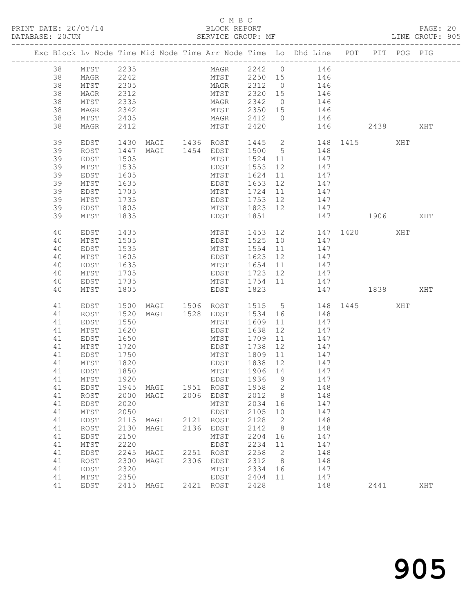#### C M B C

| PRINT DATE: 20/05/14 BLOCK REPORT<br>DATABASE: 20JUN |          |                        |              |                                                                                |              |              | SERVICE GROUP: MF<br>-------                           |              |        |            |                       |      |     | PAGE: 20<br>LINE GROUP: 905 |  |
|------------------------------------------------------|----------|------------------------|--------------|--------------------------------------------------------------------------------|--------------|--------------|--------------------------------------------------------|--------------|--------|------------|-----------------------|------|-----|-----------------------------|--|
|                                                      |          |                        |              | Exc Block Lv Node Time Mid Node Time Arr Node Time Lo Dhd Line POT PIT POG PIG |              |              |                                                        |              |        |            |                       |      |     |                             |  |
|                                                      |          | 38 MTST 2235           |              |                                                                                |              |              | MAGR 2242 0 146<br>MTST 2250 15 146<br>MAGR 2312 0 146 |              |        |            |                       |      |     |                             |  |
|                                                      | 38       | MAGR 2242<br>MTST 2305 |              |                                                                                |              |              |                                                        |              |        |            |                       |      |     |                             |  |
|                                                      | 38       |                        |              |                                                                                |              |              |                                                        |              |        |            |                       |      |     |                             |  |
|                                                      | 38       | MAGR                   | 2312         |                                                                                |              |              | MTST 2320 15 146                                       |              |        |            |                       |      |     |                             |  |
|                                                      | 38       | MTST                   | 2335         |                                                                                |              |              | MAGR 2342 0 146<br>MTST 2350 15 146<br>MAGR 2412 0 146 |              |        |            |                       |      |     |                             |  |
|                                                      | 38       | MAGR                   | 2342         |                                                                                |              |              |                                                        |              |        |            |                       |      |     |                             |  |
|                                                      | 38       | MTST                   | 2405         |                                                                                |              |              |                                                        |              |        |            |                       |      |     |                             |  |
|                                                      | 38       | MAGR                   | 2412         |                                                                                |              | MTST         | 2420                                                   |              |        |            | 146 2438              |      |     | XHT                         |  |
|                                                      | 39       | EDST                   |              | 1430 MAGI 1436 ROST 1445 2 148 1415 XHT<br>1447 MAGI 1454 EDST 1500 5 148      |              |              |                                                        |              |        |            |                       |      |     |                             |  |
|                                                      | 39       | ROST                   |              |                                                                                |              |              |                                                        |              |        |            |                       |      |     |                             |  |
|                                                      | 39       | EDST                   | 1505         |                                                                                |              |              | MTST 1524 11 147                                       |              |        |            |                       |      |     |                             |  |
|                                                      | 39       | MTST                   | 1535         |                                                                                |              |              | EDST 1553                                              |              | 12 147 |            |                       |      |     |                             |  |
|                                                      | 39       | EDST                   | 1605<br>1635 |                                                                                |              |              | MTST 1624 11 147<br>EDST 1653 12 147                   |              |        |            |                       |      |     |                             |  |
|                                                      | 39       | MTST                   | 1705         |                                                                                |              |              | MTST 1724 11 147                                       |              |        |            |                       |      |     |                             |  |
|                                                      | 39<br>39 | EDST<br>MTST           | 1735         |                                                                                |              |              |                                                        |              |        |            |                       |      |     |                             |  |
|                                                      | 39       | EDST                   |              |                                                                                |              |              | EDST 1753 12 147                                       |              |        |            |                       |      |     |                             |  |
|                                                      | 39       | MTST                   | 1805<br>1835 |                                                                                |              |              | MTST 1823 12 147<br>EDST 1851 147                      |              |        |            | 147 1906 XHT          |      |     |                             |  |
|                                                      |          |                        |              |                                                                                |              |              |                                                        |              |        |            |                       |      |     |                             |  |
|                                                      | 40       | EDST                   | 1435         |                                                                                |              |              |                                                        |              |        |            | MTST 1453 12 147 1420 |      | XHT |                             |  |
|                                                      | 40       | MTST                   | 1505         |                                                                                |              |              | EDST 1525 10 147<br>MTST 1554 11 147                   |              |        |            |                       |      |     |                             |  |
|                                                      | 40       | EDST                   | 1535         |                                                                                |              |              |                                                        |              |        |            |                       |      |     |                             |  |
|                                                      | 40       | MTST                   | 1605         |                                                                                |              |              | EDST 1623 12 147                                       |              |        |            |                       |      |     |                             |  |
|                                                      | 40       | EDST                   | 1635         |                                                                                |              |              | MTST 1654 11 147                                       |              |        |            |                       |      |     |                             |  |
|                                                      | 40       | MTST                   | 1705         |                                                                                |              |              | EDST 1723 12 147<br>MTST 1754 11 147                   |              |        |            |                       |      |     |                             |  |
|                                                      | 40       | EDST                   | 1735         |                                                                                |              |              |                                                        |              |        |            |                       |      |     |                             |  |
|                                                      | 40       | MTST                   | 1805         |                                                                                |              |              | EDST 1823                                              |              |        |            |                       |      |     |                             |  |
|                                                      | 41       | EDST                   | 1500         | MAGI 1506 ROST 1515 5 148 1445<br>MAGI 1528 EDST 1534 16 148                   |              |              |                                                        |              |        |            |                       |      | XHT |                             |  |
|                                                      | 41       | ROST                   | 1520         |                                                                                |              |              |                                                        |              |        |            |                       |      |     |                             |  |
|                                                      | 41       | EDST                   | 1550         |                                                                                |              |              | MTST 1609 11 147                                       |              |        |            |                       |      |     |                             |  |
|                                                      | 41       | MTST                   | 1620         |                                                                                |              |              | EDST 1638 12 147                                       |              |        |            |                       |      |     |                             |  |
|                                                      | 41       | EDST                   | 1650         |                                                                                |              |              | MTST 1709 11 147                                       |              |        |            |                       |      |     |                             |  |
|                                                      | 41       | MTST                   | 1720<br>1750 |                                                                                |              |              | EDST 1738 12 147<br>MTST 1809 11 147                   |              |        |            |                       |      |     |                             |  |
|                                                      | 41       | EDST                   |              |                                                                                |              |              | EDST 1838 12 147                                       |              |        |            |                       |      |     |                             |  |
|                                                      | 41       | MTST                   | 1820         |                                                                                |              |              | 1906 14                                                |              |        |            |                       |      |     |                             |  |
|                                                      | 41       | EDST                   | 1850         |                                                                                |              | MTST         | 1936                                                   |              |        | 147        |                       |      |     |                             |  |
|                                                      | 41       | MTST                   | 1920         |                                                                                |              | EDST         | 1958                                                   | 9            |        | 147        |                       |      |     |                             |  |
|                                                      | 41       | EDST<br>ROST           | 1945         | MAGI<br>MAGI                                                                   | 1951<br>2006 | ROST<br>EDST | 2012                                                   | 2<br>8       |        | 148<br>148 |                       |      |     |                             |  |
|                                                      | 41<br>41 | EDST                   | 2000<br>2020 |                                                                                |              | MTST         | 2034                                                   | 16           |        | 147        |                       |      |     |                             |  |
|                                                      | 41       | MTST                   | 2050         |                                                                                |              | EDST         | 2105                                                   | 10           |        | 147        |                       |      |     |                             |  |
|                                                      | 41       | EDST                   | 2115         | MAGI                                                                           | 2121         | ROST         | 2128                                                   | $\mathbf{2}$ |        | 148        |                       |      |     |                             |  |
|                                                      | 41       | ROST                   | 2130         | MAGI                                                                           | 2136         | EDST         | 2142                                                   | 8            |        | 148        |                       |      |     |                             |  |
|                                                      | 41       | EDST                   | 2150         |                                                                                |              | MTST         | 2204                                                   | 16           |        | 147        |                       |      |     |                             |  |
|                                                      | 41       | MTST                   | 2220         |                                                                                |              | EDST         | 2234                                                   | 11           |        | 147        |                       |      |     |                             |  |
|                                                      | 41       | EDST                   | 2245         | MAGI                                                                           | 2251         | ROST         | 2258                                                   | 2            |        | 148        |                       |      |     |                             |  |
|                                                      | 41       | ROST                   | 2300         | MAGI                                                                           | 2306         | EDST         | 2312                                                   | 8            |        | 148        |                       |      |     |                             |  |
|                                                      | 41       | EDST                   | 2320         |                                                                                |              | MTST         | 2334                                                   | 16           |        | 147        |                       |      |     |                             |  |
|                                                      | 41       | MTST                   | 2350         |                                                                                |              | EDST         | 2404                                                   | 11           |        | 147        |                       |      |     |                             |  |
|                                                      | 41       | EDST                   | 2415         | MAGI                                                                           |              | 2421 ROST    | 2428                                                   |              |        | 148        |                       | 2441 |     | $\operatorname{XHT}$        |  |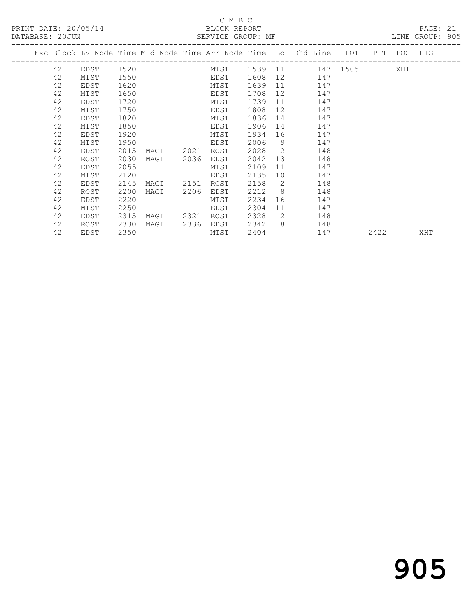## C M B C<br>BLOCK REPORT<br>SERVICE GROUP: MF

| DATABASE: 20JUN |    |                                                                                |      |      |      |      |      |                |                                                                                                                                                                                                                                |     | SERVICE GROUP: MF         |      | LINE GROUP: 905 |  |
|-----------------|----|--------------------------------------------------------------------------------|------|------|------|------|------|----------------|--------------------------------------------------------------------------------------------------------------------------------------------------------------------------------------------------------------------------------|-----|---------------------------|------|-----------------|--|
|                 |    | Exc Block Lv Node Time Mid Node Time Arr Node Time Lo Dhd Line POT PIT POG PIG |      |      |      |      |      |                |                                                                                                                                                                                                                                |     |                           |      |                 |  |
|                 | 42 | EDST                                                                           | 1520 |      |      |      |      |                |                                                                                                                                                                                                                                |     | MTST 1539 11 147 1505 XHT |      |                 |  |
|                 | 42 | MTST                                                                           | 1550 |      |      | EDST | 1608 |                |                                                                                                                                                                                                                                | 147 |                           |      |                 |  |
|                 | 42 | EDST                                                                           | 1620 |      |      | MTST | 1639 |                | 11 — 11 — 11 — 11 — 11 — 11 — 11 — 11 — 11 — 11 — 11 — 11 — 11 — 11 — 11 — 11 — 11 — 11 — 11 — 11 — 11 — 11 — 11 — 11 — 11 — 11 — 11 — 11 — 11 — 11 — 11 — 11 — 11 — 11 — 11 — 11 — 11 — 11 — 11 — 11 — 11 — 11 — 11 — 11 — 11 | 147 |                           |      |                 |  |
|                 | 42 | MTST                                                                           | 1650 |      |      | EDST | 1708 |                |                                                                                                                                                                                                                                | 147 |                           |      |                 |  |
|                 | 42 | EDST                                                                           | 1720 |      |      | MTST | 1739 |                | 11                                                                                                                                                                                                                             | 147 |                           |      |                 |  |
|                 | 42 | MTST                                                                           | 1750 |      |      | EDST | 1808 | 12             |                                                                                                                                                                                                                                | 147 |                           |      |                 |  |
|                 | 42 | EDST                                                                           | 1820 |      |      | MTST | 1836 |                | 14                                                                                                                                                                                                                             | 147 |                           |      |                 |  |
|                 | 42 | MTST                                                                           | 1850 |      |      | EDST | 1906 |                |                                                                                                                                                                                                                                | 147 |                           |      |                 |  |
|                 | 42 | EDST                                                                           | 1920 |      |      | MTST | 1934 |                |                                                                                                                                                                                                                                | 147 |                           |      |                 |  |
|                 | 42 | MTST                                                                           | 1950 |      |      | EDST | 2006 | - 9            |                                                                                                                                                                                                                                | 147 |                           |      |                 |  |
|                 | 42 | EDST                                                                           | 2015 | MAGI | 2021 | ROST | 2028 |                | $\overline{2}$                                                                                                                                                                                                                 | 148 |                           |      |                 |  |
|                 | 42 | ROST                                                                           | 2030 | MAGI | 2036 | EDST | 2042 |                | 13                                                                                                                                                                                                                             | 148 |                           |      |                 |  |
|                 | 42 | EDST                                                                           | 2055 |      |      | MTST | 2109 |                | 11 — 1                                                                                                                                                                                                                         | 147 |                           |      |                 |  |
|                 | 42 | MTST                                                                           | 2120 |      |      | EDST | 2135 | 10             |                                                                                                                                                                                                                                | 147 |                           |      |                 |  |
|                 | 42 | EDST                                                                           | 2145 | MAGI | 2151 | ROST | 2158 |                | $\overline{2}$                                                                                                                                                                                                                 | 148 |                           |      |                 |  |
|                 | 42 | ROST                                                                           | 2200 | MAGI | 2206 | EDST | 2212 | 8 <sup>8</sup> |                                                                                                                                                                                                                                | 148 |                           |      |                 |  |
|                 | 42 | EDST                                                                           | 2220 |      |      | MTST | 2234 |                |                                                                                                                                                                                                                                | 147 |                           |      |                 |  |
|                 | 42 | MTST                                                                           | 2250 |      |      | EDST | 2304 | 11             |                                                                                                                                                                                                                                | 147 |                           |      |                 |  |
|                 | 42 | EDST                                                                           | 2315 | MAGI | 2321 | ROST | 2328 |                | $\overline{2}$                                                                                                                                                                                                                 | 148 |                           |      |                 |  |
|                 | 42 | ROST                                                                           | 2330 | MAGI | 2336 | EDST | 2342 | 8 <sup>8</sup> | 148                                                                                                                                                                                                                            |     |                           |      |                 |  |
|                 | 42 | EDST                                                                           | 2350 |      |      | MTST | 2404 |                |                                                                                                                                                                                                                                |     | 147                       | 2422 | XHT             |  |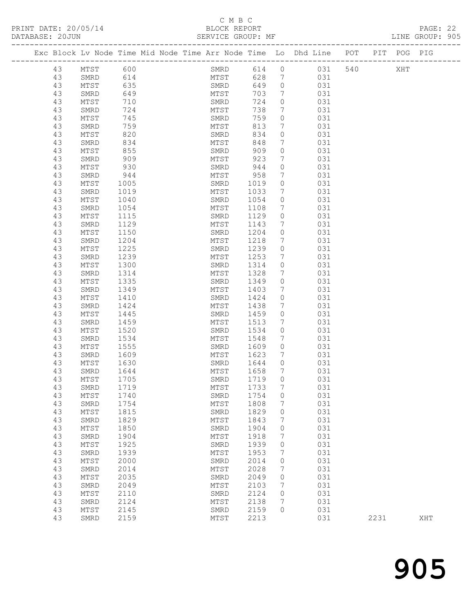#### C M B C<br>BLOCK REPORT

| PRINT DATE: 20/05/14<br>DATABASE: 20JUN                        | BLOCK REPORT<br>SERVICE GROUP: MF |     |          |     |     |             | PAGE: 22<br>LINE GROUP: 905 |  |
|----------------------------------------------------------------|-----------------------------------|-----|----------|-----|-----|-------------|-----------------------------|--|
| Exc Block Ly Node Time Mid Node Time Arr Node Time Lo Dhd Line |                                   |     |          |     | POT | PIT POG PIG |                             |  |
| 43<br>600<br>MTST                                              | SMRD                              | 614 | $\Omega$ | 031 | 540 | XHT         |                             |  |
| 43<br>614<br>SMRD                                              | MTST                              | 628 |          | 031 |     |             |                             |  |
| 43<br>635<br>MTST                                              | SMRD                              | 649 | $\Omega$ | 031 |     |             |                             |  |
| 43<br>649<br>SMRD                                              | MTST                              | 703 | 7        | 031 |     |             |                             |  |
| 43<br>710<br>MTST                                              | SMRD                              | 724 | $\Omega$ | 031 |     |             |                             |  |
| 43<br>724<br>SMRD                                              | MTST                              | 738 | 7        | 031 |     |             |                             |  |
| 43<br>745<br>MTST                                              | SMRD                              | 759 | $\Omega$ | 031 |     |             |                             |  |
| 43<br>759<br>SMRD                                              | MTST                              | 813 |          | 031 |     |             |                             |  |
| 43<br>820<br>MTST                                              | SMRD                              | 834 | $\Omega$ | 031 |     |             |                             |  |
| 43<br>834<br>SMRD                                              | MTST                              | 848 | 7        | 031 |     |             |                             |  |
| 43<br>855<br>MTST                                              | SMRD                              | 909 | $\Omega$ | 031 |     |             |                             |  |
| 43<br>909<br>SMRD                                              | MTST                              | 923 |          | 031 |     |             |                             |  |

| ュン | שתויוט | ぃっさ  | TATTO T | ぃ゠ぃ  |                     | ◡◡⊥ |
|----|--------|------|---------|------|---------------------|-----|
| 43 | MTST   | 855  | SMRD    | 909  | 0                   | 031 |
| 43 | SMRD   | 909  | MTST    | 923  | 7                   | 031 |
| 43 | MTST   | 930  | SMRD    | 944  | $\mathbb O$         | 031 |
| 43 | SMRD   | 944  | MTST    | 958  | 7                   | 031 |
| 43 | MTST   | 1005 | SMRD    | 1019 | $\mathbb O$         | 031 |
| 43 | SMRD   | 1019 | MTST    | 1033 | 7                   | 031 |
| 43 | $MTST$ | 1040 | SMRD    | 1054 | $\mathbb O$         | 031 |
| 43 | SMRD   | 1054 | MTST    | 1108 | 7                   | 031 |
| 43 | $MTST$ | 1115 | SMRD    | 1129 | $\mathbb O$         | 031 |
| 43 | SMRD   | 1129 | MTST    | 1143 | 7                   | 031 |
| 43 | MTST   | 1150 | SMRD    | 1204 | $\mathsf{O}\xspace$ | 031 |
| 43 | SMRD   | 1204 | MTST    | 1218 | 7                   | 031 |
| 43 | MTST   | 1225 | SMRD    | 1239 | 0                   | 031 |
|    |        | 1239 |         |      |                     | 031 |
| 43 | SMRD   |      | MTST    | 1253 | 7                   |     |
| 43 | MTST   | 1300 | SMRD    | 1314 | 0                   | 031 |
| 43 | SMRD   | 1314 | MTST    | 1328 | $\overline{7}$      | 031 |
| 43 | MTST   | 1335 | SMRD    | 1349 | 0                   | 031 |
| 43 | SMRD   | 1349 | MTST    | 1403 | $\boldsymbol{7}$    | 031 |
| 43 | $MTST$ | 1410 | SMRD    | 1424 | 0                   | 031 |
| 43 | SMRD   | 1424 | MTST    | 1438 | 7                   | 031 |
| 43 | $MTST$ | 1445 | SMRD    | 1459 | $\mathsf{O}\xspace$ | 031 |
| 43 | SMRD   | 1459 | MTST    | 1513 | 7                   | 031 |
| 43 | MTST   | 1520 | SMRD    | 1534 | 0                   | 031 |
| 43 | SMRD   | 1534 | MTST    | 1548 | 7                   | 031 |
| 43 | MTST   | 1555 | SMRD    | 1609 | $\mathbb O$         | 031 |
| 43 | SMRD   | 1609 | MTST    | 1623 | $\boldsymbol{7}$    | 031 |
| 43 | MTST   | 1630 | SMRD    | 1644 | 0                   | 031 |
| 43 | SMRD   | 1644 | MTST    | 1658 | 7                   | 031 |
| 43 | $MTST$ | 1705 | SMRD    | 1719 | 0                   | 031 |
| 43 | SMRD   | 1719 | MTST    | 1733 | 7                   | 031 |
| 43 | MTST   | 1740 | SMRD    | 1754 | $\circ$             | 031 |
| 43 | SMRD   | 1754 | MTST    | 1808 | 7                   | 031 |
| 43 | $MTST$ | 1815 | SMRD    | 1829 | $\mathsf{O}\xspace$ | 031 |
| 43 | SMRD   | 1829 | MTST    | 1843 | 7                   | 031 |
| 43 | $MTST$ | 1850 | SMRD    | 1904 | 0                   | 031 |
| 43 | SMRD   | 1904 | MTST    | 1918 | 7                   | 031 |
| 43 | MTST   | 1925 | SMRD    | 1939 | 0                   | 031 |
| 43 | SMRD   | 1939 | MTST    | 1953 | $\boldsymbol{7}$    | 031 |
| 43 | MTST   | 2000 | SMRD    | 2014 | 0                   | 031 |
| 43 | SMRD   | 2014 | MTST    | 2028 | $\overline{7}$      | 031 |
| 43 | MTST   | 2035 | SMRD    | 2049 | $\circ$             | 031 |
| 43 | SMRD   | 2049 | MTST    | 2103 | 7                   | 031 |
| 43 | MTST   | 2110 | SMRD    | 2124 | $\Omega$            | 031 |
|    |        |      |         |      |                     |     |

 43 SMRD 2124 MTST 2138 7 031 43 MTST 2145 SMRD 2159 0 031

43 SMRD 2159 MTST 2213 031 2231 XHT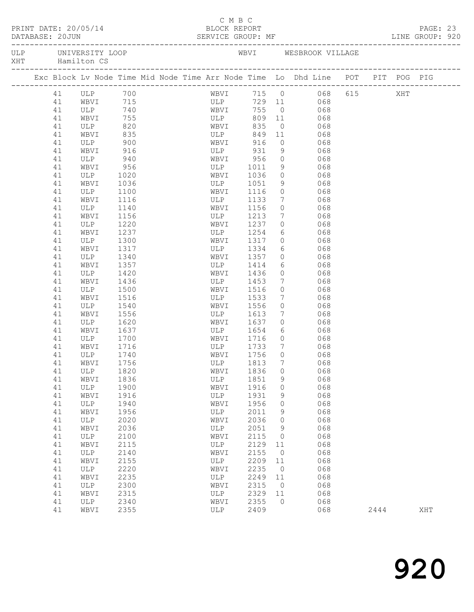|     | PRINT DATE: 20/05/14<br>DATABASE: 20JUN<br>ULP UNIVERSITY LOOP |          |                     |              |  |  |  | C M B C<br>BLOCK REPORT<br>SERVICE GROUP: MF                  |              |                     |                                                                                |      | PAGE: 23<br>LINE GROUP: 920 |  |
|-----|----------------------------------------------------------------|----------|---------------------|--------------|--|--|--|---------------------------------------------------------------|--------------|---------------------|--------------------------------------------------------------------------------|------|-----------------------------|--|
| XHT |                                                                |          | Hamilton CS         |              |  |  |  |                                                               |              |                     | WBVI WESBROOK VILLAGE                                                          |      |                             |  |
|     |                                                                |          |                     |              |  |  |  |                                                               |              |                     | Exc Block Lv Node Time Mid Node Time Arr Node Time Lo Dhd Line POT PIT POG PIG |      |                             |  |
|     |                                                                | 41       |                     |              |  |  |  | WBVI                                                          |              |                     | 715 0 068 615 XHT<br>729 11 068                                                |      |                             |  |
|     |                                                                | 41       | ULP 700<br>WBVI 715 |              |  |  |  | ULP                                                           |              |                     |                                                                                |      |                             |  |
|     |                                                                | 41       | ULP 740             |              |  |  |  | WBVI                                                          | 755          |                     | $0 0 068$                                                                      |      |                             |  |
|     |                                                                | 41       | WBVI                | 755          |  |  |  | ULP                                                           | 809          | 11                  | 068                                                                            |      |                             |  |
|     |                                                                | 41       | ULP                 | 820<br>835   |  |  |  | $\begin{array}{c}\n\mathbf{ULP} \\ \mathbf{ULP}\n\end{array}$ | 835          | $\overline{0}$      | 068                                                                            |      |                             |  |
|     |                                                                | 41       | WBVI                |              |  |  |  |                                                               | 849          | 11                  | 068                                                                            |      |                             |  |
|     |                                                                | 41       | ULP                 | 900          |  |  |  | WBVI                                                          | 916          |                     | $0$ 068                                                                        |      |                             |  |
|     |                                                                | 41       | WBVI                | 916          |  |  |  | ULP                                                           | 931          | 9                   | 068                                                                            |      |                             |  |
|     |                                                                | 41       | ULP                 | 940          |  |  |  | WBVI 956<br>ULP 1011                                          |              | $\circ$             | 068                                                                            |      |                             |  |
|     |                                                                | 41       | WBVI                | 956          |  |  |  |                                                               |              | 9                   | 068                                                                            |      |                             |  |
|     |                                                                | 41       | ULP                 | 1020         |  |  |  | WBVI 1036                                                     |              | $\circ$             | 068                                                                            |      |                             |  |
|     |                                                                | 41       | WBVI                | 1036         |  |  |  | ULP 1051                                                      |              | 9                   | 068                                                                            |      |                             |  |
|     |                                                                | 41       | ULP                 | 1100         |  |  |  | WBVI                                                          | 1116         | $\circ$             | 068                                                                            |      |                             |  |
|     |                                                                | 41       | WBVI                | 1116         |  |  |  | ULP                                                           | 1133         | $7\phantom{.0}$     | 068                                                                            |      |                             |  |
|     |                                                                | 41       | ULP                 | 1140         |  |  |  | WBVI                                                          | 1156         | $\circ$             | 068                                                                            |      |                             |  |
|     |                                                                | 41       | WBVI                | 1156         |  |  |  | ULP                                                           | 1213         | $7\overline{ }$     | 068                                                                            |      |                             |  |
|     |                                                                | 41       | ULP                 | 1220         |  |  |  | WBVI                                                          | 1237         | $\circ$             | 068                                                                            |      |                             |  |
|     |                                                                | 41       | WBVI                | 1237         |  |  |  | ULP                                                           | 1254<br>1317 | 6                   | 068<br>$\begin{array}{ccc} 0 & 0 & 0 \\ 0 & 0 & 0 \end{array}$                 |      |                             |  |
|     |                                                                | 41<br>41 | ULP                 | 1300<br>1317 |  |  |  | WBVI<br>ULP 1334                                              |              | 6                   | 068                                                                            |      |                             |  |
|     |                                                                | 41       | WBVI                |              |  |  |  |                                                               |              | $\circ$             | 068                                                                            |      |                             |  |
|     |                                                                | 41       | ULP<br>WBVI         | 1340<br>1357 |  |  |  | WBVI<br>ULP                                                   | 1357<br>1414 | 6                   | 068                                                                            |      |                             |  |
|     |                                                                | 41       | ULP                 | 1420         |  |  |  | WBVI                                                          | 1436         | $\circ$             | 068                                                                            |      |                             |  |
|     |                                                                | 41       | WBVI                | 1436         |  |  |  | ULP                                                           | 1453         | $7\phantom{.0}$     | 068                                                                            |      |                             |  |
|     |                                                                | 41       | ULP                 | 1500         |  |  |  | WBVI                                                          | 1516         | $\circ$             | 068                                                                            |      |                             |  |
|     |                                                                | 41       | WBVI                | 1516         |  |  |  | ULP                                                           | 1533         | $7\overline{ }$     | 068                                                                            |      |                             |  |
|     |                                                                | 41       | ULP                 | 1540         |  |  |  | WBVI                                                          | 1556         | $\circ$             | 068                                                                            |      |                             |  |
|     |                                                                | 41       | WBVI                | 1556         |  |  |  | ULP 1613                                                      |              | $7\overline{ }$     | 068                                                                            |      |                             |  |
|     |                                                                | 41       | ULP                 | 1620         |  |  |  | WBVI                                                          | 1637         | $\circ$             | 068                                                                            |      |                             |  |
|     |                                                                | 41       | WBVI                | 1637         |  |  |  |                                                               |              |                     | $6\overline{6}$<br>068                                                         |      |                             |  |
|     |                                                                | 41       | WBV1 1037           |              |  |  |  | ULP 1654<br>WBVI 1716                                         |              | $\overline{0}$      | 068                                                                            |      |                             |  |
|     |                                                                | 41       | WBVI                | 1716         |  |  |  | ULP 1733                                                      |              | $\overline{7}$      | 068                                                                            |      |                             |  |
|     |                                                                | 41       | ULP                 | 1740         |  |  |  | WBVI                                                          | 1756         | $\Omega$            | 068                                                                            |      |                             |  |
|     |                                                                |          | 41 WBVI             | 1756         |  |  |  | ULP                                                           | 1813 7       |                     | 068                                                                            |      |                             |  |
|     |                                                                | 41       | ULP                 | 1820         |  |  |  | WBVI                                                          | 1836         | $\mathsf{O}\xspace$ | 068                                                                            |      |                             |  |
|     |                                                                | 41       | WBVI                | 1836         |  |  |  | ULP                                                           | 1851         | 9                   | 068                                                                            |      |                             |  |
|     |                                                                | 41       | ULP                 | 1900         |  |  |  | WBVI                                                          | 1916         | 0                   | 068                                                                            |      |                             |  |
|     |                                                                | 41       | WBVI                | 1916         |  |  |  | ULP                                                           | 1931         | 9                   | 068                                                                            |      |                             |  |
|     |                                                                | 41       | ULP                 | 1940         |  |  |  | WBVI                                                          | 1956         | $\mathbf 0$         | 068                                                                            |      |                             |  |
|     |                                                                | 41       | WBVI                | 1956         |  |  |  | ULP                                                           | 2011         | 9                   | 068                                                                            |      |                             |  |
|     |                                                                | 41       | ULP                 | 2020         |  |  |  | WBVI                                                          | 2036         | 0                   | 068                                                                            |      |                             |  |
|     |                                                                | 41       | WBVI                | 2036         |  |  |  | ULP                                                           | 2051         | 9                   | 068                                                                            |      |                             |  |
|     |                                                                | 41       | ULP                 | 2100         |  |  |  | WBVI                                                          | 2115         | 0                   | 068                                                                            |      |                             |  |
|     |                                                                | 41       | WBVI                | 2115         |  |  |  | ULP                                                           | 2129         | 11                  | 068                                                                            |      |                             |  |
|     |                                                                | 41       | ULP                 | 2140         |  |  |  | WBVI                                                          | 2155         | $\circ$             | 068                                                                            |      |                             |  |
|     |                                                                | 41       | WBVI                | 2155         |  |  |  | ULP                                                           | 2209         | 11                  | 068                                                                            |      |                             |  |
|     |                                                                | 41       | ULP                 | 2220         |  |  |  | WBVI                                                          | 2235         | $\circ$             | 068                                                                            |      |                             |  |
|     |                                                                | 41       | WBVI                | 2235         |  |  |  | ULP                                                           | 2249         | 11                  | 068                                                                            |      |                             |  |
|     |                                                                | 41       | ULP                 | 2300         |  |  |  | WBVI                                                          | 2315         | 0                   | 068                                                                            |      |                             |  |
|     |                                                                | 41       | WBVI                | 2315         |  |  |  | ULP                                                           | 2329         | 11                  | 068                                                                            |      |                             |  |
|     |                                                                | 41       | ULP                 | 2340         |  |  |  | WBVI                                                          | 2355         | $\circ$             | 068                                                                            |      |                             |  |
|     |                                                                | 41       | WBVI                | 2355         |  |  |  | ULP                                                           | 2409         |                     | 068                                                                            | 2444 | XHT                         |  |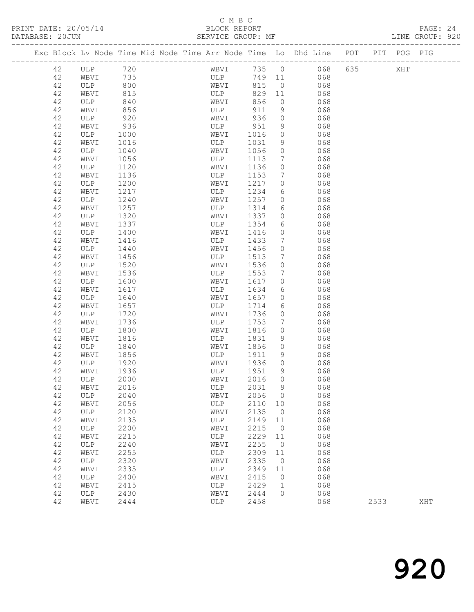#### C M B C

| DATABASE: 20JUN |          |             |              | SERVICE GROUP: MF                                                              |                  |              |                            |               |         |      | LINE GROUP: 920 |  |
|-----------------|----------|-------------|--------------|--------------------------------------------------------------------------------|------------------|--------------|----------------------------|---------------|---------|------|-----------------|--|
|                 |          |             |              | Exc Block Lv Node Time Mid Node Time Arr Node Time Lo Dhd Line POT PIT POG PIG |                  |              |                            |               |         |      |                 |  |
|                 | 42       | ULP 720     |              |                                                                                | WBVI             |              |                            | 735 0 068     | 635 XHT |      |                 |  |
|                 | 42       | WBVI 735    |              |                                                                                | ULP <sub>2</sub> |              |                            | 749 11<br>068 |         |      |                 |  |
|                 | 42       | ULP         | 800          |                                                                                | WBVI             | 815          | $\overline{0}$             | 068           |         |      |                 |  |
|                 | 42       | WBVI        | 815          | ULP                                                                            |                  | 829          | 11                         | 068           |         |      |                 |  |
|                 | 42       | ULP         | 840          | WBVI                                                                           |                  | 856          | $\circ$                    | 068           |         |      |                 |  |
|                 | 42       | WBVI        | 856          |                                                                                | ULP              | 911          | 9                          | 068           |         |      |                 |  |
|                 | 42       | ULP         | 920          | WBVI                                                                           |                  | 936          | $\circ$                    | 068           |         |      |                 |  |
|                 | 42       | WBVI        | 936          | ULP                                                                            |                  | 951          | 9                          | 068           |         |      |                 |  |
|                 | 42       | ULP         | 1000         | WBVI                                                                           |                  | 1016         | $\circ$                    | 068           |         |      |                 |  |
|                 | 42       | WBVI        | 1016         | ULP                                                                            |                  | 1031         | 9                          | 068           |         |      |                 |  |
|                 | 42       | ULP         | 1040         | WBVI                                                                           |                  | 1056         | $\circ$                    | 068           |         |      |                 |  |
|                 | 42       | WBVI        | 1056         | ULP                                                                            |                  | 1113         | $7\phantom{.0}$            | 068           |         |      |                 |  |
|                 | 42       | ULP         | 1120         | WBVI                                                                           |                  | 1136         | $\circ$                    | 068           |         |      |                 |  |
|                 | 42       | WBVI        | 1136         | ULP                                                                            |                  | 1153         | $7\phantom{.0}$            | 068           |         |      |                 |  |
|                 | 42       | ULP         | 1200         | WBVI                                                                           |                  | 1217         | $\circ$                    | 068           |         |      |                 |  |
|                 | 42       | WBVI        | 1217         | ULP                                                                            |                  | 1234         | 6                          | 068           |         |      |                 |  |
|                 | 42       | ULP         | 1240         | WBVI                                                                           |                  | 1257         | $\circ$                    | 068           |         |      |                 |  |
|                 | 42       | WBVI        | 1257         | ULP                                                                            |                  | 1314         | 6                          | 068           |         |      |                 |  |
|                 | 42       | ULP         | 1320         | WBVI                                                                           |                  | 1337         | $\circ$                    | 068           |         |      |                 |  |
|                 | 42       | WBVI        | 1337         | ULP                                                                            |                  | 1354         | 6                          | 068           |         |      |                 |  |
|                 | 42       | ULP         | 1400         | WBVI                                                                           |                  | 1416         | $\circ$                    | 068           |         |      |                 |  |
|                 | 42       | WBVI        | 1416         | ULP                                                                            |                  | 1433         | $7\phantom{.0}$            | 068           |         |      |                 |  |
|                 | 42       | ULP         | 1440         | WBVI                                                                           |                  | 1456         | $\circ$                    | 068           |         |      |                 |  |
|                 | 42       | WBVI        | 1456         | ULP                                                                            |                  | 1513         | $7\phantom{.0}$<br>$\circ$ | 068           |         |      |                 |  |
|                 | 42<br>42 | ULP<br>WBVI | 1520<br>1536 | WBVI<br>ULP                                                                    |                  | 1536<br>1553 | $7\phantom{.0}$            | 068<br>068    |         |      |                 |  |
|                 | 42       | ULP         | 1600         | WBVI                                                                           |                  | 1617         | $\circ$                    | 068           |         |      |                 |  |
|                 | 42       | WBVI        | 1617         | ULP                                                                            |                  | 1634         | 6                          | 068           |         |      |                 |  |
|                 | 42       | ULP         | 1640         | WBVI                                                                           |                  | 1657         | $\circ$                    | 068           |         |      |                 |  |
|                 | 42       | WBVI        | 1657         | ULP                                                                            |                  | 1714         | 6                          | 068           |         |      |                 |  |
|                 | 42       | ULP         | 1720         | WBVI                                                                           |                  | 1736         | $\circ$                    | 068           |         |      |                 |  |
|                 | 42       | WBVI        | 1736         | ULP                                                                            |                  | 1753         | $7\phantom{.0}$            | 068           |         |      |                 |  |
|                 | 42       | ULP         | 1800         | WBVI                                                                           |                  | 1816         | $\circ$                    | 068           |         |      |                 |  |
|                 | 42       | WBVI        | 1816         | ULP                                                                            |                  | 1831         | 9                          | 068           |         |      |                 |  |
|                 | 42       | ULP         | 1840         | WBVI                                                                           |                  | 1856         | $\circ$                    | 068           |         |      |                 |  |
|                 | 42       | WBVI        | 1856         | ULP                                                                            |                  | 1911         | 9                          | 068           |         |      |                 |  |
|                 | 42       | ULP         | 1920         | WBVI                                                                           |                  | 1936         | $\circ$                    | 068           |         |      |                 |  |
|                 | 42       | WBVI        | 1936         | ULP                                                                            |                  | 1951         | 9                          | 068           |         |      |                 |  |
|                 | 42       | ULP         | 2000         |                                                                                |                  | WBVI 2016 0  |                            | 068           |         |      |                 |  |
|                 | 42       | WBVI        | 2016         | ULP                                                                            |                  | 2031         | - 9                        | 068           |         |      |                 |  |
|                 | 42       | ULP         | 2040         | WBVI                                                                           |                  | 2056         | $\overline{0}$             | 068           |         |      |                 |  |
|                 | 42       | WBVI        | 2056         | ULP                                                                            |                  | 2110         | 10                         | 068           |         |      |                 |  |
|                 | 42       | ULP         | 2120         | WBVI                                                                           |                  | 2135         | $\overline{0}$             | 068           |         |      |                 |  |
|                 | 42       | WBVI        | 2135         | ULP                                                                            |                  | 2149         | 11                         | 068           |         |      |                 |  |
|                 | 42       | ULP         | 2200         | WBVI                                                                           |                  | 2215         | $\overline{0}$             | 068           |         |      |                 |  |
|                 | 42       | WBVI        | 2215         | ULP                                                                            |                  | 2229         | 11                         | 068           |         |      |                 |  |
|                 | 42       | ULP         | 2240         | WBVI                                                                           |                  | 2255         | $\overline{0}$             | 068           |         |      |                 |  |
|                 | 42       | WBVI        | 2255         | ULP                                                                            |                  | 2309         | 11                         | 068           |         |      |                 |  |
|                 | 42       | ULP         | 2320         | WBVI                                                                           |                  | 2335         | $\overline{0}$             | 068           |         |      |                 |  |
|                 | 42       | WBVI        | 2335         | ULP                                                                            |                  | 2349         | 11                         | 068           |         |      |                 |  |
|                 | 42       | ULP         | 2400         | WBVI                                                                           |                  | 2415         | $\overline{0}$             | 068           |         |      |                 |  |
|                 | 42       | WBVI        | 2415         | ULP                                                                            |                  | 2429         | $\mathbf{1}$               | 068           |         |      |                 |  |
|                 | 42       | ULP         | 2430         | WBVI                                                                           |                  | 2444         | $\circ$                    | 068           |         |      |                 |  |
|                 | 42       | WBVI        | 2444         | ULP                                                                            |                  | 2458         |                            | 068           |         | 2533 | XHT             |  |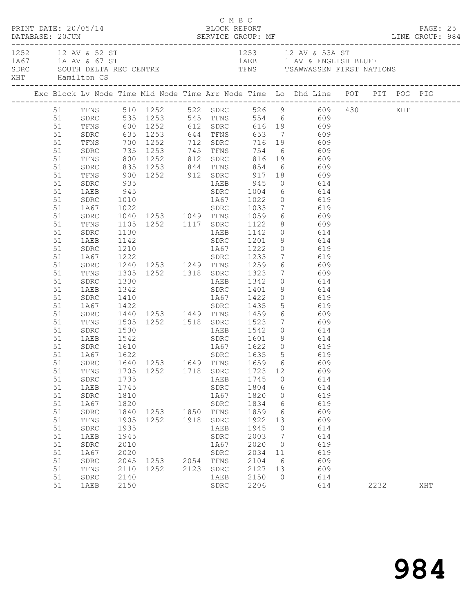| PRINT DATE: 20/05/14 |  |          |                        |      |                                  |      | C M B C<br>BLOCK REPORT<br>DATABASE: 20JUN SERVICE GROUP: MF EXAMPLE PARABASE: 20JUN SERVICE GROUP: MF EXAMPLE PARABASE: 20JUN EXAMPLE PARABASE: 20JUN |                        |                 |                                                                                                                                                |  |      |  |     | PAGE: 25 |
|----------------------|--|----------|------------------------|------|----------------------------------|------|--------------------------------------------------------------------------------------------------------------------------------------------------------|------------------------|-----------------|------------------------------------------------------------------------------------------------------------------------------------------------|--|------|--|-----|----------|
|                      |  |          | XHT Hamilton CS        |      |                                  |      | 1252 12 AV & 52 ST<br>1A67 1A AV & 67 ST<br>SDRC SOUTH DELTA REC CENTRE TENS TRIM TENS TSAWWASSEN FIRST NATIONS                                        |                        |                 |                                                                                                                                                |  |      |  |     |          |
|                      |  |          |                        |      |                                  |      |                                                                                                                                                        |                        |                 |                                                                                                                                                |  |      |  |     |          |
|                      |  |          |                        |      |                                  |      |                                                                                                                                                        |                        |                 | 51 TFNS 510 1252 522 SDRC 526 9 609 430 XHT<br>51 SDRC 535 1253 545 TFNS 554 6 609                                                             |  |      |  |     |          |
|                      |  |          |                        |      |                                  |      |                                                                                                                                                        |                        |                 |                                                                                                                                                |  |      |  |     |          |
|                      |  | 51       |                        |      |                                  |      |                                                                                                                                                        |                        |                 | TFNS 600 1252 612 SDRC 616 19 609                                                                                                              |  |      |  |     |          |
|                      |  | 51       | SDRC                   |      |                                  |      |                                                                                                                                                        |                        |                 | SDRC 635 1253 644 TFNS 653 7 609<br>TFNS 700 1252 712 SDRC 716 19 609<br>SDRC 735 1253 745 TFNS 754 6 609<br>TFNS 800 1252 812 SDRC 816 19 609 |  |      |  |     |          |
|                      |  | 51       |                        |      |                                  |      |                                                                                                                                                        |                        |                 |                                                                                                                                                |  |      |  |     |          |
|                      |  | 51       |                        |      |                                  |      |                                                                                                                                                        |                        |                 |                                                                                                                                                |  |      |  |     |          |
|                      |  | 51       |                        |      |                                  |      |                                                                                                                                                        |                        |                 |                                                                                                                                                |  |      |  |     |          |
|                      |  | 51       | SDRC                   |      |                                  |      |                                                                                                                                                        |                        |                 |                                                                                                                                                |  |      |  |     |          |
|                      |  | 51       | TFNS<br>SDRC           |      |                                  |      |                                                                                                                                                        |                        |                 | 835 1253 844 TFNS 854 6 609<br>900 1252 912 SDRC 917 18 609<br>935 1AEB 945 0 614                                                              |  |      |  |     |          |
|                      |  | 51       |                        |      |                                  |      |                                                                                                                                                        |                        |                 |                                                                                                                                                |  |      |  |     |          |
|                      |  | 51       |                        |      |                                  |      |                                                                                                                                                        |                        |                 |                                                                                                                                                |  |      |  |     |          |
|                      |  | 51       | SDRC                   |      |                                  |      |                                                                                                                                                        |                        |                 |                                                                                                                                                |  |      |  |     |          |
|                      |  | 51       | 1A67                   |      |                                  |      |                                                                                                                                                        |                        |                 | 1010 1867 1022 0 619<br>1022 SDRC 1033 7 619<br>1040 1253 1049 TFNS 1059 6 609                                                                 |  |      |  |     |          |
|                      |  | 51       | SDRC                   |      |                                  |      |                                                                                                                                                        |                        |                 |                                                                                                                                                |  |      |  |     |          |
|                      |  | 51       | TFNS                   |      |                                  |      |                                                                                                                                                        |                        |                 | 1105 1252 1117 SDRC 1122 8 609                                                                                                                 |  |      |  |     |          |
|                      |  | 51       | SDRC                   | 1130 |                                  |      |                                                                                                                                                        |                        |                 | 1AEB 1142 0 614                                                                                                                                |  |      |  |     |          |
|                      |  | 51<br>51 | 1AEB                   |      |                                  |      |                                                                                                                                                        |                        |                 |                                                                                                                                                |  |      |  |     |          |
|                      |  | 51       | SDRC<br>1A67           |      |                                  |      |                                                                                                                                                        |                        |                 |                                                                                                                                                |  |      |  |     |          |
|                      |  | 51       | SDRC                   |      |                                  |      |                                                                                                                                                        |                        |                 |                                                                                                                                                |  |      |  |     |          |
|                      |  | 51       | TFNS                   |      |                                  |      |                                                                                                                                                        |                        |                 |                                                                                                                                                |  |      |  |     |          |
|                      |  | 51       | ${\tt SDRC}$           | 1330 | 1305 1252 1318 SDRC 1323         |      |                                                                                                                                                        |                        |                 | 7 609                                                                                                                                          |  |      |  |     |          |
|                      |  | 51       | 1AEB                   | 1342 |                                  |      |                                                                                                                                                        | 1AEB 1342<br>SDRC 1401 |                 | $\begin{array}{ccc} 0 & & 614 \\ 9 & & 614 \end{array}$                                                                                        |  |      |  |     |          |
|                      |  | 51       | SDRC                   |      |                                  |      |                                                                                                                                                        |                        |                 | 1410 1867 1422 0<br>1422 SDRC 1435 5 619<br>1440 1253 1449 TFNS 1459 6 609<br>1505 1252 1518 SDRC 1523 7 609                                   |  |      |  |     |          |
|                      |  | 51       | 1A67                   |      |                                  |      |                                                                                                                                                        |                        |                 |                                                                                                                                                |  |      |  |     |          |
|                      |  | 51       | SDRC                   |      |                                  |      |                                                                                                                                                        |                        |                 |                                                                                                                                                |  |      |  |     |          |
|                      |  | 51       | TFNS                   |      |                                  |      |                                                                                                                                                        |                        |                 |                                                                                                                                                |  |      |  |     |          |
|                      |  | 51       | SDRC                   | 1530 |                                  |      |                                                                                                                                                        |                        |                 | 1AEB 1542 0 614                                                                                                                                |  |      |  |     |          |
|                      |  | 51       | 1AEB                   | 1542 |                                  |      |                                                                                                                                                        |                        |                 |                                                                                                                                                |  |      |  |     |          |
|                      |  | 51       |                        |      |                                  |      |                                                                                                                                                        |                        |                 |                                                                                                                                                |  |      |  |     |          |
|                      |  | 51       | SDRC 1610<br>1A67 1622 |      |                                  |      |                                                                                                                                                        |                        |                 | SDRC 1601 9 614<br>1A67 1622 0 619<br>SDRC 1635 5 619                                                                                          |  |      |  |     |          |
|                      |  |          |                        |      |                                  |      |                                                                                                                                                        |                        |                 | 51 SDRC 1640 1253 1649 TFNS 1659 6 609                                                                                                         |  |      |  |     |          |
|                      |  | 51       | TFNS                   | 1705 | 1252 1718 SDRC                   |      |                                                                                                                                                        | 1723 12                |                 | 609                                                                                                                                            |  |      |  |     |          |
|                      |  | 51       | ${\tt SDRC}$           | 1735 |                                  |      | 1AEB                                                                                                                                                   | 1745                   | $\overline{0}$  | 614                                                                                                                                            |  |      |  |     |          |
|                      |  | 51       | 1AEB                   | 1745 |                                  |      | SDRC                                                                                                                                                   | 1804                   | $6\overline{6}$ | 614                                                                                                                                            |  |      |  |     |          |
|                      |  | 51       | SDRC                   | 1810 |                                  |      | 1A67                                                                                                                                                   | 1820                   | $\overline{0}$  | 619                                                                                                                                            |  |      |  |     |          |
|                      |  | 51       | 1A67                   | 1820 |                                  |      | ${\tt SDRC}$                                                                                                                                           | 1834                   | $6\overline{6}$ | 619                                                                                                                                            |  |      |  |     |          |
|                      |  | 51       | SDRC                   | 1840 | 1253 1850 TFNS<br>1252 1918 SDRC |      |                                                                                                                                                        | 1859                   | 6               | 609                                                                                                                                            |  |      |  |     |          |
|                      |  | 51       | TFNS                   | 1905 |                                  |      |                                                                                                                                                        | 1922                   | 13              | 609                                                                                                                                            |  |      |  |     |          |
|                      |  | 51       | ${\tt SDRC}$           | 1935 |                                  |      | 1AEB                                                                                                                                                   | 1945                   | $\overline{0}$  | 614                                                                                                                                            |  |      |  |     |          |
|                      |  | 51       | 1AEB                   | 1945 |                                  |      | SDRC                                                                                                                                                   | 2003                   | $\overline{7}$  | 614                                                                                                                                            |  |      |  |     |          |
|                      |  | 51       | ${\tt SDRC}$           | 2010 |                                  |      | 1A67                                                                                                                                                   | 2020                   | $\overline{0}$  | 619                                                                                                                                            |  |      |  |     |          |
|                      |  | 51       | 1A67                   | 2020 |                                  |      | ${\tt SDRC}$                                                                                                                                           | 2034                   | 11              | 619                                                                                                                                            |  |      |  |     |          |
|                      |  | 51       | SDRC                   | 2045 | 1253 2054 TFNS                   |      |                                                                                                                                                        | 2104                   | 6               | 609                                                                                                                                            |  |      |  |     |          |
|                      |  | 51       | TFNS                   | 2110 | 1252                             | 2123 | SDRC                                                                                                                                                   | 2127 13                |                 | 609                                                                                                                                            |  |      |  |     |          |
|                      |  | 51       | ${\tt SDRC}$           | 2140 |                                  |      | 1AEB                                                                                                                                                   | 2150                   | $\overline{0}$  | 614                                                                                                                                            |  |      |  |     |          |
|                      |  | 51       | 1AEB                   | 2150 |                                  |      | ${\tt SDRC}$                                                                                                                                           | 2206                   |                 | 614                                                                                                                                            |  | 2232 |  | XHT |          |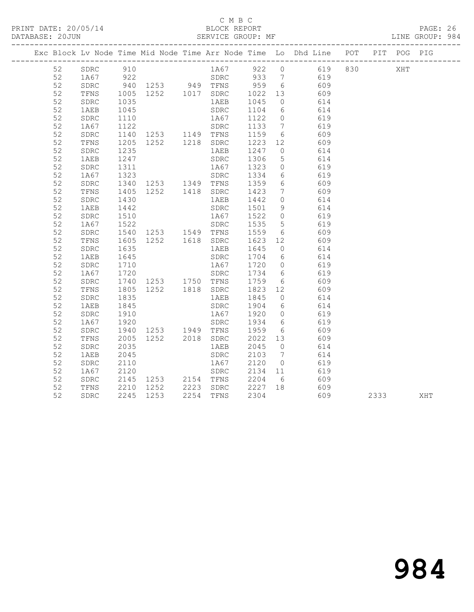#### C M B C<br>BLOCK REPORT

| PRINT DATE: 20/05/14<br>DATABASE: 20JUN | BLOCK REPORT<br>SERVICE GROUP: MF |  | PAGE: 26<br>LINE GROUP: 984 |  |
|-----------------------------------------|-----------------------------------|--|-----------------------------|--|
|                                         |                                   |  |                             |  |

|  |    |      |                  |                                                      |      |           |         |                 | Exc Block Lv Node Time Mid Node Time Arr Node Time Lo Dhd Line POT |      | PIT POG PIG |     |
|--|----|------|------------------|------------------------------------------------------|------|-----------|---------|-----------------|--------------------------------------------------------------------|------|-------------|-----|
|  | 52 | SDRC | 910              |                                                      |      |           |         |                 | 1A67 922 0 619 830<br>SDRC 933 7 619                               |      | XHT         |     |
|  | 52 | 1A67 | 922              |                                                      |      |           |         |                 |                                                                    |      |             |     |
|  | 52 | SDRC |                  | 940 1253 949 TFNS 959                                |      |           |         | 6               | 609                                                                |      |             |     |
|  | 52 | TFNS | 1005             | 1252   1017   SDRC                                   |      |           | 1022    | 13              | 609                                                                |      |             |     |
|  | 52 | SDRC | 1035             |                                                      |      | 1AEB      | 1045    | $\overline{0}$  | 614                                                                |      |             |     |
|  | 52 | 1AEB | 1045             |                                                      |      | SDRC      | 1104    | 6               | 614                                                                |      |             |     |
|  | 52 | SDRC | 1110             |                                                      |      | 1A67      | 1122    | $\overline{0}$  | 619                                                                |      |             |     |
|  | 52 | 1A67 | 1122             | SDRC<br>1253 1149 TFNS<br>1252 1218 SDRC             |      |           | 1133    | $7\overline{7}$ | 619                                                                |      |             |     |
|  | 52 | SDRC | 1140             |                                                      |      |           | 1159    | $6\overline{6}$ | 609                                                                |      |             |     |
|  | 52 | TFNS | $\frac{1}{1205}$ |                                                      |      |           | 1223 12 |                 | 609                                                                |      |             |     |
|  | 52 | SDRC | 1235             |                                                      |      | 1AEB      | 1247    | $\overline{0}$  | 614                                                                |      |             |     |
|  | 52 | 1AEB | 1247             |                                                      |      | SDRC      | 1306    | $5\phantom{.}$  | 614                                                                |      |             |     |
|  | 52 | SDRC | 1311             |                                                      |      | 1A67      | 1323    | $\overline{0}$  | 619                                                                |      |             |     |
|  | 52 | 1A67 | 1323             |                                                      |      | SDRC      | 1334    | 6 <sup>1</sup>  | 619                                                                |      |             |     |
|  | 52 | SDRC | 1340             | 1253 1349 TFNS                                       |      |           | 1359    | 6               | 609                                                                |      |             |     |
|  | 52 | TFNS | 1405             | 1252  1418  SDRC                                     |      |           | 1423    | $7\overline{ }$ | 609                                                                |      |             |     |
|  | 52 | SDRC | 1430             |                                                      |      | 1AEB      | 1442    | $\circ$         | 614                                                                |      |             |     |
|  | 52 | 1AEB | 1442             |                                                      |      | SDRC      | 1501    | 9               | 614                                                                |      |             |     |
|  | 52 | SDRC | 1510             |                                                      |      | 1A67      | 1522    | $\overline{0}$  | 619                                                                |      |             |     |
|  | 52 | 1A67 | 1522             | SDRC<br>1253    1549    TFNS<br>1252    1618    SDRC |      |           | 1535    | 5 <sup>5</sup>  | 619                                                                |      |             |     |
|  | 52 | SDRC | 1540             |                                                      |      |           | 1559    | 6               | 609                                                                |      |             |     |
|  | 52 | TFNS | 1605             |                                                      |      |           | 1623    | 12              | 609                                                                |      |             |     |
|  | 52 | SDRC | 1635             |                                                      |      | 1AEB      | 1645    | $\overline{0}$  | 614                                                                |      |             |     |
|  | 52 | 1AEB | 1645             |                                                      |      | SDRC      | 1704    | 6               | 614                                                                |      |             |     |
|  | 52 | SDRC | 1710             |                                                      |      | 1A67      | 1720    | $\overline{0}$  | 619                                                                |      |             |     |
|  | 52 | 1A67 | 1720             |                                                      |      | SDRC      | 1734 6  |                 | 619                                                                |      |             |     |
|  | 52 | SDRC | 1740             | 1253 1750 TFNS                                       |      |           | 1759    | 6               | 609                                                                |      |             |     |
|  | 52 | TFNS | 1805             | 1252  1818  SDRC                                     |      |           | 1823    | 12              | 609                                                                |      |             |     |
|  | 52 | SDRC | 1835             |                                                      |      | 1AEB      | 1845    | $\overline{0}$  | 614                                                                |      |             |     |
|  | 52 | 1AEB | 1845             |                                                      |      | SDRC      | 1904    | 6               | 614                                                                |      |             |     |
|  | 52 | SDRC | 1910             |                                                      |      | 1A67      | 1920    | $\overline{0}$  | 619                                                                |      |             |     |
|  | 52 | 1A67 | 1920             | SDRC<br>1253   1949   TFNS                           |      |           | 1934    | 6               | 619                                                                |      |             |     |
|  | 52 | SDRC | 1940             |                                                      |      |           | 1959    | 6               | 609                                                                |      |             |     |
|  | 52 | TFNS | 2005             |                                                      |      |           | 2022 13 |                 | 609                                                                |      |             |     |
|  | 52 | SDRC | 2035             |                                                      |      | 1AEB      | 2045    | $\overline{0}$  | 614                                                                |      |             |     |
|  | 52 | 1AEB | 2045             |                                                      |      | SDRC      | 2103    | $\overline{7}$  | 614                                                                |      |             |     |
|  | 52 | SDRC | 2110             |                                                      |      | 1A67      | 2120    | $\overline{0}$  | 619                                                                |      |             |     |
|  | 52 | 1A67 | 2120             |                                                      |      | SDRC      | 2134 11 |                 | 619                                                                |      |             |     |
|  | 52 | SDRC | 2145             | 1253   2154   TFNS                                   |      |           | 2204    | 6               | 609                                                                |      |             |     |
|  | 52 | TFNS | 2210             | 1252                                                 |      | 2223 SDRC | 2227    | 18              | 609                                                                |      |             |     |
|  | 52 | SDRC | 2245             | 1253                                                 | 2254 | TFNS      | 2304    |                 | 609                                                                | 2333 |             | XHT |
|  |    |      |                  |                                                      |      |           |         |                 |                                                                    |      |             |     |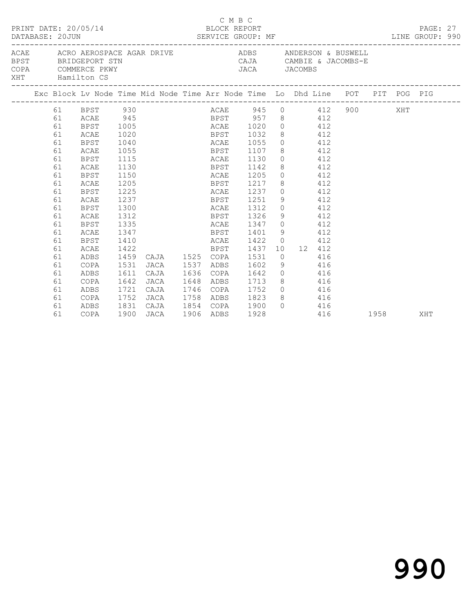| PRINT DATE: 20/05/14<br>DATABASE: 20JUN |                                                    | BLOCK REPORT                                                                   |                                                                                                                                                   | C M B C              | SERVICE GROUP: MF |                           |                              |  |                                             |                   |                                                                | PAGE: 27<br>LINE GROUP: 990 |                        |  |  |     |  |
|-----------------------------------------|----------------------------------------------------|--------------------------------------------------------------------------------|---------------------------------------------------------------------------------------------------------------------------------------------------|----------------------|-------------------|---------------------------|------------------------------|--|---------------------------------------------|-------------------|----------------------------------------------------------------|-----------------------------|------------------------|--|--|-----|--|
| <b>BPST</b><br>COPA                     | BRIDGEPORT STN<br>COMMERCE PKWY<br>XHT Hamilton CS |                                                                                | ACAE      ACRO AEROSPACE AGAR DRIVE                     ADBS        ANDERSON & BUSWELL<br>CAJA CAMBIE & JACOMBS-E<br>JACA JACOMBS<br>JACA JACOMBS |                      |                   |                           |                              |  |                                             |                   |                                                                |                             |                        |  |  |     |  |
|                                         |                                                    | Exc Block Lv Node Time Mid Node Time Arr Node Time Lo Dhd Line POT PIT POG PIG |                                                                                                                                                   |                      |                   |                           |                              |  |                                             |                   |                                                                |                             |                        |  |  |     |  |
|                                         | 61<br>61<br>61<br>61<br>61                         | 61 BPST 930<br>ACAE<br>BPST<br>ACAE<br><b>BPST</b><br>ACAE                     | 945<br>1005<br>1020<br>1040<br>1055                                                                                                               |                      |                   |                           | BPST<br><b>ACAE</b><br>BPST  |  | 1032<br>1055<br>1107                        |                   | BPST 957 8 412<br>ACAE 1020 0 412<br>8 412<br>$0$ 412<br>8 412 |                             | ACAE 945 0 412 900 XHT |  |  |     |  |
|                                         | 61<br>61<br>61<br>61                               | <b>BPST</b><br>ACAE<br><b>BPST</b><br>ACAE                                     | 1115<br>1130<br>1150<br>1205                                                                                                                      |                      |                   |                           | ACAE<br>BPST<br>ACAE<br>BPST |  | 1130<br>1142<br>1205<br>1217                |                   | $0$ 412<br>8 412<br>$0$ 412<br>8 412                           |                             |                        |  |  |     |  |
|                                         | 61<br>61<br>61<br>61                               | <b>BPST</b><br>ACAE<br><b>BPST</b><br>ACAE                                     | 1225<br>1237<br>1300<br>1312                                                                                                                      |                      |                   |                           | ACAE                         |  | 1237<br>BPST 1251<br>ACAE 1312<br>BPST 1326 |                   | $0$ 412<br>9 412<br>$0$ 412<br>9 412                           |                             |                        |  |  |     |  |
|                                         | 61<br>61<br>61<br>61                               | <b>BPST</b><br>ACAE<br><b>BPST</b><br>ACAE                                     | 1335<br>1347<br>1410<br>1422                                                                                                                      |                      |                   |                           | BPST                         |  | ACAE 1347<br>BPST 1401<br>ACAE 1422<br>1437 |                   | $0$ 412<br>9 412<br>$0 \t 412$<br>10 12 412                    |                             |                        |  |  |     |  |
|                                         | 61<br>61<br>61<br>61                               | ADBS<br>COPA<br>ADBS<br>COPA                                                   | 1459<br>1531<br>1611<br>1642                                                                                                                      | JACA<br>CAJA<br>JACA | CAJA 1525 COPA    | 1537<br>1636<br>1648      | ADBS<br>COPA<br>ADBS         |  | 1531<br>1602<br>1642<br>1713                | $\bigcirc$<br>- 9 | 416<br>$0$ 416<br>8 416<br>$0$ 416                             | 416                         |                        |  |  |     |  |
|                                         | 61<br>61<br>61<br>61                               | ADBS<br>COPA<br>ADBS<br>COPA                                                   | 1721<br>1752<br>1831<br>1900                                                                                                                      | CAJA<br>JACA<br>JACA |                   | 1746<br>1758<br>1906 ADBS | COPA<br>ADBS                 |  | 1752<br>1823<br>CAJA 1854 COPA 1900<br>1928 |                   | 8 416<br>$0$ 416                                               | 416                         | 1958                   |  |  | XHT |  |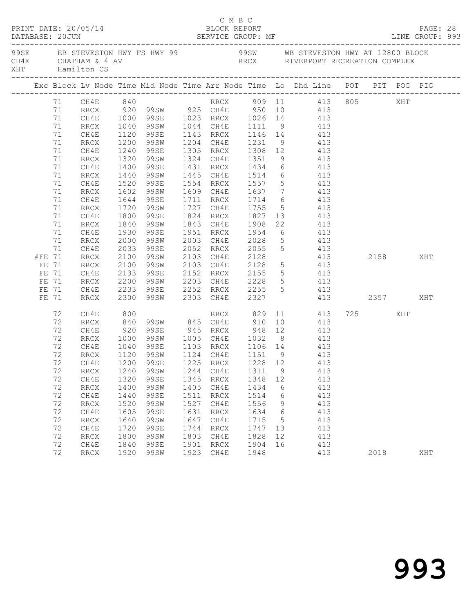| PRINT DATE: 20/05/14<br>DATABASE: 20JUN SERVICE GROUP: MF LINE GROUP: 993 |        |          |                 |                      |                        |      | C M B C<br>BLOCK REPORT                            |      |             |                                                                                                                        |  |      |     | PAGE: 28 |  |
|---------------------------------------------------------------------------|--------|----------|-----------------|----------------------|------------------------|------|----------------------------------------------------|------|-------------|------------------------------------------------------------------------------------------------------------------------|--|------|-----|----------|--|
|                                                                           |        |          | XHT Hamilton CS |                      |                        |      |                                                    |      |             |                                                                                                                        |  |      |     |          |  |
|                                                                           |        |          |                 |                      |                        |      |                                                    |      |             | Exc Block Lv Node Time Mid Node Time Arr Node Time Lo Dhd Line POT PIT POG PIG                                         |  |      |     |          |  |
|                                                                           |        |          |                 |                      |                        |      |                                                    |      |             | 71 CH4E 840 RRCX 909 11 413 805 XHT<br>71 RRCX 920 99SW 925 CH4E 950 10 413<br>71 CH4E 1000 99SE 1023 RRCX 1026 14 413 |  |      |     |          |  |
|                                                                           |        |          |                 |                      |                        |      |                                                    |      |             |                                                                                                                        |  |      |     |          |  |
|                                                                           |        |          |                 |                      |                        |      |                                                    |      |             |                                                                                                                        |  |      |     |          |  |
|                                                                           |        | 71       | RRCX            |                      |                        |      |                                                    |      |             | 1040 99SW 1044 CH4E 1111 9 413                                                                                         |  |      |     |          |  |
|                                                                           |        | 71       | CH4E            | 1120                 | 99SE                   |      |                                                    |      |             | 1143 RRCX 1146 14 413                                                                                                  |  |      |     |          |  |
|                                                                           |        | 71       | RRCX            | 1200<br>1240         | 99SW                   |      |                                                    |      |             | 1204 CH4E 1231 9 413<br>1305 RRCX 1308 12 413                                                                          |  |      |     |          |  |
|                                                                           |        | 71       | CH4E            |                      | 99se                   |      |                                                    |      |             |                                                                                                                        |  |      |     |          |  |
|                                                                           |        | 71       | RRCX            | 1320                 | 99SW                   |      | 1324 CH4E 1351                                     |      |             | 9 413                                                                                                                  |  |      |     |          |  |
|                                                                           |        | 71       | CH4E            | 1400                 | 99se                   |      | 1431 RRCX 1434                                     |      |             | 6 413                                                                                                                  |  |      |     |          |  |
|                                                                           |        | 71       | RRCX            | 1440<br>1520         | 99SW                   |      |                                                    |      |             | 1445 CH4E 1514 6 413<br>1554 RRCX 1557 5 413                                                                           |  |      |     |          |  |
|                                                                           |        | 71       | CH4E            |                      | 99se                   |      |                                                    |      |             |                                                                                                                        |  |      |     |          |  |
|                                                                           |        | 71       | RRCX            | 1602                 | 99SW                   |      |                                                    |      |             | 1609 CH4E 1637 7 413                                                                                                   |  |      |     |          |  |
|                                                                           |        | 71       | CH4E            | 1644                 | 99SE                   |      |                                                    |      |             | 1711 RRCX 1714 6 413                                                                                                   |  |      |     |          |  |
|                                                                           |        | 71       | RRCX            | 1720<br>1800         | 99SW                   |      |                                                    |      |             | 1727 CH4E 1755 5 413<br>1824 RRCX 1827 13 413                                                                          |  |      |     |          |  |
|                                                                           |        | 71<br>71 | CH4E<br>RRCX    | 1840                 | 99se<br>99SW           |      | 1843 CH4E 1908                                     |      |             | 22 413                                                                                                                 |  |      |     |          |  |
|                                                                           |        | 71       | CH4E            | 1930                 | 99SE                   |      | 1951 RRCX 1954                                     |      |             | 6 413                                                                                                                  |  |      |     |          |  |
|                                                                           |        | 71       | RRCX            | 2000                 | 99SW                   |      |                                                    |      |             |                                                                                                                        |  |      |     |          |  |
|                                                                           |        | 71       | CH4E            | 2000<br>2033<br>2100 | 99se                   |      | 2003 CH4E 2028<br>2052 RRCX 2055<br>2103 CH4E 2128 |      |             | $\begin{array}{ccc} 5 & & 413 \\ 5 & & 413 \\ 413 & & 2158 \\ \end{array}$ XHT                                         |  |      |     |          |  |
|                                                                           | #FE 71 |          | <b>RRCX</b>     |                      | 99SW                   |      |                                                    |      |             |                                                                                                                        |  |      |     |          |  |
|                                                                           | FE 71  |          | RRCX            | 2100                 | 99SW                   |      | 2103 CH4E 2128                                     |      |             | 5 413                                                                                                                  |  |      |     |          |  |
|                                                                           | FE 71  |          | CH4E            | 2133                 | 99se                   |      |                                                    |      |             | 5 413                                                                                                                  |  |      |     |          |  |
|                                                                           | FE 71  |          | RRCX            |                      | 99SW                   |      |                                                    |      |             |                                                                                                                        |  |      |     |          |  |
|                                                                           | FE 71  |          | CH4E            |                      | 2200 99SW<br>2233 99SE |      | 2152 RRCX 2155<br>2203 CH4E 2228<br>2252 RRCX 2255 |      |             | $\begin{array}{ccc} 5 & & 413 \\ 5 & & 413 \end{array}$                                                                |  |      |     |          |  |
|                                                                           | FE 71  |          | RRCX            |                      | 2300 99SW              |      | 2303 CH4E 2327                                     |      |             | 413 2357                                                                                                               |  |      |     | XHT      |  |
|                                                                           |        | 72       | CH4E            |                      |                        |      |                                                    |      |             |                                                                                                                        |  | 725  | XHT |          |  |
|                                                                           |        | 72       | RRCX            |                      |                        |      |                                                    |      |             |                                                                                                                        |  |      |     |          |  |
|                                                                           |        | 72       | CH4E            | 920                  |                        |      |                                                    |      |             | 99SE 945 RRCX 948 12 413                                                                                               |  |      |     |          |  |
|                                                                           |        | 72       | RRCX            | 1000                 |                        |      |                                                    |      |             | 99SW 1005 CH4E 1032 8 413                                                                                              |  |      |     |          |  |
|                                                                           |        | 72       | CH4E            |                      | 1040 99SE<br>1120 99SW |      |                                                    |      |             | 1103 RRCX 1106 14 413<br>1124 CH4E 1151 9 413                                                                          |  |      |     |          |  |
|                                                                           |        | 72       | <b>RRCX</b>     |                      |                        |      |                                                    |      |             |                                                                                                                        |  |      |     |          |  |
|                                                                           |        |          |                 |                      |                        |      |                                                    |      |             | 72 CH4E 1200 99SE 1225 RRCX 1228 12 413                                                                                |  |      |     |          |  |
|                                                                           |        | 72       | RRCX            | 1240                 | 99SW                   | 1244 | CH4E                                               | 1311 | 9           | 413                                                                                                                    |  |      |     |          |  |
|                                                                           |        | 72       | CH4E            | 1320                 | 99SE                   | 1345 | RRCX                                               | 1348 | 12          | 413                                                                                                                    |  |      |     |          |  |
|                                                                           |        | 72       | RRCX            | 1400                 | 99SW                   | 1405 | CH4E                                               | 1434 | 6           | 413                                                                                                                    |  |      |     |          |  |
|                                                                           |        | 72       | CH4E            | 1440                 | 99SE                   | 1511 | RRCX                                               | 1514 | 6           | 413                                                                                                                    |  |      |     |          |  |
|                                                                           |        | 72       | <b>RRCX</b>     | 1520                 | 99SW                   | 1527 | CH4E                                               | 1556 | 9           | 413                                                                                                                    |  |      |     |          |  |
|                                                                           |        | 72       | CH4E            | 1605                 | 99SE                   | 1631 | $\mathop{\rm RRCX}\nolimits$                       | 1634 | 6           | 413                                                                                                                    |  |      |     |          |  |
|                                                                           |        | 72       | <b>RRCX</b>     | 1640                 | 99SW                   | 1647 | CH4E                                               | 1715 | $5^{\circ}$ | 413                                                                                                                    |  |      |     |          |  |
|                                                                           |        | 72       | CH4E            | 1720                 | 99SE                   | 1744 | RRCX                                               | 1747 | 13          | 413                                                                                                                    |  |      |     |          |  |
|                                                                           |        | 72       | RRCX            | 1800                 | <b>99SW</b>            | 1803 | CH4E                                               | 1828 | 12          | 413                                                                                                                    |  |      |     |          |  |
|                                                                           |        | 72       | CH4E            | 1840                 | <b>99SE</b>            | 1901 | $\mathop{\rm RRCX}\nolimits$                       | 1904 | 16          | 413                                                                                                                    |  |      |     |          |  |
|                                                                           |        | 72       | <b>RRCX</b>     | 1920                 | 99SW                   | 1923 | CH4E                                               | 1948 |             | 413                                                                                                                    |  | 2018 |     | XHT      |  |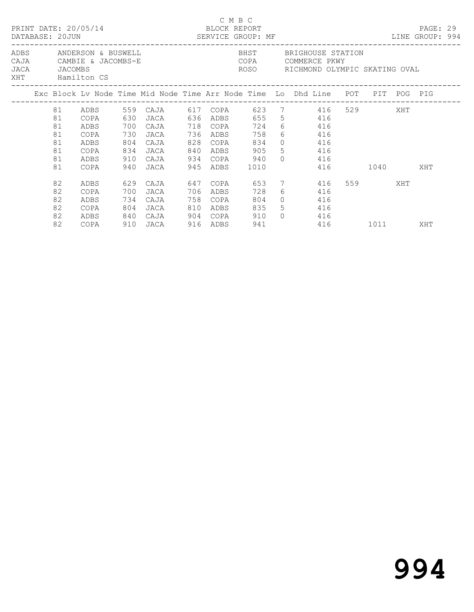|  |                                              | PRINT DATE: 20/05/14                                                  |                                 | DATABASE: 20JUN SERVICE GROUP: MF<br>_____________________________                                              |     | BLOCK REPORT                                                 | C M B C                          |                                                                                        | ________________________                                              |  |         |  | PAGE: 29<br>LINE GROUP: 994 |  |  |  |
|--|----------------------------------------------|-----------------------------------------------------------------------|---------------------------------|-----------------------------------------------------------------------------------------------------------------|-----|--------------------------------------------------------------|----------------------------------|----------------------------------------------------------------------------------------|-----------------------------------------------------------------------|--|---------|--|-----------------------------|--|--|--|
|  | JACA JACOMBS                                 | ADBS ANDERSON & BUSWELL<br>CAJA CAMBIE & JACOMBS-E<br>XHT Hamilton CS |                                 |                                                                                                                 |     |                                                              |                                  | BHST BRIGHOUSE STATION<br>COPA COMMERCE PKWY<br>ROSO     RICHMOND OLYMPIC SKATING OVAL |                                                                       |  |         |  |                             |  |  |  |
|  |                                              |                                                                       |                                 | Exc Block Lv Node Time Mid Node Time Arr Node Time Lo Dhd Line POT PIT POG PIG                                  |     |                                                              |                                  |                                                                                        |                                                                       |  |         |  |                             |  |  |  |
|  | 81<br>81<br>81<br>81<br>81<br>81<br>81<br>81 | COPA<br>ADBS<br>COPA<br>ADBS<br>COPA<br>ADBS<br>COPA                  | 630<br>700<br>730<br>804<br>910 | ADBS 559 CAJA 617 COPA 623 7 416 529 XHT<br>JACA 636 ADBS 655 5 416<br>CAJA<br>JACA<br>CAJA<br>834 JACA<br>CAJA |     | 718 COPA<br>736 ADBS<br>828 COPA<br>840 ADBS<br>934 COPA 940 | 724<br>758<br>834<br>905<br>1010 |                                                                                        | 6 416<br>6 416<br>$0 \t 416$<br>5 416<br>$0 \t 416$<br>416 1040       |  |         |  | XHT                         |  |  |  |
|  | 82<br>82<br>82<br>82<br>82<br>82             | ADBS<br>COPA<br>ADBS<br>COPA<br>ADBS<br>COPA                          | 700<br>734<br>804<br>840        | 629 CAJA<br>JACA<br>CAJA<br>JACA<br>CAJA<br>910 JACA                                                            | 706 | ADBS<br>758 COPA<br>810 ADBS<br>904 COPA<br>916 ADBS         | 728<br>804<br>835<br>910<br>941  | $\Omega$                                                                               | 647 COPA 653 7 416<br>6 416<br>$0 \t 416$<br>5 416<br>416<br>416 1011 |  | 559 XHT |  | XHT                         |  |  |  |